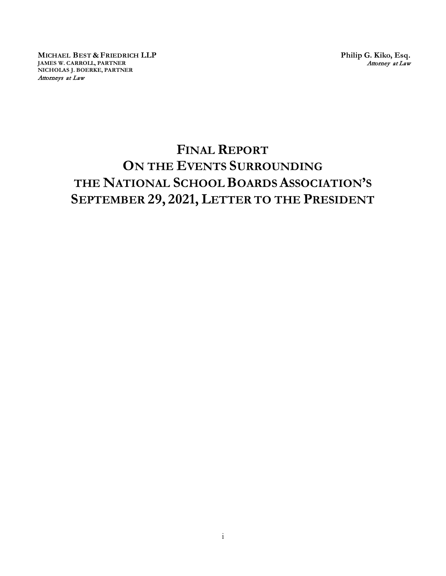**MICHAEL BEST & FRIEDRICH LLP JAMES W. CARROLL, PARTNER NICHOLAS J. BOERKE, PARTNER** Attorneys at Law

**Philip G. Kiko, Esq.** Attorney at Law

# **FINAL REPORT ON THE EVENTS SURROUNDING THE NATIONAL SCHOOL BOARDS ASSOCIATION'S SEPTEMBER 29, 2021, LETTER TO THE PRESIDENT**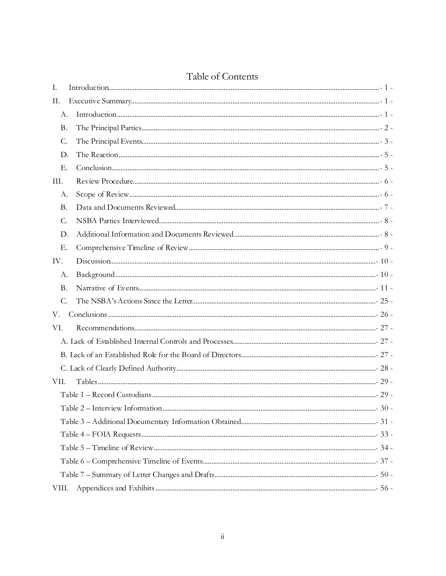|  | Table of Contents |
|--|-------------------|
|--|-------------------|

| Ι.    |  |        |  |
|-------|--|--------|--|
| П.    |  |        |  |
| A.    |  |        |  |
| Β.    |  |        |  |
| C.    |  |        |  |
| D.    |  |        |  |
| Е.    |  |        |  |
| III.  |  |        |  |
| А.    |  |        |  |
| B.    |  |        |  |
| C.    |  |        |  |
| D.    |  |        |  |
| Ε.    |  |        |  |
| IV.   |  |        |  |
| А.    |  |        |  |
| B.    |  |        |  |
| $C$ . |  |        |  |
| V.    |  |        |  |
| VI.   |  |        |  |
|       |  |        |  |
|       |  |        |  |
|       |  |        |  |
| VII.  |  |        |  |
|       |  |        |  |
|       |  | - 30 - |  |
|       |  |        |  |
|       |  |        |  |
|       |  |        |  |
|       |  |        |  |
|       |  |        |  |
| VIII. |  |        |  |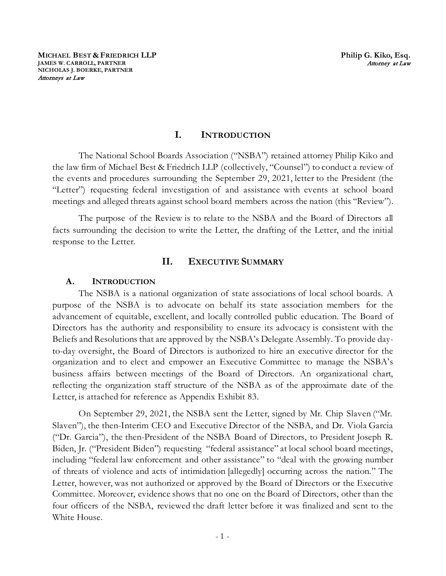## **I. INTRODUCTION**

The National School Boards Association ("NSBA") retained attorney Philip Kiko and the law firm of Michael Best & Friedrich LLP (collectively, "Counsel") to conduct a review of the events and procedures surrounding the September 29, 2021, letter to the President (the "Letter") requesting federal investigation of and assistance with events at school board meetings and alleged threats against school board members across the nation (this "Review").

The purpose of the Review is to relate to the NSBA and the Board of Directors all facts surrounding the decision to write the Letter, the drafting of the Letter, and the initial response to the Letter.

## **II. EXECUTIVE SUMMARY**

#### **A. INTRODUCTION**

The NSBA is a national organization of state associations of local school boards. A purpose of the NSBA is to advocate on behalf its state association members for the advancement of equitable, excellent, and locally controlled public education. The Board of Directors has the authority and responsibility to ensure its advocacy is consistent with the Beliefs and Resolutions that are approved by the NSBA's Delegate Assembly. To provide dayto-day oversight, the Board of Directors is authorized to hire an executive director for the organization and to elect and empower an Executive Committee to manage the NSBA's business affairs between meetings of the Board of Directors. An organizational chart, reflecting the organization staff structure of the NSBA as of the approximate date of the Letter, is attached for reference as Appendix Exhibit 83.

On September 29, 2021, the NSBA sent the Letter, signed by Mr. Chip Slaven ("Mr. Slaven"), the then-Interim CEO and Executive Director of the NSBA, and Dr. Viola Garcia ("Dr. Garcia"), the then-President of the NSBA Board of Directors, to President Joseph R. Biden, Jr. ("President Biden") requesting "federal assistance" at local school board meetings, including "federal law enforcement and other assistance" to "deal with the growing number of threats of violence and acts of intimidation [allegedly] occurring across the nation." The Letter, however, was not authorized or approved by the Board of Directors or the Executive Committee. Moreover, evidence shows that no one on the Board of Directors, other than the four officers of the NSBA, reviewed the draft letter before it was finalized and sent to the White House.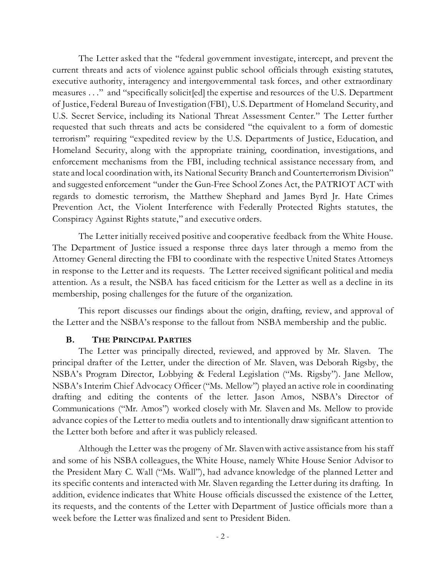The Letter asked that the "federal government investigate, intercept, and prevent the current threats and acts of violence against public school officials through existing statutes, executive authority, interagency and intergovernmental task forces, and other extraordinary measures . . ." and "specifically solicit[ed] the expertise and resources of the U.S. Department of Justice, Federal Bureau of Investigation (FBI), U.S. Department of Homeland Security, and U.S. Secret Service, including its National Threat Assessment Center." The Letter further requested that such threats and acts be considered "the equivalent to a form of domestic terrorism" requiring "expedited review by the U.S. Departments of Justice, Education, and Homeland Security, along with the appropriate training, coordination, investigations, and enforcement mechanisms from the FBI, including technical assistance necessary from, and state and local coordination with, its National Security Branch and Counterterrorism Division" and suggested enforcement "under the Gun-Free School Zones Act, the PATRIOT ACT with regards to domestic terrorism, the Matthew Shephard and James Byrd Jr. Hate Crimes Prevention Act, the Violent Interference with Federally Protected Rights statutes, the Conspiracy Against Rights statute," and executive orders.

The Letter initially received positive and cooperative feedback from the White House. The Department of Justice issued a response three days later through a memo from the Attorney General directing the FBI to coordinate with the respective United States Attorneys in response to the Letter and its requests. The Letter received significant political and media attention. As a result, the NSBA has faced criticism for the Letter as well as a decline in its membership, posing challenges for the future of the organization.

This report discusses our findings about the origin, drafting, review, and approval of the Letter and the NSBA's response to the fallout from NSBA membership and the public.

#### **B. THE PRINCIPAL PARTIES**

 The Letter was principally directed, reviewed, and approved by Mr. Slaven. The principal drafter of the Letter, under the direction of Mr. Slaven, was Deborah Rigsby, the NSBA's Program Director, Lobbying & Federal Legislation ("Ms. Rigsby"). Jane Mellow, NSBA's Interim Chief Advocacy Officer ("Ms. Mellow") played an active role in coordinating drafting and editing the contents of the letter. Jason Amos, NSBA's Director of Communications ("Mr. Amos") worked closely with Mr. Slaven and Ms. Mellow to provide advance copies of the Letter to media outlets and to intentionally draw significant attention to the Letter both before and after it was publicly released.

Although the Letter was the progeny of Mr. Slaven with active assistance from his staff and some of his NSBA colleagues, the White House, namely White House Senior Advisor to the President Mary C. Wall ("Ms. Wall"), had advance knowledge of the planned Letter and its specific contents and interacted with Mr. Slaven regarding the Letter during its drafting. In addition, evidence indicates that White House officials discussed the existence of the Letter, its requests, and the contents of the Letter with Department of Justice officials more than a week before the Letter was finalized and sent to President Biden.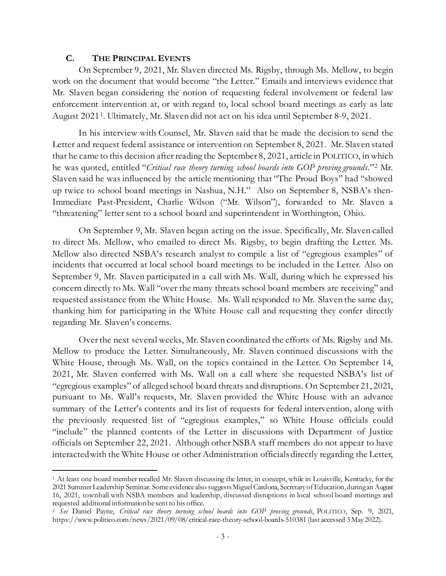#### **C. THE PRINCIPAL EVENTS**

On September 9, 2021, Mr. Slaven directed Ms. Rigsby, through Ms. Mellow, to begin work on the document that would become "the Letter." Emails and interviews evidence that Mr. Slaven began considering the notion of requesting federal involvement or federal law enforcement intervention at, or with regard to, local school board meetings as early as late August 20211. Ultimately, Mr. Slaven did not act on his idea until September 8-9, 2021.

In his interview with Counsel, Mr. Slaven said that he made the decision to send the Letter and request federal assistance or intervention on September 8, 2021. Mr. Slaven stated that he came to this decision after reading the September 8, 2021, article in POLITICO, in which he was quoted, entitled "*Critical race theory turning school boards into GOP proving grounds*."2 Mr. Slaven said he was influenced by the article mentioning that "The Proud Boys" had "showed up twice to school board meetings in Nashua, N.H." Also on September 8, NSBA's then-Immediate Past-President, Charlie Wilson ("Mr. Wilson"), forwarded to Mr. Slaven a "threatening" letter sent to a school board and superintendent in Worthington, Ohio.

On September 9, Mr. Slaven began acting on the issue. Specifically, Mr. Slaven called to direct Ms. Mellow, who emailed to direct Ms. Rigsby, to begin drafting the Letter. Ms. Mellow also directed NSBA's research analyst to compile a list of "egregious examples" of incidents that occurred at local school board meetings to be included in the Letter. Also on September 9, Mr. Slaven participated in a call with Ms. Wall, during which he expressed his concern directly to Ms. Wall "over the many threats school board members are receiving" and requested assistance from the White House. Ms. Wall responded to Mr. Slaven the same day, thanking him for participating in the White House call and requesting they confer directly regarding Mr. Slaven's concerns.

Over the next several weeks, Mr. Slaven coordinated the efforts of Ms. Rigsby and Ms. Mellow to produce the Letter. Simultaneously, Mr. Slaven continued discussions with the White House, through Ms. Wall, on the topics contained in the Letter. On September 14, 2021, Mr. Slaven conferred with Ms. Wall on a call where she requested NSBA's list of "egregious examples" of alleged school board threats and disruptions. On September 21, 2021, pursuant to Ms. Wall's requests, Mr. Slaven provided the White House with an advance summary of the Letter's contents and its list of requests for federal intervention, along with the previously requested list of "egregious examples," so White House officials could "include" the planned contents of the Letter in discussions with Department of Justice officials on September 22, 2021. Although other NSBA staff members do not appear to have interacted with the White House or other Administration officials directly regarding the Letter,

<sup>1</sup> At least one board member recalled Mr. Slaven discussing the letter, in concept, while in Louisville, Kentucky, for the 2021 Summer Leadership Seminar. Some evidence also suggests Miguel Cardona, Secretary of Education, during an August 16, 2021, townhall with NSBA members and leadership, discussed disruptions in local school board meetings and

<sup>&</sup>lt;sup>2</sup> See Daniel Payne, Critical race theory turning school boards into GOP proving grounds, POLITICO, Sep. 9, 2021, https://www.politico.com/news/2021/09/08/critical-race-theory-school-boards-510381 (last accessed 3 May 2022).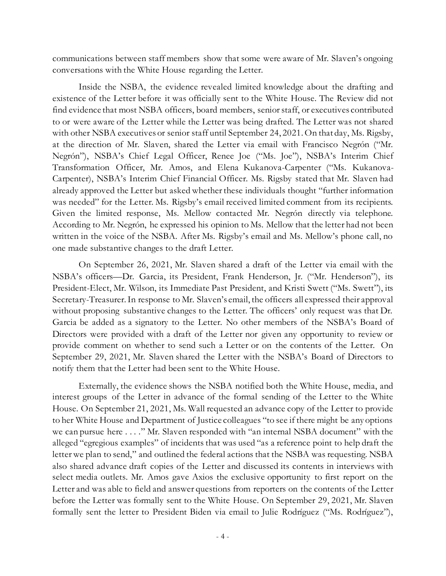communications between staff members show that some were aware of Mr. Slaven's ongoing conversations with the White House regarding the Letter.

Inside the NSBA, the evidence revealed limited knowledge about the drafting and existence of the Letter before it was officially sent to the White House. The Review did not find evidence that most NSBA officers, board members, senior staff, or executives contributed to or were aware of the Letter while the Letter was being drafted. The Letter was not shared with other NSBA executives or senior staff until September 24, 2021. On that day, Ms. Rigsby, at the direction of Mr. Slaven, shared the Letter via email with Francisco Negrón ("Mr. Negrón"), NSBA's Chief Legal Officer, Renee Joe ("Ms. Joe"), NSBA's Interim Chief Transformation Officer, Mr. Amos, and Elena Kukanova-Carpenter ("Ms. Kukanova-Carpenter), NSBA's Interim Chief Financial Officer. Ms. Rigsby stated that Mr. Slaven had already approved the Letter but asked whether these individuals thought "further information was needed" for the Letter. Ms. Rigsby's email received limited comment from its recipients. Given the limited response, Ms. Mellow contacted Mr. Negrón directly via telephone. According to Mr. Negrón, he expressed his opinion to Ms. Mellow that the letter had not been written in the voice of the NSBA. After Ms. Rigsby's email and Ms. Mellow's phone call, no one made substantive changes to the draft Letter.

On September 26, 2021, Mr. Slaven shared a draft of the Letter via email with the NSBA's officers—Dr. Garcia, its President, Frank Henderson, Jr. ("Mr. Henderson"), its President-Elect, Mr. Wilson, its Immediate Past President, and Kristi Swett ("Ms. Swett"), its Secretary-Treasurer. In response to Mr. Slaven's email, the officers all expressed their approval without proposing substantive changes to the Letter. The officers' only request was that Dr. Garcia be added as a signatory to the Letter. No other members of the NSBA's Board of Directors were provided with a draft of the Letter nor given any opportunity to review or provide comment on whether to send such a Letter or on the contents of the Letter. On September 29, 2021, Mr. Slaven shared the Letter with the NSBA's Board of Directors to notify them that the Letter had been sent to the White House.

Externally, the evidence shows the NSBA notified both the White House, media, and interest groups of the Letter in advance of the formal sending of the Letter to the White House. On September 21, 2021, Ms. Wall requested an advance copy of the Letter to provide to her White House and Department of Justice colleagues "to see if there might be any options we can pursue here . . . ." Mr. Slaven responded with "an internal NSBA document" with the alleged "egregious examples" of incidents that was used "as a reference point to help draft the letter we plan to send," and outlined the federal actions that the NSBA was requesting. NSBA also shared advance draft copies of the Letter and discussed its contents in interviews with select media outlets. Mr. Amos gave Axios the exclusive opportunity to first report on the Letter and was able to field and answer questions from reporters on the contents of the Letter before the Letter was formally sent to the White House. On September 29, 2021, Mr. Slaven formally sent the letter to President Biden via email to Julie Rodríguez ("Ms. Rodríguez"),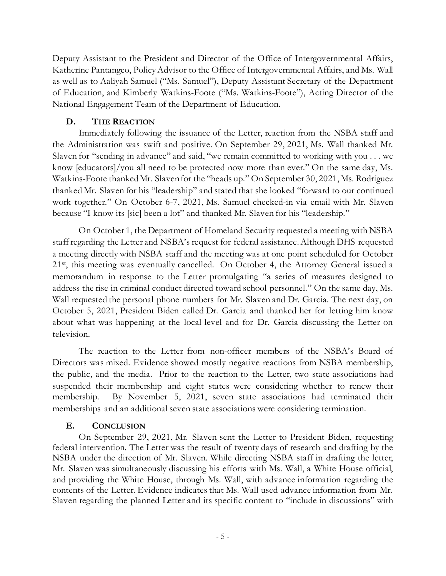Deputy Assistant to the President and Director of the Office of Intergovernmental Affairs, Katherine Pantangco, Policy Advisor to the Office of Intergovernmental Affairs, and Ms. Wall as well as to Aaliyah Samuel ("Ms. Samuel"), Deputy Assistant Secretary of the Department of Education, and Kimberly Watkins-Foote ("Ms. Watkins-Foote"), Acting Director of the National Engagement Team of the Department of Education.

## **D. THE REACTION**

Immediately following the issuance of the Letter, reaction from the NSBA staff and the Administration was swift and positive. On September 29, 2021, Ms. Wall thanked Mr. Slaven for "sending in advance" and said, "we remain committed to working with you . . . we know [educators]/you all need to be protected now more than ever." On the same day, Ms. Watkins-Foote thanked Mr. Slaven for the "heads up." On September 30, 2021, Ms. Rodríguez thanked Mr. Slaven for his "leadership" and stated that she looked "forward to our continued work together." On October 6-7, 2021, Ms. Samuel checked-in via email with Mr. Slaven because "I know its [sic] been a lot" and thanked Mr. Slaven for his "leadership."

On October 1, the Department of Homeland Security requested a meeting with NSBA staff regarding the Letter and NSBA's request for federal assistance. Although DHS requested a meeting directly with NSBA staff and the meeting was at one point scheduled for October 21<sup>st</sup>, this meeting was eventually cancelled. On October 4, the Attorney General issued a memorandum in response to the Letter promulgating "a series of measures designed to address the rise in criminal conduct directed toward school personnel." On the same day, Ms. Wall requested the personal phone numbers for Mr. Slaven and Dr. Garcia. The next day, on October 5, 2021, President Biden called Dr. Garcia and thanked her for letting him know about what was happening at the local level and for Dr. Garcia discussing the Letter on television.

The reaction to the Letter from non-officer members of the NSBA's Board of Directors was mixed. Evidence showed mostly negative reactions from NSBA membership, the public, and the media. Prior to the reaction to the Letter, two state associations had suspended their membership and eight states were considering whether to renew their membership. By November 5, 2021, seven state associations had terminated their memberships and an additional seven state associations were considering termination.

## **E. CONCLUSION**

On September 29, 2021, Mr. Slaven sent the Letter to President Biden, requesting federal intervention. The Letter was the result of twenty days of research and drafting by the NSBA under the direction of Mr. Slaven. While directing NSBA staff in drafting the letter, Mr. Slaven was simultaneously discussing his efforts with Ms. Wall, a White House official, and providing the White House, through Ms. Wall, with advance information regarding the contents of the Letter. Evidence indicates that Ms. Wall used advance information from Mr. Slaven regarding the planned Letter and its specific content to "include in discussions" with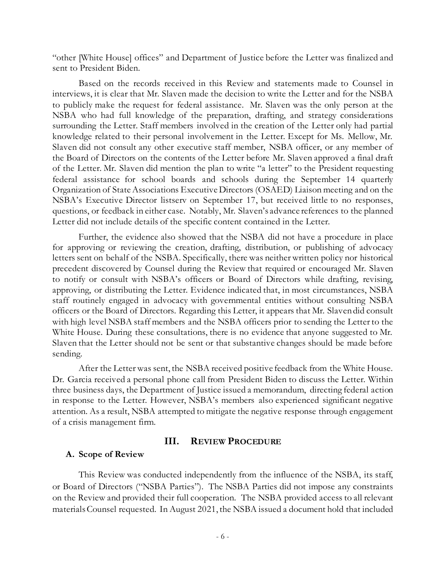"other [White House] offices" and Department of Justice before the Letter was finalized and sent to President Biden.

Based on the records received in this Review and statements made to Counsel in interviews, it is clear that Mr. Slaven made the decision to write the Letter and for the NSBA to publicly make the request for federal assistance. Mr. Slaven was the only person at the NSBA who had full knowledge of the preparation, drafting, and strategy considerations surrounding the Letter. Staff members involved in the creation of the Letter only had partial knowledge related to their personal involvement in the Letter. Except for Ms. Mellow, Mr. Slaven did not consult any other executive staff member, NSBA officer, or any member of the Board of Directors on the contents of the Letter before Mr. Slaven approved a final draft of the Letter. Mr. Slaven did mention the plan to write "a letter" to the President requesting federal assistance for school boards and schools during the September 14 quarterly Organization of State Associations Executive Directors (OSAED) Liaison meeting and on the NSBA's Executive Director listserv on September 17, but received little to no responses, questions, or feedback in either case. Notably, Mr. Slaven's advance references to the planned Letter did not include details of the specific content contained in the Letter.

Further, the evidence also showed that the NSBA did not have a procedure in place for approving or reviewing the creation, drafting, distribution, or publishing of advocacy letters sent on behalf of the NSBA. Specifically, there was neither written policy nor historical precedent discovered by Counsel during the Review that required or encouraged Mr. Slaven to notify or consult with NSBA's officers or Board of Directors while drafting, revising, approving, or distributing the Letter. Evidence indicated that, in most circumstances, NSBA staff routinely engaged in advocacy with governmental entities without consulting NSBA officers or the Board of Directors. Regarding this Letter, it appears that Mr. Slaven did consult with high level NSBA staff members and the NSBA officers prior to sending the Letter to the White House. During these consultations, there is no evidence that anyone suggested to Mr. Slaven that the Letter should not be sent or that substantive changes should be made before sending.

After the Letter was sent, the NSBA received positive feedback from the White House. Dr. Garcia received a personal phone call from President Biden to discuss the Letter. Within three business days, the Department of Justice issued a memorandum, directing federal action in response to the Letter. However, NSBA's members also experienced significant negative attention. As a result, NSBA attempted to mitigate the negative response through engagement of a crisis management firm.

#### **III. REVIEW PROCEDURE**

#### **A. Scope of Review**

This Review was conducted independently from the influence of the NSBA, its staff, or Board of Directors ("NSBA Parties"). The NSBA Parties did not impose any constraints on the Review and provided their full cooperation. The NSBA provided access to all relevant materials Counsel requested. In August 2021, the NSBA issued a document hold that included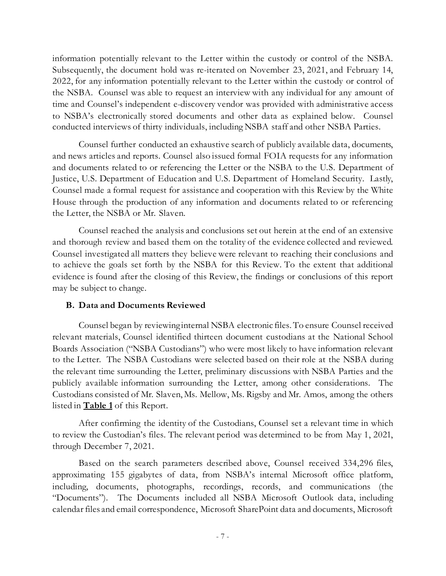information potentially relevant to the Letter within the custody or control of the NSBA. Subsequently, the document hold was re-iterated on November 23, 2021, and February 14, 2022, for any information potentially relevant to the Letter within the custody or control of the NSBA. Counsel was able to request an interview with any individual for any amount of time and Counsel's independent e-discovery vendor was provided with administrative access to NSBA's electronically stored documents and other data as explained below. Counsel conducted interviews of thirty individuals, including NSBA staff and other NSBA Parties.

Counsel further conducted an exhaustive search of publicly available data, documents, and news articles and reports. Counsel also issued formal FOIA requests for any information and documents related to or referencing the Letter or the NSBA to the U.S. Department of Justice, U.S. Department of Education and U.S. Department of Homeland Security. Lastly, Counsel made a formal request for assistance and cooperation with this Review by the White House through the production of any information and documents related to or referencing the Letter, the NSBA or Mr. Slaven.

Counsel reached the analysis and conclusions set out herein at the end of an extensive and thorough review and based them on the totality of the evidence collected and reviewed. Counsel investigated all matters they believe were relevant to reaching their conclusions and to achieve the goals set forth by the NSBA for this Review. To the extent that additional evidence is found after the closing of this Review, the findings or conclusions of this report may be subject to change.

#### **B. Data and Documents Reviewed**

Counsel began by reviewing internal NSBA electronic files. To ensure Counsel received relevant materials, Counsel identified thirteen document custodians at the National School Boards Association ("NSBA Custodians") who were most likely to have information relevant to the Letter. The NSBA Custodians were selected based on their role at the NSBA during the relevant time surrounding the Letter, preliminary discussions with NSBA Parties and the publicly available information surrounding the Letter, among other considerations. The Custodians consisted of Mr. Slaven, Ms. Mellow, Ms. Rigsby and Mr. Amos, among the others listed in **Table 1** of this Report.

After confirming the identity of the Custodians, Counsel set a relevant time in which to review the Custodian's files. The relevant period was determined to be from May 1, 2021, through December 7, 2021.

Based on the search parameters described above, Counsel received 334,296 files, approximating 155 gigabytes of data, from NSBA's internal Microsoft office platform, including, documents, photographs, recordings, records, and communications (the "Documents"). The Documents included all NSBA Microsoft Outlook data, including calendar files and email correspondence, Microsoft SharePoint data and documents, Microsoft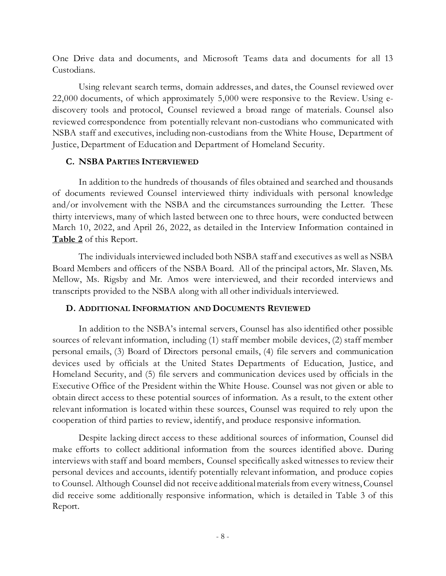One Drive data and documents, and Microsoft Teams data and documents for all 13 Custodians.

Using relevant search terms, domain addresses, and dates, the Counsel reviewed over 22,000 documents, of which approximately 5,000 were responsive to the Review. Using ediscovery tools and protocol, Counsel reviewed a broad range of materials. Counsel also reviewed correspondence from potentially relevant non-custodians who communicated with NSBA staff and executives, including non-custodians from the White House, Department of Justice, Department of Education and Department of Homeland Security.

#### **C. NSBA PARTIES INTERVIEWED**

In addition to the hundreds of thousands of files obtained and searched and thousands of documents reviewed Counsel interviewed thirty individuals with personal knowledge and/or involvement with the NSBA and the circumstances surrounding the Letter. These thirty interviews, many of which lasted between one to three hours, were conducted between March 10, 2022, and April 26, 2022, as detailed in the Interview Information contained in **Table 2** of this Report.

The individuals interviewed included both NSBA staff and executives as well as NSBA Board Members and officers of the NSBA Board. All of the principal actors, Mr. Slaven, Ms. Mellow, Ms. Rigsby and Mr. Amos were interviewed, and their recorded interviews and transcripts provided to the NSBA along with all other individuals interviewed.

#### **D. ADDITIONAL INFORMATION AND DOCUMENTS REVIEWED**

In addition to the NSBA's internal servers, Counsel has also identified other possible sources of relevant information, including (1) staff member mobile devices, (2) staff member personal emails, (3) Board of Directors personal emails, (4) file servers and communication devices used by officials at the United States Departments of Education, Justice, and Homeland Security, and (5) file servers and communication devices used by officials in the Executive Office of the President within the White House. Counsel was not given or able to obtain direct access to these potential sources of information. As a result, to the extent other relevant information is located within these sources, Counsel was required to rely upon the cooperation of third parties to review, identify, and produce responsive information.

Despite lacking direct access to these additional sources of information, Counsel did make efforts to collect additional information from the sources identified above. During interviews with staff and board members, Counsel specifically asked witnesses to review their personal devices and accounts, identify potentially relevant information, and produce copies to Counsel. Although Counsel did not receive additional materials from every witness, Counsel did receive some additionally responsive information, which is detailed in Table 3 of this Report.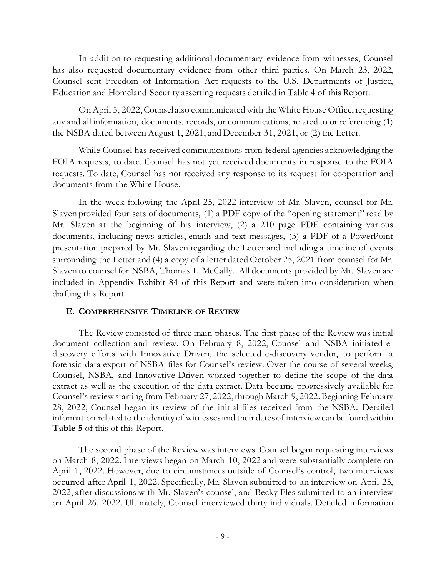In addition to requesting additional documentary evidence from witnesses, Counsel has also requested documentary evidence from other third parties. On March 23, 2022, Counsel sent Freedom of Information Act requests to the U.S. Departments of Justice, Education and Homeland Security asserting requests detailed in Table 4 of this Report.

On April 5, 2022, Counsel also communicated with the White House Office, requesting any and all information, documents, records, or communications, related to or referencing (1) the NSBA dated between August 1, 2021, and December 31, 2021, or (2) the Letter.

While Counsel has received communications from federal agencies acknowledging the FOIA requests, to date, Counsel has not yet received documents in response to the FOIA requests. To date, Counsel has not received any response to its request for cooperation and documents from the White House.

In the week following the April 25, 2022 interview of Mr. Slaven, counsel for Mr. Slaven provided four sets of documents, (1) a PDF copy of the "opening statement" read by Mr. Slaven at the beginning of his interview, (2) a 210 page PDF containing various documents, including news articles, emails and text messages, (3) a PDF of a PowerPoint presentation prepared by Mr. Slaven regarding the Letter and including a timeline of events surrounding the Letter and (4) a copy of a letter dated October 25, 2021 from counsel for Mr. Slaven to counsel for NSBA, Thomas L. McCally. All documents provided by Mr. Slaven are included in Appendix Exhibit 84 of this Report and were taken into consideration when drafting this Report.

#### **E. COMPREHENSIVE TIMELINE OF REVIEW**

The Review consisted of three main phases. The first phase of the Review was initial document collection and review. On February 8, 2022, Counsel and NSBA initiated ediscovery efforts with Innovative Driven, the selected e-discovery vendor, to perform a forensic data export of NSBA files for Counsel's review. Over the course of several weeks, Counsel, NSBA, and Innovative Driven worked together to define the scope of the data extract as well as the execution of the data extract. Data became progressively available for Counsel's review starting from February 27, 2022, through March 9, 2022. Beginning February 28, 2022, Counsel began its review of the initial files received from the NSBA. Detailed information related to the identity of witnesses and their dates of interview can be found within **Table 5** of this of this Report.

The second phase of the Review was interviews. Counsel began requesting interviews on March 8, 2022. Interviews began on March 10, 2022 and were substantially complete on April 1, 2022. However, due to circumstances outside of Counsel's control, two interviews occurred after April 1, 2022. Specifically, Mr. Slaven submitted to an interview on April 25, 2022, after discussions with Mr. Slaven's counsel, and Becky Fles submitted to an interview on April 26. 2022. Ultimately, Counsel interviewed thirty individuals. Detailed information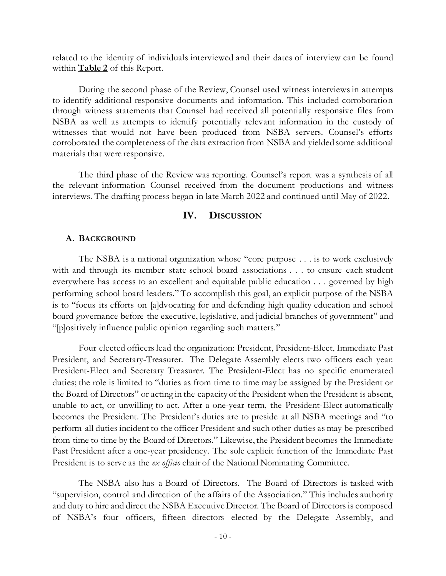related to the identity of individuals interviewed and their dates of interview can be found within **Table 2** of this Report.

During the second phase of the Review, Counsel used witness interviews in attempts to identify additional responsive documents and information. This included corroboration through witness statements that Counsel had received all potentially responsive files from NSBA as well as attempts to identify potentially relevant information in the custody of witnesses that would not have been produced from NSBA servers. Counsel's efforts corroborated the completeness of the data extraction from NSBA and yielded some additional materials that were responsive.

The third phase of the Review was reporting. Counsel's report was a synthesis of all the relevant information Counsel received from the document productions and witness interviews. The drafting process began in late March 2022 and continued until May of 2022.

## **IV. DISCUSSION**

#### **A. BACKGROUND**

The NSBA is a national organization whose "core purpose . . . is to work exclusively with and through its member state school board associations . . . to ensure each student everywhere has access to an excellent and equitable public education . . . governed by high performing school board leaders." To accomplish this goal, an explicit purpose of the NSBA is to "focus its efforts on [a]dvocating for and defending high quality education and school board governance before the executive, legislative, and judicial branches of government" and "[p]ositively influence public opinion regarding such matters."

Four elected officers lead the organization: President, President-Elect, Immediate Past President, and Secretary-Treasurer. The Delegate Assembly elects two officers each year: President-Elect and Secretary Treasurer. The President-Elect has no specific enumerated duties; the role is limited to "duties as from time to time may be assigned by the President or the Board of Directors" or acting in the capacity of the President when the President is absent, unable to act, or unwilling to act. After a one-year term, the President-Elect automatically becomes the President. The President's duties are to preside at all NSBA meetings and "to perform all duties incident to the officer President and such other duties as may be prescribed from time to time by the Board of Directors." Likewise, the President becomes the Immediate Past President after a one-year presidency. The sole explicit function of the Immediate Past President is to serve as the *ex officio* chair of the National Nominating Committee.

The NSBA also has a Board of Directors. The Board of Directors is tasked with "supervision, control and direction of the affairs of the Association." This includes authority and duty to hire and direct the NSBA Executive Director. The Board of Directors is composed of NSBA's four officers, fifteen directors elected by the Delegate Assembly, and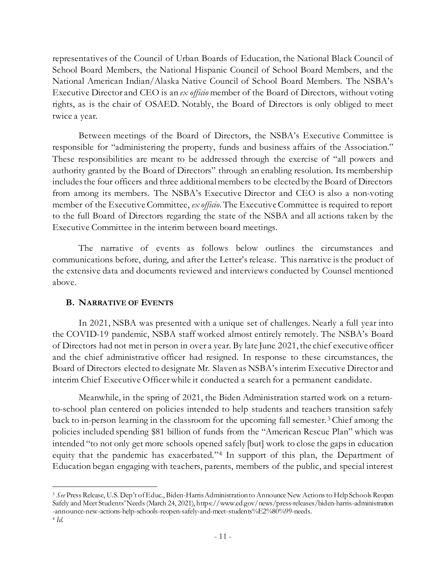representatives of the Council of Urban Boards of Education, the National Black Council of School Board Members, the National Hispanic Council of School Board Members, and the National American Indian/Alaska Native Council of School Board Members. The NSBA's Executive Director and CEO is an *ex officio* member of the Board of Directors, without voting rights, as is the chair of OSAED. Notably, the Board of Directors is only obliged to meet twice a year.

Between meetings of the Board of Directors, the NSBA's Executive Committee is responsible for "administering the property, funds and business affairs of the Association." These responsibilities are meant to be addressed through the exercise of "all powers and authority granted by the Board of Directors" through an enabling resolution. Its membership includes the four officers and three additional members to be elected by the Board of Directors from among its members. The NSBA's Executive Director and CEO is also a non-voting member of the Executive Committee, *ex officio*. The Executive Committee is required to report to the full Board of Directors regarding the state of the NSBA and all actions taken by the Executive Committee in the interim between board meetings.

The narrative of events as follows below outlines the circumstances and communications before, during, and after the Letter's release. This narrative is the product of the extensive data and documents reviewed and interviews conducted by Counsel mentioned above.

## **B. NARRATIVE OF EVENTS**

In 2021, NSBA was presented with a unique set of challenges. Nearly a full year into the COVID-19 pandemic, NSBA staff worked almost entirely remotely. The NSBA's Board of Directors had not met in person in over a year. By late June 2021, the chief executive officer and the chief administrative officer had resigned. In response to these circumstances, the Board of Directors elected to designate Mr. Slaven as NSBA's interim Executive Director and interim Chief Executive Officer while it conducted a search for a permanent candidate.

Meanwhile, in the spring of 2021, the Biden Administration started work on a returnto-school plan centered on policies intended to help students and teachers transition safely back to in-person learning in the classroom for the upcoming fall semester. <sup>3</sup> Chief among the policies included spending \$81 billion of funds from the "American Rescue Plan" which was intended "to not only get more schools opened safely [but] work to close the gaps in education equity that the pandemic has exacerbated."4 In support of this plan, the Department of Education began engaging with teachers, parents, members of the public, and special interest

<sup>3</sup> *See* Press Release, U.S. Dep't of Educ., Biden-Harris Administration to Announce New Actions to Help Schools Reopen Safely and Meet Students' Needs (March 24, 2021), https://www.ed.gov/news/press-releases/biden-harris-administration -announce-new-actions-help-schools-reopen-safely-and-meet-students%E2%80%99-needs. <sup>4</sup> *Id*.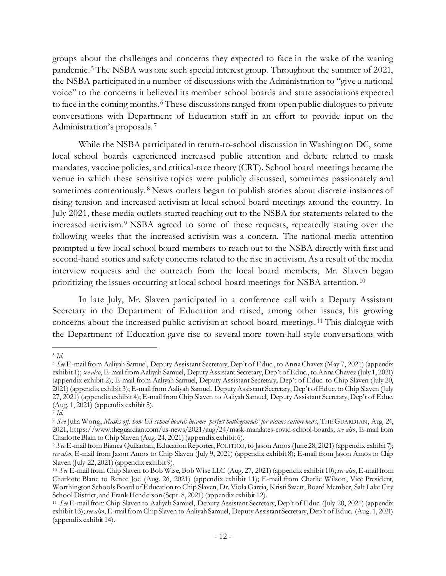groups about the challenges and concerns they expected to face in the wake of the waning pandemic. <sup>5</sup> The NSBA was one such special interest group. Throughout the summer of 2021, the NSBA participated in a number of discussions with the Administration to "give a national voice" to the concerns it believed its member school boards and state associations expected to face in the coming months. <sup>6</sup> These discussions ranged from open public dialogues to private conversations with Department of Education staff in an effort to provide input on the Administration's proposals. 7

While the NSBA participated in return-to-school discussion in Washington DC, some local school boards experienced increased public attention and debate related to mask mandates, vaccine policies, and critical-race theory (CRT). School board meetings became the venue in which these sensitive topics were publicly discussed, sometimes passionately and sometimes contentiously.<sup>8</sup> News outlets began to publish stories about discrete instances of rising tension and increased activism at local school board meetings around the country. In July 2021, these media outlets started reaching out to the NSBA for statements related to the increased activism. <sup>9</sup> NSBA agreed to some of these requests, repeatedly stating over the following weeks that the increased activism was a concern. The national media attention prompted a few local school board members to reach out to the NSBA directly with first and second-hand stories and safety concerns related to the rise in activism. As a result of the media interview requests and the outreach from the local board members, Mr. Slaven began prioritizing the issues occurring at local school board meetings for NSBA attention. <sup>10</sup>

In late July, Mr. Slaven participated in a conference call with a Deputy Assistant Secretary in the Department of Education and raised, among other issues, his growing concerns about the increased public activism at school board meetings. <sup>11</sup> This dialogue with the Department of Education gave rise to several more town-hall style conversations with

<sup>5</sup> *Id*. 6 *See* E-mail from Aaliyah Samuel, Deputy Assistant Secretary, Dep't of Educ., to Anna Chavez (May 7, 2021) (appendix exhibit 1); *see also*, E-mail from Aaliyah Samuel, Deputy Assistant Secretary, Dep't of Educ., to Anna Chavez (July 1, 2021) (appendix exhibit 2); E-mail from Aaliyah Samuel, Deputy Assistant Secretary, Dep't of Educ. to Chip Slaven (July 20, 2021) (appendix exhibit 3); E-mail from Aaliyah Samuel, Deputy Assistant Secretary, Dep't of Educ. to Chip Slaven (July 27, 2021) (appendix exhibit 4); E-mailfrom Chip Slaven to Aaliyah Samuel, Deputy Assistant Secretary, Dep't of Educ. (Aug. 1, 2021) (appendix exhibit 5).

<sup>7</sup> *Id*. 8 *See* Julia Wong, *Masks off: how US school boards became 'perfect battlegrounds' for vicious culture wars*, THE GUARDIAN, Aug. 24, 2021, https://www.theguardian.com/us-news/2021/aug/24/mask-mandates-covid-school-boards; *see also*, E-mail from Charlotte Blain to Chip Slaven (Aug. 24, 2021) (appendix exhibit 6).

<sup>9</sup> *See* E-mail from Bianca Quilantan, Education Reporter, POLITICO, to Jason Amos(June 28, 2021) (appendix exhibit 7); *see also*, E-mail from Jason Amos to Chip Slaven (July 9, 2021) (appendix exhibit 8); E-mail from Jason Amos to Chip Slaven (July 22, 2021) (appendix exhibit 9).

<sup>10</sup> *See* E-mail from Chip Slaven to Bob Wise, Bob Wise LLC (Aug. 27, 2021) (appendix exhibit 10); *see also*, E-mail from Charlotte Blane to Renee Joe (Aug. 26, 2021) (appendix exhibit 11); E-mail from Charlie Wilson, Vice President, Worthington Schools Board of Education to Chip Slaven, Dr. Viola Garcia, Kristi Swett, Board Member, Salt Lake City School District, and Frank Henderson (Sept. 8, 2021) (appendix exhibit 12).<br><sup>11</sup> *See* E-mail from Chip Slaven to Aaliyah Samuel, Deputy Assistant Secretary, Dep't of Educ. (July 20, 2021) (appendix

exhibit 13); *see also*, E-mail from Chip Slaven to Aaliyah Samuel, Deputy Assistant Secretary, Dep't of Educ. (Aug. 1, 2021) (appendix exhibit 14).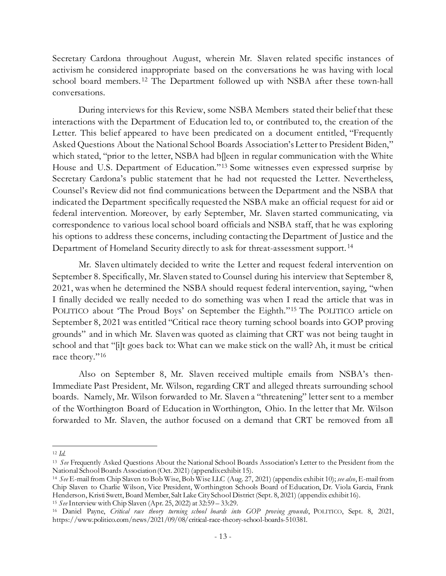Secretary Cardona throughout August, wherein Mr. Slaven related specific instances of activism he considered inappropriate based on the conversations he was having with local school board members. <sup>12</sup> The Department followed up with NSBA after these town-hall conversations.

During interviews for this Review, some NSBA Members stated their belief that these interactions with the Department of Education led to, or contributed to, the creation of the Letter. This belief appeared to have been predicated on a document entitled, "Frequently Asked Questions About the National School Boards Association's Letter to President Biden," which stated, "prior to the letter, NSBA had b[leen in regular communication with the White House and U.S. Department of Education."13 Some witnesses even expressed surprise by Secretary Cardona's public statement that he had not requested the Letter. Nevertheless, Counsel's Review did not find communications between the Department and the NSBA that indicated the Department specifically requested the NSBA make an official request for aid or federal intervention. Moreover, by early September, Mr. Slaven started communicating, via correspondence to various local school board officials and NSBA staff, that he was exploring his options to address these concerns, including contacting the Department of Justice and the Department of Homeland Security directly to ask for threat-assessment support. <sup>14</sup>

Mr. Slaven ultimately decided to write the Letter and request federal intervention on September 8. Specifically, Mr. Slaven stated to Counsel during his interview that September 8, 2021, was when he determined the NSBA should request federal intervention, saying, "when I finally decided we really needed to do something was when I read the article that was in POLITICO about 'The Proud Boys' on September the Eighth."15 The POLITICO article on September 8, 2021 was entitled "Critical race theory turning school boards into GOP proving grounds" and in which Mr. Slaven was quoted as claiming that CRT was not being taught in school and that "[i]t goes back to: What can we make stick on the wall? Ah, it must be critical race theory."16

Also on September 8, Mr. Slaven received multiple emails from NSBA's then-Immediate Past President, Mr. Wilson, regarding CRT and alleged threats surrounding school boards. Namely, Mr. Wilson forwarded to Mr. Slaven a "threatening" letter sent to a member of the Worthington Board of Education in Worthington, Ohio. In the letter that Mr. Wilson forwarded to Mr. Slaven, the author focused on a demand that CRT be removed from all

<sup>12</sup> *Id*. 13 *See* Frequently Asked Questions About the National School Boards Association's Letter to the President from the National School Boards Association (Oct. 2021) (appendix exhibit 15).

<sup>14</sup> *See* E-mail from Chip Slaven to Bob Wise, Bob Wise LLC (Aug. 27, 2021) (appendix exhibit 10); *see also*, E-mail from Chip Slaven to Charlie Wilson, Vice President, Worthington Schools Board of Education, Dr. Viola Garcia, Frank Henderson, Kristi Swett, Board Member, Salt Lake City School District (Sept. 8, 2021) (appendix exhibit 16).

<sup>15</sup> *See* Interview with Chip Slaven (Apr. 25, 2022) at 32:59 – 33:29.

<sup>16</sup> Daniel Payne, *Critical race theory turning school boards into GOP proving grounds*, POLITICO, Sept. 8, 2021, https://www.politico.com/news/2021/09/08/critical-race-theory-school-boards-510381.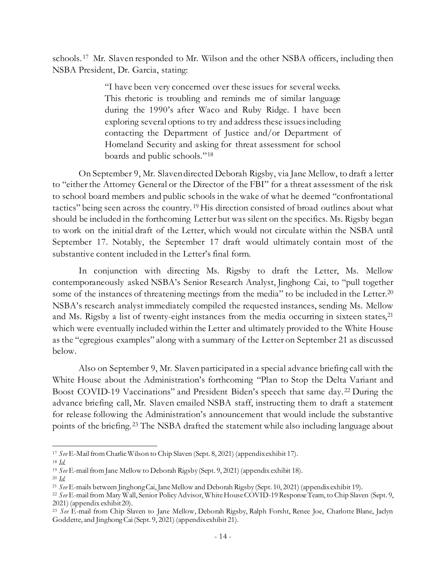schools. 17 Mr. Slaven responded to Mr. Wilson and the other NSBA officers, including then NSBA President, Dr. Garcia, stating:

> "I have been very concerned over these issues for several weeks. This rhetoric is troubling and reminds me of similar language during the 1990's after Waco and Ruby Ridge. I have been exploring several options to try and address these issues including contacting the Department of Justice and/or Department of Homeland Security and asking for threat assessment for school boards and public schools."18

On September 9, Mr. Slaven directed Deborah Rigsby, via Jane Mellow, to draft a letter to "either the Attorney General or the Director of the FBI" for a threat assessment of the risk to school board members and public schools in the wake of what he deemed "confrontational tactics" being seen across the country. <sup>19</sup> His direction consisted of broad outlines about what should be included in the forthcoming Letter but was silent on the specifics. Ms. Rigsby began to work on the initial draft of the Letter, which would not circulate within the NSBA until September 17. Notably, the September 17 draft would ultimately contain most of the substantive content included in the Letter's final form.

In conjunction with directing Ms. Rigsby to draft the Letter, Ms. Mellow contemporaneously asked NSBA's Senior Research Analyst, Jinghong Cai, to "pull together some of the instances of threatening meetings from the media" to be included in the Letter.<sup>20</sup> NSBA's research analyst immediately compiled the requested instances, sending Ms. Mellow and Ms. Rigsby a list of twenty-eight instances from the media occurring in sixteen states,<sup>21</sup> which were eventually included within the Letter and ultimately provided to the White House as the "egregious examples" along with a summary of the Letter on September 21 as discussed below.

Also on September 9, Mr. Slaven participated in a special advance briefing call with the White House about the Administration's forthcoming "Plan to Stop the Delta Variant and Boost COVID-19 Vaccinations" and President Biden's speech that same day. <sup>22</sup> During the advance briefing call, Mr. Slaven emailed NSBA staff, instructing them to draft a statement for release following the Administration's announcement that would include the substantive points of the briefing. <sup>23</sup> The NSBA drafted the statement while also including language about

<sup>17</sup> *See* E-Mail from Charlie Wilson to Chip Slaven (Sept. 8, 2021) (appendix exhibit 17). 18 *Id.*

<sup>&</sup>lt;sup>19</sup> *See* E-mail from Jane Mellow to Deborah Rigsby (Sept. 9, 2021) (appendix exhibit 18).<br><sup>20</sup> *Id. See* E-mails between Jinghong Cai, Jane Mellow and Deborah Rigsby (Sept. 10, 2021) (appendix exhibit 19).

<sup>&</sup>lt;sup>22</sup> See E-mail from Mary Wall, Senior Policy Advisor, White House COVID-19 Response Team, to Chip Slaven (Sept. 9, 2021) (appendix exhibit 20).

<sup>&</sup>lt;sup>23</sup> See E-mail from Chip Slaven to Jane Mellow, Deborah Rigsby, Ralph Forsht, Renee Joe, Charlotte Blane, Jaclyn Goddette, and Jinghong Cai (Sept. 9, 2021) (appendix exhibit 21).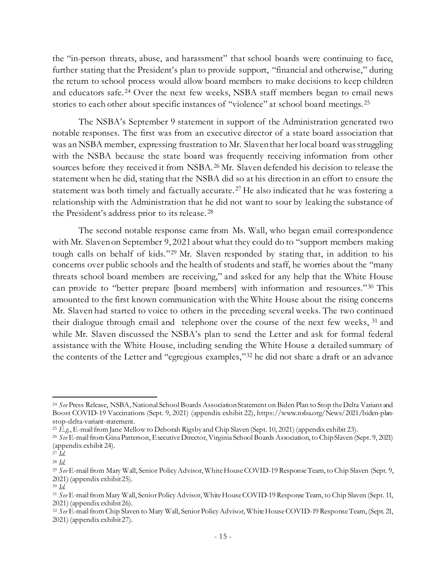the "in-person threats, abuse, and harassment" that school boards were continuing to face, further stating that the President's plan to provide support, "financial and otherwise," during the return to school process would allow board members to make decisions to keep children and educators safe. <sup>24</sup> Over the next few weeks, NSBA staff members began to email news stories to each other about specific instances of "violence" at school board meetings. <sup>25</sup>

The NSBA's September 9 statement in support of the Administration generated two notable responses. The first was from an executive director of a state board association that was an NSBA member, expressing frustration to Mr. Slaven that her local board was struggling with the NSBA because the state board was frequently receiving information from other sources before they received it from NSBA. <sup>26</sup> Mr. Slaven defended his decision to release the statement when he did, stating that the NSBA did so at his direction in an effort to ensure the statement was both timely and factually accurate. <sup>27</sup> He also indicated that he was fostering a relationship with the Administration that he did not want to sour by leaking the substance of the President's address prior to its release. 28

The second notable response came from Ms. Wall, who began email correspondence with Mr. Slaven on September 9, 2021 about what they could do to "support members making tough calls on behalf of kids."29 Mr. Slaven responded by stating that, in addition to his concerns over public schools and the health of students and staff, he worries about the "many threats school board members are receiving," and asked for any help that the White House can provide to "better prepare [board members] with information and resources."30 This amounted to the first known communication with the White House about the rising concerns Mr. Slaven had started to voice to others in the preceding several weeks. The two continued their dialogue through email and telephone over the course of the next few weeks, <sup>31</sup> and while Mr. Slaven discussed the NSBA's plan to send the Letter and ask for formal federal assistance with the White House, including sending the White House a detailed summary of the contents of the Letter and "egregious examples,"32 he did not share a draft or an advance

<sup>24</sup> *See* Press Release, NSBA, National School Boards Association Statement on Biden Plan to Stop the Delta Variant and Boost COVID-19 Vaccinations (Sept. 9, 2021) (appendix exhibit 22), https://www.nsba.org/News/2021/biden-plan-

stop-delta-variant-statement.<br><sup>25</sup> E.g., E-mail from Jane Mellow to Deborah Rigsby and Chip Slaven (Sept. 10, 2021) (appendix exhibit 23).<br><sup>26</sup> See E-mail from Gina Patterson, Executive Director, Virginia School Boards Ass (appendix exhibit 24). 27 *Id*. 28 *Id*. 29 *See* E-mail from Mary Wall, Senior Policy Advisor, White House COVID-19 Response Team, to Chip Slaven (Sept. 9,

<sup>2021) (</sup>appendix exhibit 25).<br><sup>30</sup> *Id.*<br><sup>31</sup> *See* E-mail from Mary Wall, Senior Policy Advisor, White House COVID-19 Response Team, to Chip Slaven (Sept. 11,

<sup>2021) (</sup>appendix exhibit 26). 32 *See* E-mail from Chip Slaven to Mary Wall, Senior Policy Advisor, White House COVID-19 Response Team, (Sept. 21,

<sup>2021) (</sup>appendix exhibit 27).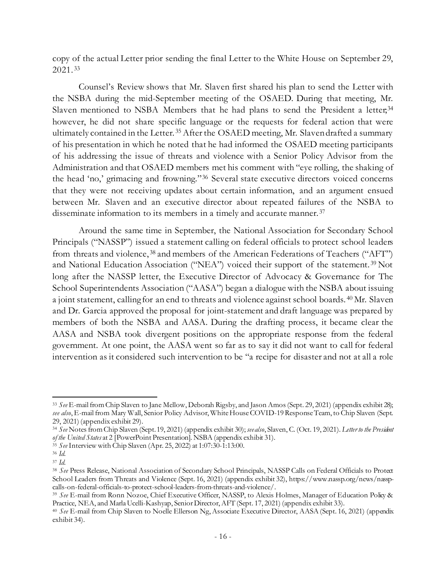copy of the actual Letter prior sending the final Letter to the White House on September 29, 2021. <sup>33</sup>

Counsel's Review shows that Mr. Slaven first shared his plan to send the Letter with the NSBA during the mid-September meeting of the OSAED. During that meeting, Mr. Slaven mentioned to NSBA Members that he had plans to send the President a letter,<sup>34</sup> however, he did not share specific language or the requests for federal action that were ultimately contained in the Letter. <sup>35</sup> After the OSAED meeting, Mr. Slaven drafted a summary of his presentation in which he noted that he had informed the OSAED meeting participants of his addressing the issue of threats and violence with a Senior Policy Advisor from the Administration and that OSAED members met his comment with "eye rolling, the shaking of the head 'no,' grimacing and frowning."36 Several state executive directors voiced concerns that they were not receiving updates about certain information, and an argument ensued between Mr. Slaven and an executive director about repeated failures of the NSBA to disseminate information to its members in a timely and accurate manner. 37

Around the same time in September, the National Association for Secondary School Principals ("NASSP") issued a statement calling on federal officials to protect school leaders from threats and violence, <sup>38</sup> and members of the American Federations of Teachers ("AFT") and National Education Association ("NEA") voiced their support of the statement. <sup>39</sup> Not long after the NASSP letter, the Executive Director of Advocacy & Governance for The School Superintendents Association ("AASA") began a dialogue with the NSBA about issuing a joint statement, calling for an end to threats and violence against school boards. <sup>40</sup> Mr. Slaven and Dr. Garcia approved the proposal for joint-statement and draft language was prepared by members of both the NSBA and AASA. During the drafting process, it became clear the AASA and NSBA took divergent positions on the appropriate response from the federal government. At one point, the AASA went so far as to say it did not want to call for federal intervention as it considered such intervention to be "a recipe for disaster and not at all a role

<sup>33</sup> *See* E-mail from Chip Slaven to Jane Mellow, Deborah Rigsby, and Jason Amos (Sept. 29, 2021) (appendix exhibit 28); *see also*, E-mail from Mary Wall, Senior Policy Advisor, White House COVID-19 Response Team, to Chip Slaven (Sept.

<sup>29, 2021) (</sup>appendix exhibit 29). 34 *See* Notes from Chip Slaven (Sept. 19, 2021) (appendix exhibit 30); *see also*, Slaven, C. (Oct. 19, 2021). *Letter to the President* 

<sup>&</sup>lt;sup>35</sup> See Interview with Chip Slaven (Apr. 25, 2022) at 1:07:30-1:13:00.

<sup>36</sup> *Id*. 37 *Id*. 38 *See* Press Release, National Association of Secondary School Principals, NASSP Calls on Federal Officials to Protect School Leaders from Threats and Violence (Sept. 16, 2021) (appendix exhibit 32), https://www.nassp.org/news/nassp-

calls-on-federal-officials-to-protect-school-leaders-from-threats-and-violence/.<br><sup>39</sup> *See* E-mail from Ronn Nozoe, Chief Executive Officer, NASSP, to Alexis Holmes, Manager of Education Policy &<br>Practice, NEA, and Marla U

<sup>&</sup>lt;sup>40</sup> See E-mail from Chip Slaven to Noelle Ellerson Ng, Associate Executive Director, AASA (Sept. 16, 2021) (appendix exhibit 34).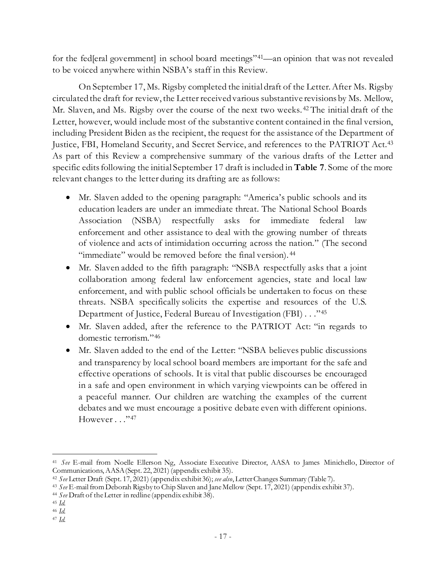for the fed[eral government] in school board meetings"<sup>41</sup>—an opinion that was not revealed to be voiced anywhere within NSBA's staff in this Review.

On September 17, Ms. Rigsby completed the initial draft of the Letter. After Ms. Rigsby circulated the draft for review, the Letter received various substantive revisions by Ms. Mellow, Mr. Slaven, and Ms. Rigsby over the course of the next two weeks. <sup>42</sup> The initial draft of the Letter, however, would include most of the substantive content contained in the final version, including President Biden as the recipient, the request for the assistance of the Department of Justice, FBI, Homeland Security, and Secret Service, and references to the PATRIOT Act.43 As part of this Review a comprehensive summary of the various drafts of the Letter and specific edits following the initial September 17 draft is included in **Table 7**. Some of the more relevant changes to the letter during its drafting are as follows:

- Mr. Slaven added to the opening paragraph: "America's public schools and its education leaders are under an immediate threat. The National School Boards Association (NSBA) respectfully asks for immediate federal law enforcement and other assistance to deal with the growing number of threats of violence and acts of intimidation occurring across the nation." (The second "immediate" would be removed before the final version). 44
- Mr. Slaven added to the fifth paragraph: "NSBA respectfully asks that a joint collaboration among federal law enforcement agencies, state and local law enforcement, and with public school officials be undertaken to focus on these threats. NSBA specifically solicits the expertise and resources of the U.S. Department of Justice, Federal Bureau of Investigation (FBI) . . ."45
- Mr. Slaven added, after the reference to the PATRIOT Act: "in regards to domestic terrorism."46
- Mr. Slaven added to the end of the Letter: "NSBA believes public discussions and transparency by local school board members are important for the safe and effective operations of schools. It is vital that public discourses be encouraged in a safe and open environment in which varying viewpoints can be offered in a peaceful manner. Our children are watching the examples of the current debates and we must encourage a positive debate even with different opinions. However . . . "47

<sup>41</sup> *See* E-mail from Noelle Ellerson Ng, Associate Executive Director, AASA to James Minichello, Director of Communications, AASA (Sept. 22, 2021) (appendix exhibit 35).<br><sup>42</sup> See Letter Draft (Sept. 17, 2021) (appendix exhibit 36); see also, Letter Changes Summary (Table 7).<br><sup>43</sup> See E-mail from Deborah Rigsby to Chip Slaven and

<sup>44</sup> *See* Draft of the Letter in redline (appendix exhibit 38).

<sup>45</sup> *Id.*

<sup>46</sup> *Id.*

<sup>47</sup> *Id.*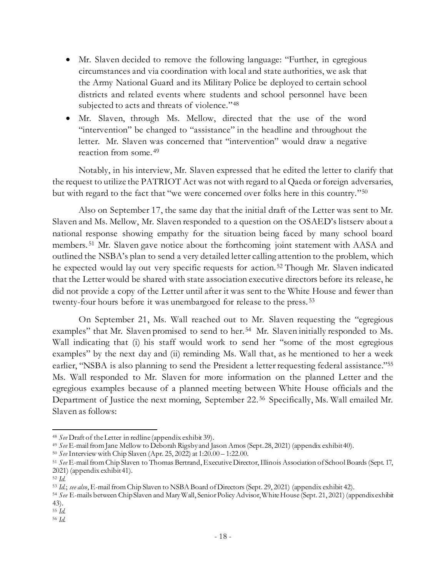- Mr. Slaven decided to remove the following language: "Further, in egregious circumstances and via coordination with local and state authorities, we ask that the Army National Guard and its Military Police be deployed to certain school districts and related events where students and school personnel have been subjected to acts and threats of violence."<sup>48</sup>
- Mr. Slaven, through Ms. Mellow, directed that the use of the word "intervention" be changed to "assistance" in the headline and throughout the letter. Mr. Slaven was concerned that "intervention" would draw a negative reaction from some. 49

Notably, in his interview, Mr. Slaven expressed that he edited the letter to clarify that the request to utilize the PATRIOT Act was not with regard to al Qaeda or foreign adversaries, but with regard to the fact that "we were concerned over folks here in this country."50

Also on September 17, the same day that the initial draft of the Letter was sent to Mr. Slaven and Ms. Mellow, Mr. Slaven responded to a question on the OSAED's listserv about a national response showing empathy for the situation being faced by many school board members. <sup>51</sup> Mr. Slaven gave notice about the forthcoming joint statement with AASA and outlined the NSBA's plan to send a very detailed letter calling attention to the problem, which he expected would lay out very specific requests for action. <sup>52</sup> Though Mr. Slaven indicated that the Letter would be shared with state association executive directors before its release, he did not provide a copy of the Letter until after it was sent to the White House and fewer than twenty-four hours before it was unembargoed for release to the press. 53

On September 21, Ms. Wall reached out to Mr. Slaven requesting the "egregious examples" that Mr. Slaven promised to send to her.<sup>54</sup> Mr. Slaven initially responded to Ms. Wall indicating that (i) his staff would work to send her "some of the most egregious examples" by the next day and (ii) reminding Ms. Wall that, as he mentioned to her a week earlier, "NSBA is also planning to send the President a letter requesting federal assistance."55 Ms. Wall responded to Mr. Slaven for more information on the planned Letter and the egregious examples because of a planned meeting between White House officials and the Department of Justice the next morning, September 22.<sup>56</sup> Specifically, Ms. Wall emailed Mr. Slaven as follows:

<sup>48</sup> *See* Draft of the Letter in redline (appendix exhibit 39).

<sup>49</sup> *See* E-mail from Jane Mellow to Deborah Rigsby and Jason Amos (Sept. 28, 2021) (appendix exhibit 40).

<sup>50</sup> *See* Interview with Chip Slaven (Apr. 25, 2022) at 1:20.00 – 1:22.00.

<sup>51</sup> *See* E-mail from Chip Slaven to Thomas Bertrand, Executive Director, Illinois Association of School Boards (Sept. 17, 2021) (appendix exhibit 41).<br><sup>52</sup> Id.<br><sup>53</sup> Id.; *see also*, E-mail from Chip Slaven to NSBA Board of Directors (Sept. 29, 2021) (appendix exhibit 42).<br><sup>54</sup> *See* E-mails between Chip Slaven and Mary Wall, Senior Policy Adv

<sup>43). 55</sup> *Id.*

<sup>56</sup> *Id.*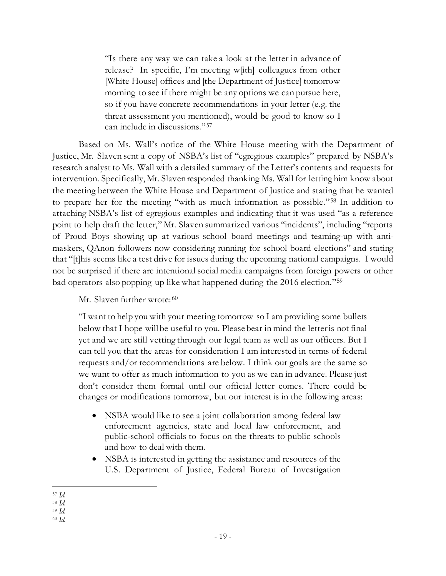"Is there any way we can take a look at the letter in advance of release? In specific, I'm meeting w[ith] colleagues from other [White House] offices and [the Department of Justice] tomorrow morning to see if there might be any options we can pursue here, so if you have concrete recommendations in your letter (e.g. the threat assessment you mentioned), would be good to know so I can include in discussions."57

Based on Ms. Wall's notice of the White House meeting with the Department of Justice, Mr. Slaven sent a copy of NSBA's list of "egregious examples" prepared by NSBA's research analyst to Ms. Wall with a detailed summary of the Letter's contents and requests for intervention. Specifically, Mr. Slaven responded thanking Ms. Wall for letting him know about the meeting between the White House and Department of Justice and stating that he wanted to prepare her for the meeting "with as much information as possible."58 In addition to attaching NSBA's list of egregious examples and indicating that it was used "as a reference point to help draft the letter," Mr. Slaven summarized various "incidents", including "reports of Proud Boys showing up at various school board meetings and teaming-up with antimaskers, QAnon followers now considering running for school board elections" and stating that "[t]his seems like a test drive for issues during the upcoming national campaigns. I would not be surprised if there are intentional social media campaigns from foreign powers or other bad operators also popping up like what happened during the 2016 election."59

Mr. Slaven further wrote: 60

"I want to help you with your meeting tomorrow so I am providing some bullets below that I hope will be useful to you. Please bear in mind the letter is not final yet and we are still vetting through our legal team as well as our officers. But I can tell you that the areas for consideration I am interested in terms of federal requests and/or recommendations are below. I think our goals are the same so we want to offer as much information to you as we can in advance. Please just don't consider them formal until our official letter comes. There could be changes or modifications tomorrow, but our interest is in the following areas:

- NSBA would like to see a joint collaboration among federal law enforcement agencies, state and local law enforcement, and public-school officials to focus on the threats to public schools and how to deal with them.
- NSBA is interested in getting the assistance and resources of the U.S. Department of Justice, Federal Bureau of Investigation

<sup>57</sup> *Id.*

<sup>58</sup> *Id.*

<sup>59</sup> *Id.*

<sup>60</sup> *Id.*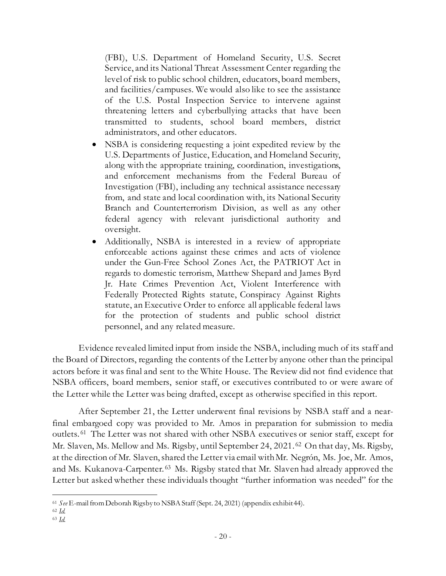(FBI), U.S. Department of Homeland Security, U.S. Secret Service, and its National Threat Assessment Center regarding the level of risk to public school children, educators, board members, and facilities/campuses. We would also like to see the assistance of the U.S. Postal Inspection Service to intervene against threatening letters and cyberbullying attacks that have been transmitted to students, school board members, district administrators, and other educators.

- NSBA is considering requesting a joint expedited review by the U.S. Departments of Justice, Education, and Homeland Security, along with the appropriate training, coordination, investigations, and enforcement mechanisms from the Federal Bureau of Investigation (FBI), including any technical assistance necessary from, and state and local coordination with, its National Security Branch and Counterterrorism Division, as well as any other federal agency with relevant jurisdictional authority and oversight.
- Additionally, NSBA is interested in a review of appropriate enforceable actions against these crimes and acts of violence under the Gun-Free School Zones Act, the PATRIOT Act in regards to domestic terrorism, Matthew Shepard and James Byrd Jr. Hate Crimes Prevention Act, Violent Interference with Federally Protected Rights statute, Conspiracy Against Rights statute, an Executive Order to enforce all applicable federal laws for the protection of students and public school district personnel, and any related measure.

Evidence revealed limited input from inside the NSBA, including much of its staff and the Board of Directors, regarding the contents of the Letter by anyone other than the principal actors before it was final and sent to the White House. The Review did not find evidence that NSBA officers, board members, senior staff, or executives contributed to or were aware of the Letter while the Letter was being drafted, except as otherwise specified in this report.

After September 21, the Letter underwent final revisions by NSBA staff and a nearfinal embargoed copy was provided to Mr. Amos in preparation for submission to media outlets. 61 The Letter was not shared with other NSBA executives or senior staff, except for Mr. Slaven, Ms. Mellow and Ms. Rigsby, until September 24, 2021.<sup>62</sup> On that day, Ms. Rigsby, at the direction of Mr. Slaven, shared the Letter via email with Mr. Negrón, Ms. Joe, Mr. Amos, and Ms. Kukanova-Carpenter. 63 Ms. Rigsby stated that Mr. Slaven had already approved the Letter but asked whether these individuals thought "further information was needed" for the

<sup>61</sup> *See* E-mail from Deborah Rigsby to NSBA Staff (Sept. 24, 2021) (appendix exhibit 44). 62 *Id.*

<sup>63</sup> *Id.*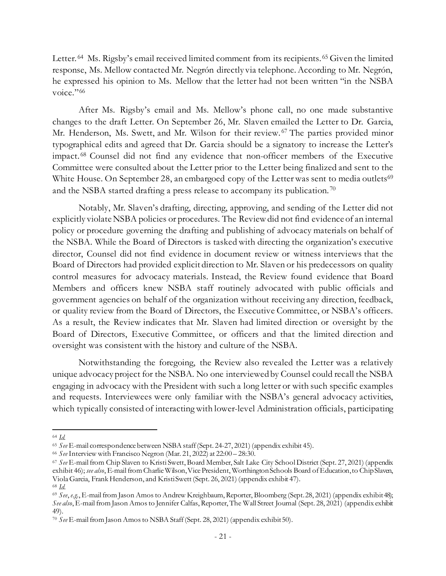Letter. <sup>64</sup> Ms. Rigsby's email received limited comment from its recipients. <sup>65</sup> Given the limited response, Ms. Mellow contacted Mr. Negrón directly via telephone. According to Mr. Negrón, he expressed his opinion to Ms. Mellow that the letter had not been written "in the NSBA voice."<sup>66</sup>

After Ms. Rigsby's email and Ms. Mellow's phone call, no one made substantive changes to the draft Letter. On September 26, Mr. Slaven emailed the Letter to Dr. Garcia, Mr. Henderson, Ms. Swett, and Mr. Wilson for their review. <sup>67</sup> The parties provided minor typographical edits and agreed that Dr. Garcia should be a signatory to increase the Letter's impact. <sup>68</sup> Counsel did not find any evidence that non-officer members of the Executive Committee were consulted about the Letter prior to the Letter being finalized and sent to the White House. On September 28, an embargoed copy of the Letter was sent to media outlets<sup>69</sup> and the NSBA started drafting a press release to accompany its publication. <sup>70</sup>

Notably, Mr. Slaven's drafting, directing, approving, and sending of the Letter did not explicitly violate NSBA policies or procedures. The Review did not find evidence of an internal policy or procedure governing the drafting and publishing of advocacy materials on behalf of the NSBA. While the Board of Directors is tasked with directing the organization's executive director, Counsel did not find evidence in document review or witness interviews that the Board of Directors had provided explicit direction to Mr. Slaven or his predecessors on quality control measures for advocacy materials. Instead, the Review found evidence that Board Members and officers knew NSBA staff routinely advocated with public officials and government agencies on behalf of the organization without receiving any direction, feedback, or quality review from the Board of Directors, the Executive Committee, or NSBA's officers. As a result, the Review indicates that Mr. Slaven had limited direction or oversight by the Board of Directors, Executive Committee, or officers and that the limited direction and oversight was consistent with the history and culture of the NSBA.

Notwithstanding the foregoing, the Review also revealed the Letter was a relatively unique advocacy project for the NSBA. No one interviewed by Counsel could recall the NSBA engaging in advocacy with the President with such a long letter or with such specific examples and requests. Interviewees were only familiar with the NSBA's general advocacy activities, which typically consisted of interacting with lower-level Administration officials, participating

<sup>64</sup> *Id.*

<sup>65</sup> *See* E-mail correspondence between NSBA staff (Sept. 24-27, 2021) (appendix exhibit 45).

<sup>66</sup> *See*Interview with Francisco Negron (Mar. 21, 2022) at 22:00 – 28:30.

<sup>67</sup> *See* E-mail from Chip Slaven to Kristi Swett, Board Member, Salt Lake City School District (Sept. 27, 2021) (appendix exhibit 46); *see also*, E-mail from Charlie Wilson,Vice President, Worthington Schools Board of Education, to Chip Slaven, Viola Garcia, Frank Henderson, and Kristi Swett (Sept. 26, 2021) (appendix exhibit 47).<br><sup>68</sup> *Id.*<br><sup>69</sup> *See*, *e.g.*, E-mail from Jason Amos to Andrew Kreighbaum, Reporter, Bloomberg (Sept. 28, 2021) (appendix exhibit 48)

*See also*, E-mail from Jason Amos to Jennifer Calfas, Reporter, The Wall Street Journal (Sept. 28, 2021) (appendix exhibit 49).

<sup>70</sup> *See* E-mail from Jason Amos to NSBA Staff (Sept. 28, 2021) (appendix exhibit 50).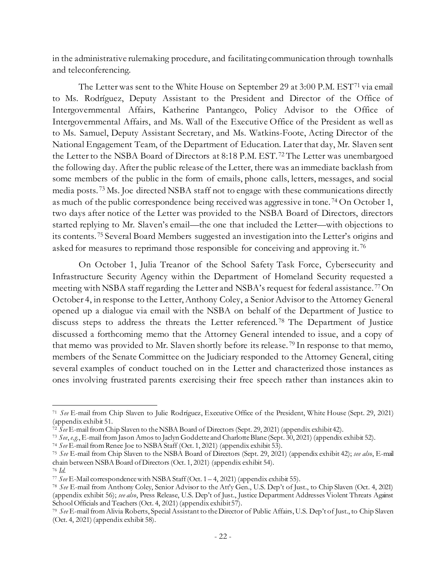in the administrative rulemaking procedure, and facilitating communication through townhalls and teleconferencing.

The Letter was sent to the White House on September 29 at 3:00 P.M. EST<sup>71</sup> via email to Ms. Rodríguez, Deputy Assistant to the President and Director of the Office of Intergovernmental Affairs, Katherine Pantangco, Policy Advisor to the Office of Intergovernmental Affairs, and Ms. Wall of the Executive Office of the President as well as to Ms. Samuel, Deputy Assistant Secretary, and Ms. Watkins-Foote, Acting Director of the National Engagement Team, of the Department of Education. Later that day, Mr. Slaven sent the Letter to the NSBA Board of Directors at 8:18 P.M. EST.<sup>72</sup> The Letter was unembargoed the following day. After the public release of the Letter, there was an immediate backlash from some members of the public in the form of emails, phone calls, letters, messages, and social media posts. <sup>73</sup> Ms. Joe directed NSBA staff not to engage with these communications directly as much of the public correspondence being received was aggressive in tone. <sup>74</sup> On October 1, two days after notice of the Letter was provided to the NSBA Board of Directors, directors started replying to Mr. Slaven's email—the one that included the Letter—with objections to its contents. <sup>75</sup> Several Board Members suggested an investigation into the Letter's origins and asked for measures to reprimand those responsible for conceiving and approving it. <sup>76</sup>

On October 1, Julia Treanor of the School Safety Task Force, Cybersecurity and Infrastructure Security Agency within the Department of Homeland Security requested a meeting with NSBA staff regarding the Letter and NSBA's request for federal assistance. 77On October 4, in response to the Letter, Anthony Coley, a Senior Advisor to the Attorney General opened up a dialogue via email with the NSBA on behalf of the Department of Justice to discuss steps to address the threats the Letter referenced. <sup>78</sup> The Department of Justice discussed a forthcoming memo that the Attorney General intended to issue, and a copy of that memo was provided to Mr. Slaven shortly before its release. <sup>79</sup> In response to that memo, members of the Senate Committee on the Judiciary responded to the Attorney General, citing several examples of conduct touched on in the Letter and characterized those instances as ones involving frustrated parents exercising their free speech rather than instances akin to

<sup>71</sup> *See* E-mail from Chip Slaven to Julie Rodríguez, Executive Office of the President, White House (Sept. 29, 2021)

 $\frac{1}{27}$  *See* E-mail from Chip Slaven to the NSBA Board of Directors (Sept. 29, 2021) (appendix exhibit 42).

<sup>73</sup> *See*, *e.g.*, E-mail from Jason Amos to Jaclyn Goddette and Charlotte Blane (Sept. 30, 2021) (appendix exhibit 52). 74 *See* E-mail from Renee Joe to NSBA Staff (Oct. 1, 2021) (appendix exhibit 53).

<sup>75</sup> *See* E-mail from Chip Slaven to the NSBA Board of Directors (Sept. 29, 2021) (appendix exhibit 42); *see also*, E-mail chain between NSBA Board of Directors (Oct. 1, 2021) (appendix exhibit 54). 76 *Id*. 77 *See* E-Mail correspondence with NSBA Staff (Oct. 1 – 4, 2021) (appendix exhibit 55).

<sup>78</sup> *See* E-mail from Anthony Coley, Senior Advisor to the Att'y Gen., U.S. Dep't of Just., to Chip Slaven (Oct. 4, 2021) (appendix exhibit 56); *see also*, Press Release, U.S. Dep't of Just., Justice Department Addresses Violent Threats Against School Officials and Teachers (Oct. 4, 2021) (appendix exhibit 57).

<sup>79</sup> *See* E-mail from Alivia Roberts, Special Assistant to the Director of Public Affairs, U.S. Dep't of Just., to Chip Slaven (Oct. 4, 2021) (appendix exhibit 58).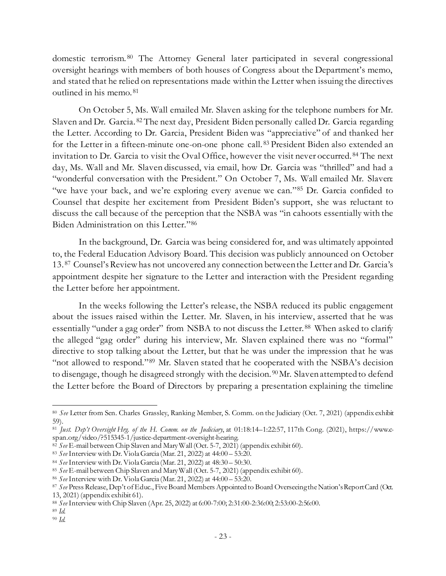domestic terrorism. <sup>80</sup> The Attorney General later participated in several congressional oversight hearings with members of both houses of Congress about the Department's memo, and stated that he relied on representations made within the Letter when issuing the directives outlined in his memo. <sup>81</sup>

On October 5, Ms. Wall emailed Mr. Slaven asking for the telephone numbers for Mr. Slaven and Dr. Garcia. <sup>82</sup> The next day, President Biden personally called Dr. Garcia regarding the Letter. According to Dr. Garcia, President Biden was "appreciative" of and thanked her for the Letter in a fifteen-minute one-on-one phone call. <sup>83</sup> President Biden also extended an invitation to Dr. Garcia to visit the Oval Office, however the visit never occurred. <sup>84</sup> The next day, Ms. Wall and Mr. Slaven discussed, via email, how Dr. Garcia was "thrilled" and had a "wonderful conversation with the President." On October 7, Ms. Wall emailed Mr. Slaven: "we have your back, and we're exploring every avenue we can."85 Dr. Garcia confided to Counsel that despite her excitement from President Biden's support, she was reluctant to discuss the call because of the perception that the NSBA was "in cahoots essentially with the Biden Administration on this Letter."86

In the background, Dr. Garcia was being considered for, and was ultimately appointed to, the Federal Education Advisory Board. This decision was publicly announced on October 13. 87 Counsel's Review has not uncovered any connection between the Letter and Dr. Garcia's appointment despite her signature to the Letter and interaction with the President regarding the Letter before her appointment.

In the weeks following the Letter's release, the NSBA reduced its public engagement about the issues raised within the Letter. Mr. Slaven, in his interview, asserted that he was essentially "under a gag order" from NSBA to not discuss the Letter.<sup>88</sup> When asked to clarify the alleged "gag order" during his interview, Mr. Slaven explained there was no "formal" directive to stop talking about the Letter, but that he was under the impression that he was "not allowed to respond."89 Mr. Slaven stated that he cooperated with the NSBA's decision to disengage, though he disagreed strongly with the decision.<sup>90</sup>Mr. Slaven attempted to defend the Letter before the Board of Directors by preparing a presentation explaining the timeline

<sup>80</sup> *See* Letter from Sen. Charles Grassley, Ranking Member, S. Comm. on the Judiciary (Oct. 7, 2021) (appendix exhibit

<sup>59).&</sup>lt;br><sup>81</sup> *Just. Dep't Oversight Hrg. of the H. Comm. on the Judiciary*, at 01:18:14–1:22:57, 117th Cong. (2021), https://www.c-<br>span.org/video/?515345-1/justice-department-oversight-hearing.

<sup>&</sup>lt;sup>82</sup> See E-mail between Chip Slaven and Mary Wall (Oct. 5-7, 2021) (appendix exhibit 60).<br><sup>83</sup> See Interview with Dr. Viola Garcia (Mar. 21, 2022) at 44:00 – 53:20.

<sup>&</sup>lt;sup>84</sup> See Interview with Dr. Viola Garcia (Mar. 21, 2022) at 48:30 – 50:30.<br><sup>85</sup> See E-mail between Chip Slaven and Mary Wall (Oct. 5-7, 2021) (appendix exhibit 60).<br><sup>86</sup> See Interview with Dr. Viola Garcia (Mar. 21, 2022) 13, 2021) (appendix exhibit 61).

<sup>88</sup> *See* Interview with Chip Slaven (Apr. 25, 2022) at 6:00-7:00; 2:31:00-2:36:00; 2:53:00-2:56:00.

<sup>89</sup> *Id.* 90 *Id.*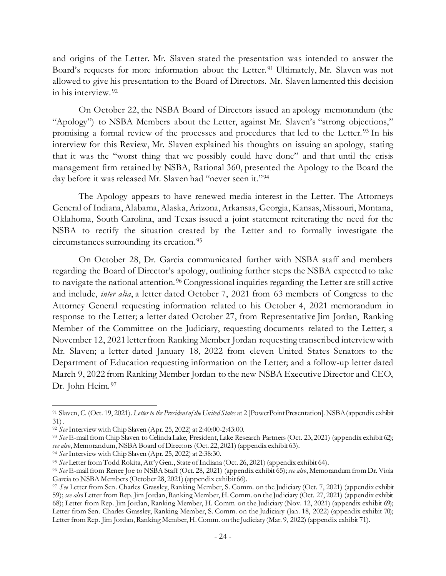and origins of the Letter. Mr. Slaven stated the presentation was intended to answer the Board's requests for more information about the Letter.<sup>91</sup> Ultimately, Mr. Slaven was not allowed to give his presentation to the Board of Directors. Mr. Slaven lamented this decision in his interview. 92

On October 22, the NSBA Board of Directors issued an apology memorandum (the "Apology") to NSBA Members about the Letter, against Mr. Slaven's "strong objections," promising a formal review of the processes and procedures that led to the Letter. <sup>93</sup> In his interview for this Review, Mr. Slaven explained his thoughts on issuing an apology, stating that it was the "worst thing that we possibly could have done" and that until the crisis management firm retained by NSBA, Rational 360, presented the Apology to the Board the day before it was released Mr. Slaven had "never seen it."94

The Apology appears to have renewed media interest in the Letter. The Attorneys General of Indiana, Alabama, Alaska, Arizona, Arkansas, Georgia, Kansas, Missouri, Montana, Oklahoma, South Carolina, and Texas issued a joint statement reiterating the need for the NSBA to rectify the situation created by the Letter and to formally investigate the circumstances surrounding its creation. 95

On October 28, Dr. Garcia communicated further with NSBA staff and members regarding the Board of Director's apology, outlining further steps the NSBA expected to take to navigate the national attention. 96 Congressional inquiries regarding the Letter are still active and include, *inter alia*, a letter dated October 7, 2021 from 63 members of Congress to the Attorney General requesting information related to his October 4, 2021 memorandum in response to the Letter; a letter dated October 27, from Representative Jim Jordan, Ranking Member of the Committee on the Judiciary, requesting documents related to the Letter; a November 12, 2021 letter from Ranking Member Jordan requesting transcribed interviewwith Mr. Slaven; a letter dated January 18, 2022 from eleven United States Senators to the Department of Education requesting information on the Letter; and a follow-up letter dated March 9, 2022 from Ranking Member Jordan to the new NSBA Executive Director and CEO, Dr. John Heim. 97

<sup>91</sup> Slaven, C. (Oct. 19, 2021). *Letter to the President of the United States* at 2 [PowerPoint Presentation]. NSBA (appendix exhibit 31) .

<sup>92</sup> *See* Interview with Chip Slaven (Apr. 25, 2022) at 2:40:00-2:43:00.

<sup>&</sup>lt;sup>93</sup> *See* E-mail from Chip Slaven to Celinda Lake, President, Lake Research Partners (Oct. 23, 2021) (appendix exhibit 62);<br>see also, Memorandum, NSBA Board of Directors (Oct. 22, 2021) (appendix exhibit 63).

<sup>&</sup>lt;sup>94</sup> See Interview with Chip Slaven (Apr. 25, 2022) at 2:38:30.<br><sup>95</sup> See Letter from Todd Rokita, Att'y Gen., State of Indiana (Oct. 26, 2021) (appendix exhibit 64).<br><sup>96</sup> See E-mail from Renee Joe to NSBA Staff (Oct. 28, 2

<sup>&</sup>lt;sup>97</sup> See Letter from Sen. Charles Grassley, Ranking Member, S. Comm. on the Judiciary (Oct. 7, 2021) (appendix exhibit 59); *see also* Letter from Rep. Jim Jordan, Ranking Member, H. Comm. on the Judiciary (Oct. 27, 2021) (appendix exhibit 68); Letter from Rep. Jim Jordan, Ranking Member, H. Comm. on the Judiciary (Nov. 12, 2021) (appendix exhibit 69); Letter from Sen. Charles Grassley, Ranking Member, S. Comm. on the Judiciary (Jan. 18, 2022) (appendix exhibit 70); Letter from Rep. Jim Jordan, Ranking Member, H. Comm. on the Judiciary (Mar. 9, 2022) (appendix exhibit 71).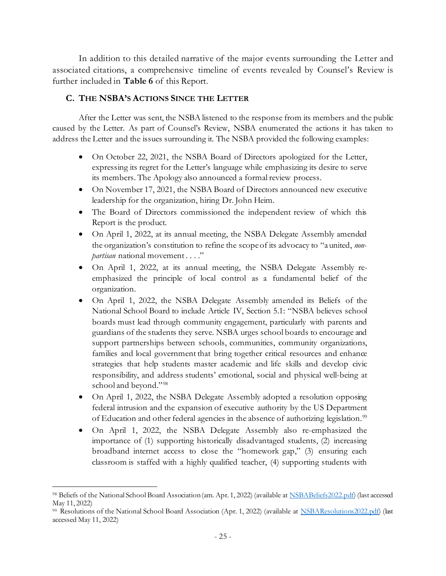In addition to this detailed narrative of the major events surrounding the Letter and associated citations, a comprehensive timeline of events revealed by Counsel's Review is further included in **Table 6** of this Report.

#### **C. THE NSBA'S ACTIONS SINCE THE LETTER**

After the Letter was sent, the NSBA listened to the response from its members and the public caused by the Letter. As part of Counsel's Review, NSBA enumerated the actions it has taken to address the Letter and the issues surrounding it. The NSBA provided the following examples:

- On October 22, 2021, the NSBA Board of Directors apologized for the Letter, expressing its regret for the Letter's language while emphasizing its desire to serve its members. The Apology also announced a formal review process.
- On November 17, 2021, the NSBA Board of Directors announced new executive leadership for the organization, hiring Dr. John Heim.
- The Board of Directors commissioned the independent review of which this Report is the product.
- On April 1, 2022, at its annual meeting, the NSBA Delegate Assembly amended the organization's constitution to refine the scope of its advocacy to "a united, *nonpartisan* national movement . . . ."
- On April 1, 2022, at its annual meeting, the NSBA Delegate Assembly reemphasized the principle of local control as a fundamental belief of the organization.
- On April 1, 2022, the NSBA Delegate Assembly amended its Beliefs of the National School Board to include Article IV, Section 5.1: "NSBA believes school boards must lead through community engagement, particularly with parents and guardians of the students they serve. NSBA urges school boards to encourage and support partnerships between schools, communities, community organizations, families and local government that bring together critical resources and enhance strategies that help students master academic and life skills and develop civic responsibility, and address students' emotional, social and physical well-being at school and beyond."<sup>98</sup>
- On April 1, 2022, the NSBA Delegate Assembly adopted a resolution opposing federal intrusion and the expansion of executive authority by the US Department of Education and other federal agencies in the absence of authorizing legislation.<sup>99</sup>
- On April 1, 2022, the NSBA Delegate Assembly also re-emphasized the importance of (1) supporting historically disadvantaged students, (2) increasing broadband internet access to close the "homework gap," (3) ensuring each classroom is staffed with a highly qualified teacher, (4) supporting students with

<sup>98</sup> Beliefs of the National School Board Association (am. Apr. 1, 2022) (available at NSBABeliefs2022.pdf) (last accessed May 11, 2022)

<sup>99</sup> Resolutions of the National School Board Association (Apr. 1, 2022) (available at NSBAResolutions2022.pdf) (last accessed May 11, 2022)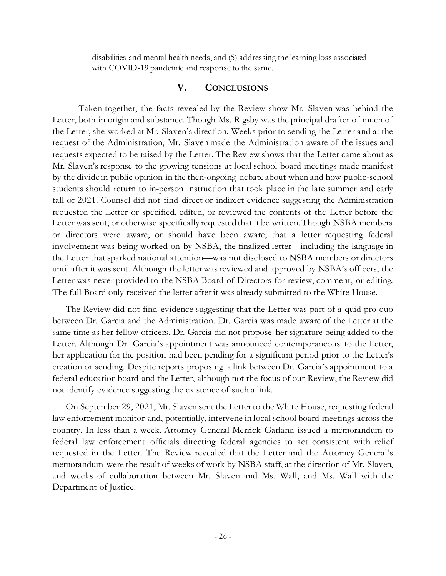disabilities and mental health needs, and (5) addressing the learning loss associated with COVID-19 pandemic and response to the same.

## **V. CONCLUSIONS**

Taken together, the facts revealed by the Review show Mr. Slaven was behind the Letter, both in origin and substance. Though Ms. Rigsby was the principal drafter of much of the Letter, she worked at Mr. Slaven's direction. Weeks prior to sending the Letter and at the request of the Administration, Mr. Slaven made the Administration aware of the issues and requests expected to be raised by the Letter. The Review shows that the Letter came about as Mr. Slaven's response to the growing tensions at local school board meetings made manifest by the divide in public opinion in the then-ongoing debate about when and how public-school students should return to in-person instruction that took place in the late summer and early fall of 2021. Counsel did not find direct or indirect evidence suggesting the Administration requested the Letter or specified, edited, or reviewed the contents of the Letter before the Letter was sent, or otherwise specifically requested that it be written. Though NSBA members or directors were aware, or should have been aware, that a letter requesting federal involvement was being worked on by NSBA, the finalized letter—including the language in the Letter that sparked national attention—was not disclosed to NSBA members or directors until after it was sent. Although the letter was reviewed and approved by NSBA's officers, the Letter was never provided to the NSBA Board of Directors for review, comment, or editing. The full Board only received the letter afterit was already submitted to the White House.

The Review did not find evidence suggesting that the Letter was part of a quid pro quo between Dr. Garcia and the Administration. Dr. Garcia was made aware of the Letter at the same time as her fellow officers. Dr. Garcia did not propose her signature being added to the Letter. Although Dr. Garcia's appointment was announced contemporaneous to the Letter, her application for the position had been pending for a significant period prior to the Letter's creation or sending. Despite reports proposing a link between Dr. Garcia's appointment to a federal education board and the Letter, although not the focus of our Review, the Review did not identify evidence suggesting the existence of such a link.

On September 29, 2021, Mr. Slaven sent the Letter to the White House, requesting federal law enforcement monitor and, potentially, intervene in local school board meetings across the country. In less than a week, Attorney General Merrick Garland issued a memorandum to federal law enforcement officials directing federal agencies to act consistent with relief requested in the Letter. The Review revealed that the Letter and the Attorney General's memorandum were the result of weeks of work by NSBA staff, at the direction of Mr. Slaven, and weeks of collaboration between Mr. Slaven and Ms. Wall, and Ms. Wall with the Department of Justice.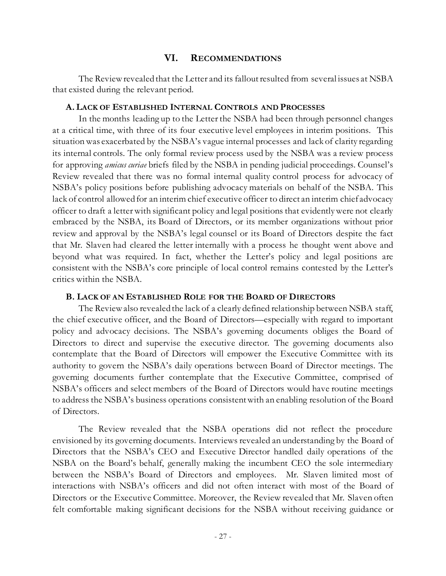## **VI. RECOMMENDATIONS**

The Review revealed that the Letter and its fallout resulted from several issues at NSBA that existed during the relevant period.

#### **A. LACK OF ESTABLISHED INTERNAL CONTROLS AND PROCESSES**

In the months leading up to the Letter the NSBA had been through personnel changes at a critical time, with three of its four executive level employees in interim positions. This situation was exacerbated by the NSBA's vague internal processes and lack of clarity regarding its internal controls. The only formal review process used by the NSBA was a review process for approving *amicus curiae* briefs filed by the NSBA in pending judicial proceedings. Counsel's Review revealed that there was no formal internal quality control process for advocacy of NSBA's policy positions before publishing advocacy materials on behalf of the NSBA. This lack of control allowed for an interim chief executive officer to direct an interim chief advocacy officer to draft a letter with significant policy and legal positions that evidently were not clearly embraced by the NSBA, its Board of Directors, or its member organizations without prior review and approval by the NSBA's legal counsel or its Board of Directors despite the fact that Mr. Slaven had cleared the letter internally with a process he thought went above and beyond what was required. In fact, whether the Letter's policy and legal positions are consistent with the NSBA's core principle of local control remains contested by the Letter's critics within the NSBA.

#### **B. LACK OF AN ESTABLISHED ROLE FOR THE BOARD OF DIRECTORS**

The Review also revealed the lack of a clearly defined relationship between NSBA staff, the chief executive officer, and the Board of Directors—especially with regard to important policy and advocacy decisions. The NSBA's governing documents obliges the Board of Directors to direct and supervise the executive director. The governing documents also contemplate that the Board of Directors will empower the Executive Committee with its authority to govern the NSBA's daily operations between Board of Director meetings. The governing documents further contemplate that the Executive Committee, comprised of NSBA's officers and select members of the Board of Directors would have routine meetings to address the NSBA's business operations consistent with an enabling resolution of the Board of Directors.

The Review revealed that the NSBA operations did not reflect the procedure envisioned by its governing documents. Interviews revealed an understanding by the Board of Directors that the NSBA's CEO and Executive Director handled daily operations of the NSBA on the Board's behalf, generally making the incumbent CEO the sole intermediary between the NSBA's Board of Directors and employees. Mr. Slaven limited most of interactions with NSBA's officers and did not often interact with most of the Board of Directors or the Executive Committee. Moreover, the Review revealed that Mr. Slaven often felt comfortable making significant decisions for the NSBA without receiving guidance or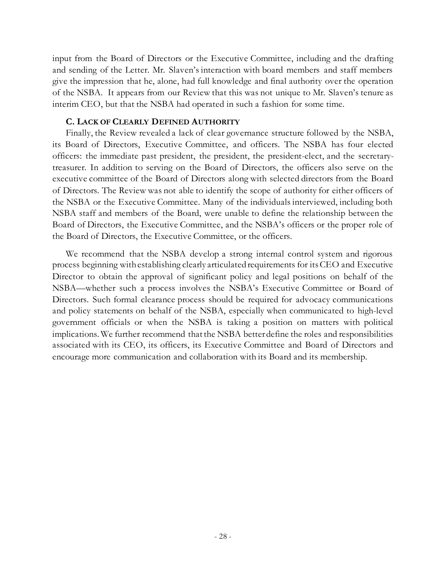input from the Board of Directors or the Executive Committee, including and the drafting and sending of the Letter. Mr. Slaven's interaction with board members and staff members give the impression that he, alone, had full knowledge and final authority over the operation of the NSBA. It appears from our Review that this was not unique to Mr. Slaven's tenure as interim CEO, but that the NSBA had operated in such a fashion for some time.

#### **C. LACK OF CLEARLY DEFINED AUTHORITY**

Finally, the Review revealed a lack of clear governance structure followed by the NSBA, its Board of Directors, Executive Committee, and officers. The NSBA has four elected officers: the immediate past president, the president, the president-elect, and the secretarytreasurer. In addition to serving on the Board of Directors, the officers also serve on the executive committee of the Board of Directors along with selected directors from the Board of Directors. The Review was not able to identify the scope of authority for either officers of the NSBA or the Executive Committee. Many of the individuals interviewed, including both NSBA staff and members of the Board, were unable to define the relationship between the Board of Directors, the Executive Committee, and the NSBA's officers or the proper role of the Board of Directors, the Executive Committee, or the officers.

We recommend that the NSBA develop a strong internal control system and rigorous process beginning with establishing clearly articulated requirements for its CEO and Executive Director to obtain the approval of significant policy and legal positions on behalf of the NSBA—whether such a process involves the NSBA's Executive Committee or Board of Directors. Such formal clearance process should be required for advocacy communications and policy statements on behalf of the NSBA, especially when communicated to high-level government officials or when the NSBA is taking a position on matters with political implications. We further recommend that the NSBA better define the roles and responsibilities associated with its CEO, its officers, its Executive Committee and Board of Directors and encourage more communication and collaboration with its Board and its membership.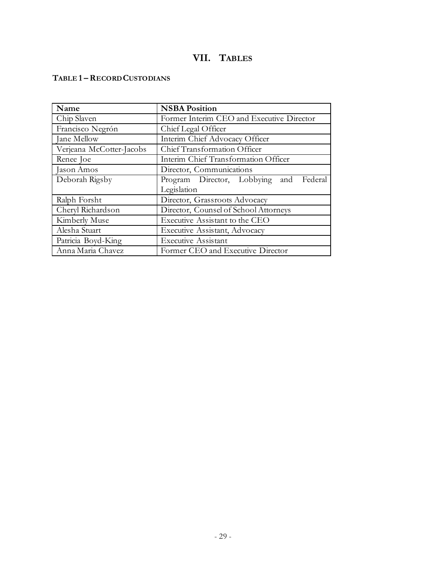# **VII. TABLES**

## **TABLE 1 –RECORD CUSTODIANS**

| Name                     | <b>NSBA Position</b>                      |  |
|--------------------------|-------------------------------------------|--|
| Chip Slaven              | Former Interim CEO and Executive Director |  |
| Francisco Negrón         | Chief Legal Officer                       |  |
| Jane Mellow              | Interim Chief Advocacy Officer            |  |
| Verjeana McCotter-Jacobs | Chief Transformation Officer              |  |
| Renee Joe                | Interim Chief Transformation Officer      |  |
| Jason Amos               | Director, Communications                  |  |
| Deborah Rigsby           | Federal<br>Program Director, Lobbying and |  |
|                          | Legislation                               |  |
| Ralph Forsht             | Director, Grassroots Advocacy             |  |
| Cheryl Richardson        | Director, Counsel of School Attorneys     |  |
| Kimberly Muse            | Executive Assistant to the CEO            |  |
| Alesha Stuart            | Executive Assistant, Advocacy             |  |
| Patricia Boyd-King       | <b>Executive Assistant</b>                |  |
| Anna Maria Chavez        | Former CEO and Executive Director         |  |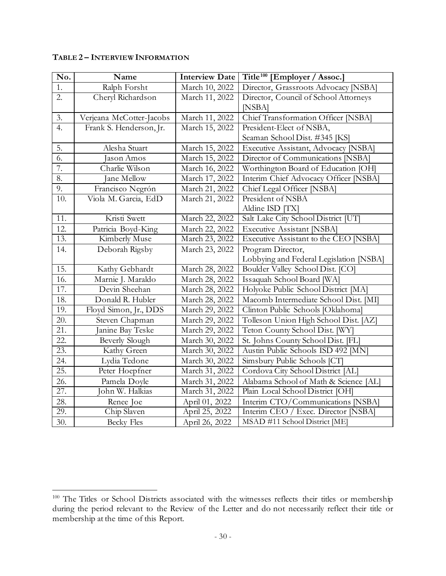| No.               | $\overline{\mathbf{N}}$ ame | <b>Interview Date</b> | Title <sup>100</sup> [Employer / Assoc.] |
|-------------------|-----------------------------|-----------------------|------------------------------------------|
| 1.                | Ralph Forsht                | March 10, 2022        | Director, Grassroots Advocacy [NSBA]     |
| $\overline{2}$ .  | Cheryl Richardson           | March 11, 2022        | Director, Council of School Attorneys    |
|                   |                             |                       | [NSBA]                                   |
| 3.                | Verjeana McCotter-Jacobs    | March 11, 2022        | Chief Transformation Officer [NSBA]      |
| 4.                | Frank S. Henderson, Jr.     | March 15, 2022        | President-Elect of NSBA,                 |
|                   |                             |                       | Seaman School Dist. #345 [KS]            |
| 5.                | Alesha Stuart               | March 15, 2022        | Executive Assistant, Advocacy [NSBA]     |
| $\overline{6}$ .  | Jason Amos                  | March 15, 2022        | Director of Communications [NSBA]        |
| 7.                | Charlie Wilson              | March 16, 2022        | Worthington Board of Education [OH]      |
| 8.                | Jane Mellow                 | March 17, 2022        | Interim Chief Advocacy Officer [NSBA]    |
| 9.                | Francisco Negrón            | March 21, 2022        | Chief Legal Officer [NSBA]               |
| 10.               | Viola M. Garcia, EdD        | March 21, 2022        | President of NSBA                        |
|                   |                             |                       | Aldine ISD [TX]                          |
| 11.               | Kristi Swett                | March 22, 2022        | Salt Lake City School District [UT]      |
| 12.               | Patricia Boyd-King          | March 22, 2022        | <b>Executive Assistant [NSBA]</b>        |
| $\overline{13}$ . | Kimberly Muse               | March 23, 2022        | Executive Assistant to the CEO [NSBA]    |
| 14.               | Deborah Rigsby              | March 23, 2022        | Program Director,                        |
|                   |                             |                       | Lobbying and Federal Legislation [NSBA]  |
| 15.               | Kathy Gebhardt              | March 28, 2022        | Boulder Valley School Dist. [CO]         |
| 16.               | Marnie J. Maraldo           | March 28, 2022        | Issaquah School Board [WA]               |
| 17.               | Devin Sheehan               | March 28, 2022        | Holyoke Public School District [MA]      |
| 18.               | Donald R. Hubler            | March 28, 2022        | Macomb Intermediate School Dist. [MI]    |
| 19.               | Floyd Simon, Jr., DDS       | March 29, 2022        | Clinton Public Schools [Oklahoma]        |
| 20.               | Steven Chapman              | March 29, 2022        | Tolleson Union High School Dist. [AZ]    |
| 21.               | Janine Bay Teske            | March 29, 2022        | Teton County School Dist. [WY]           |
| 22.               | <b>Beverly Slough</b>       | March 30, 2022        | St. Johns County School Dist. [FL]       |
| $\overline{23}$ . | Kathy Green                 | March 30, 2022        | Austin Public Schools ISD 492 [MN]       |
| 24.               | Lydia Tedone                | March 30, 2022        | Simsbury Public Schools [CT]             |
| 25.               | Peter Hoepfner              | March 31, 2022        | Cordova City School District [AL]        |
| 26.               | Pamela Doyle                | March 31, 2022        | Alabama School of Math & Science [AL]    |
| 27.               | John W. Halkias             | March 31, 2022        | Plain Local School District [OH]         |
| 28.               | Renee Joe                   | April 01, 2022        | Interim CTO/Communications [NSBA]        |
| 29.               | Chip Slaven                 | April 25, 2022        | Interim CEO / Exec. Director [NSBA]      |
| 30.               | <b>Becky Fles</b>           | April 26, 2022        | MSAD #11 School District [ME]            |

## **TABLE 2 – INTERVIEW INFORMATION**

<sup>&</sup>lt;sup>100</sup> The Titles or School Districts associated with the witnesses reflects their titles or membership during the period relevant to the Review of the Letter and do not necessarily reflect their title or membership at the time of this Report.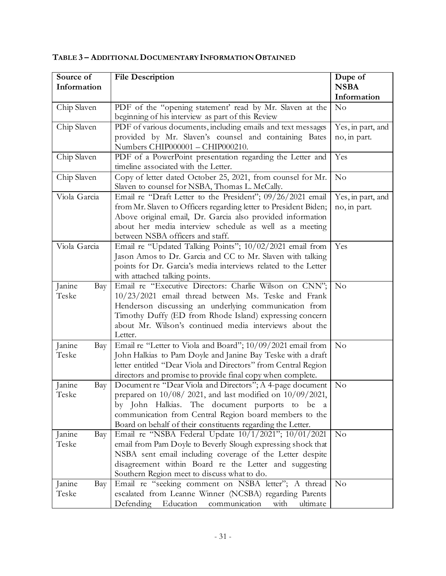| Source of     | <b>File Description</b>                                                                                               | Dupe of           |
|---------------|-----------------------------------------------------------------------------------------------------------------------|-------------------|
| Information   |                                                                                                                       | <b>NSBA</b>       |
|               |                                                                                                                       | Information       |
| Chip Slaven   | PDF of the "opening statement' read by Mr. Slaven at the                                                              | No                |
|               | beginning of his interview as part of this Review                                                                     |                   |
| Chip Slaven   | PDF of various documents, including emails and text messages                                                          | Yes, in part, and |
|               | provided by Mr. Slaven's counsel and containing Bates                                                                 | no, in part.      |
|               | Numbers CHIP000001 - CHIP000210.                                                                                      |                   |
| Chip Slaven   | PDF of a PowerPoint presentation regarding the Letter and                                                             | Yes               |
|               | timeline associated with the Letter.                                                                                  |                   |
| Chip Slaven   | Copy of letter dated October 25, 2021, from counsel for Mr.                                                           | No                |
|               | Slaven to counsel for NSBA, Thomas L. McCally.                                                                        |                   |
| Viola Garcia  | Email re "Draft Letter to the President"; 09/26/2021 email                                                            | Yes, in part, and |
|               | from Mr. Slaven to Officers regarding letter to President Biden;                                                      | no, in part.      |
|               | Above original email, Dr. Garcia also provided information                                                            |                   |
|               | about her media interview schedule as well as a meeting                                                               |                   |
|               | between NSBA officers and staff.                                                                                      |                   |
| Viola Garcia  | Email re "Updated Talking Points"; 10/02/2021 email from                                                              | Yes               |
|               | Jason Amos to Dr. Garcia and CC to Mr. Slaven with talking                                                            |                   |
|               | points for Dr. Garcia's media interviews related to the Letter                                                        |                   |
|               | with attached talking points.                                                                                         |                   |
| Janine<br>Bay | Email re "Executive Directors: Charlie Wilson on CNN";                                                                | No                |
| Teske         | 10/23/2021 email thread between Ms. Teske and Frank                                                                   |                   |
|               | Henderson discussing an underlying communication from                                                                 |                   |
|               | Timothy Duffy (ED from Rhode Island) expressing concern                                                               |                   |
|               | about Mr. Wilson's continued media interviews about the                                                               |                   |
|               | Letter.                                                                                                               |                   |
| Janine<br>Bay | Email re "Letter to Viola and Board"; 10/09/2021 email from                                                           | No                |
| Teske         | John Halkias to Pam Doyle and Janine Bay Teske with a draft                                                           |                   |
|               | letter entitled "Dear Viola and Directors" from Central Region                                                        |                   |
|               | directors and promise to provide final copy when complete.                                                            |                   |
| Janine<br>Bay | Document re "Dear Viola and Directors"; A 4-page document                                                             | No                |
| Teske         | prepared on $10/08/2021$ , and last modified on $10/09/2021$ ,                                                        |                   |
|               | by John Halkias. The document purports to be a                                                                        |                   |
|               | communication from Central Region board members to the<br>Board on behalf of their constituents regarding the Letter. |                   |
| Janine        | Email re "NSBA Federal Update 10/1/2021"; 10/01/2021                                                                  | No                |
| Bay<br>Teske  | email from Pam Doyle to Beverly Slough expressing shock that                                                          |                   |
|               | NSBA sent email including coverage of the Letter despite                                                              |                   |
|               | disagreement within Board re the Letter and suggesting                                                                |                   |
|               | Southern Region meet to discuss what to do.                                                                           |                   |
| Janine<br>Bay | Email re "seeking comment on NSBA letter"; A thread                                                                   | No                |
| Teske         | escalated from Leanne Winner (NCSBA) regarding Parents                                                                |                   |
|               | Defending<br>Education<br>ultimate<br>communication<br>with                                                           |                   |

**TABLE 3 – ADDITIONAL DOCUMENTARY INFORMATION OBTAINED**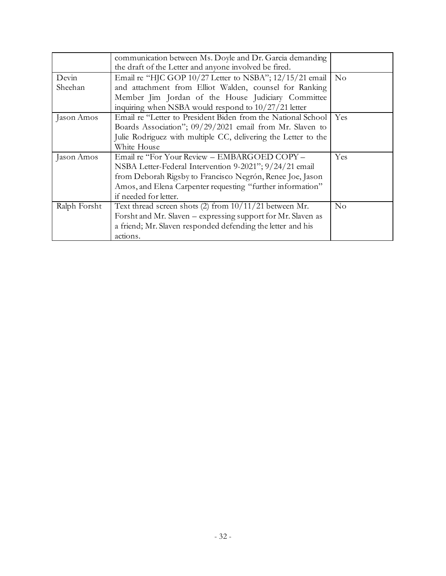|              | communication between Ms. Doyle and Dr. Garcia demanding<br>the draft of the Letter and anyone involved be fired. |          |
|--------------|-------------------------------------------------------------------------------------------------------------------|----------|
| Devin        | Email re "HJC GOP 10/27 Letter to NSBA"; 12/15/21 email   No                                                      |          |
| Sheehan      | and attachment from Elliot Walden, counsel for Ranking                                                            |          |
|              | Member Jim Jordan of the House Judiciary Committee                                                                |          |
|              | inquiring when NSBA would respond to $10/27/21$ letter                                                            |          |
| Jason Amos   | Email re "Letter to President Biden from the National School   Yes                                                |          |
|              | Boards Association"; 09/29/2021 email from Mr. Slaven to                                                          |          |
|              | Julie Rodriguez with multiple CC, delivering the Letter to the                                                    |          |
|              | White House                                                                                                       |          |
| Jason Amos   | Email re "For Your Review - EMBARGOED COPY -                                                                      | Yes      |
|              | NSBA Letter-Federal Intervention 9-2021"; 9/24/21 email                                                           |          |
|              | from Deborah Rigsby to Francisco Negrón, Renee Joe, Jason                                                         |          |
|              | Amos, and Elena Carpenter requesting "further information"                                                        |          |
|              | if needed for letter.                                                                                             |          |
| Ralph Forsht | Text thread screen shots (2) from $10/11/21$ between Mr.                                                          | $\rm No$ |
|              | Forsht and Mr. Slaven - expressing support for Mr. Slaven as                                                      |          |
|              | a friend; Mr. Slaven responded defending the letter and his                                                       |          |
|              | actions.                                                                                                          |          |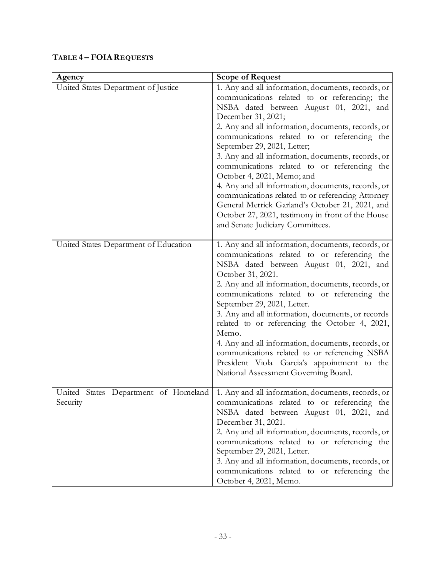| Agency                                | <b>Scope of Request</b>                                                                                                                                                                                                                                                                                                                                                                                                                                                                                                                                                                                                                                                                              |
|---------------------------------------|------------------------------------------------------------------------------------------------------------------------------------------------------------------------------------------------------------------------------------------------------------------------------------------------------------------------------------------------------------------------------------------------------------------------------------------------------------------------------------------------------------------------------------------------------------------------------------------------------------------------------------------------------------------------------------------------------|
| United States Department of Justice   | 1. Any and all information, documents, records, or<br>communications related to or referencing; the<br>NSBA dated between August 01, 2021, and<br>December 31, 2021;<br>2. Any and all information, documents, records, or<br>communications related to or referencing the<br>September 29, 2021, Letter;<br>3. Any and all information, documents, records, or<br>communications related to or referencing the<br>October 4, 2021, Memo; and<br>4. Any and all information, documents, records, or<br>communications related to or referencing Attorney<br>General Merrick Garland's October 21, 2021, and<br>October 27, 2021, testimony in front of the House<br>and Senate Judiciary Committees. |
| United States Department of Education | 1. Any and all information, documents, records, or<br>communications related to or referencing the<br>NSBA dated between August 01, 2021, and<br>October 31, 2021.<br>2. Any and all information, documents, records, or<br>communications related to or referencing the<br>September 29, 2021, Letter.<br>3. Any and all information, documents, or records<br>related to or referencing the October 4, 2021,<br>Memo.<br>4. Any and all information, documents, records, or<br>communications related to or referencing NSBA<br>President Viola Garcia's appointment to the<br>National Assessment Governing Board.                                                                                |
| United<br>Security                    | States Department of Homeland 1. Any and all information, documents, records, or<br>communications related to or referencing the<br>NSBA dated between August 01, 2021, and<br>December 31, 2021.<br>2. Any and all information, documents, records, or<br>communications related to or referencing the<br>September 29, 2021, Letter.<br>3. Any and all information, documents, records, or<br>communications related to or referencing the<br>October 4, 2021, Memo.                                                                                                                                                                                                                               |

## **TABLE 4 – FOIAREQUESTS**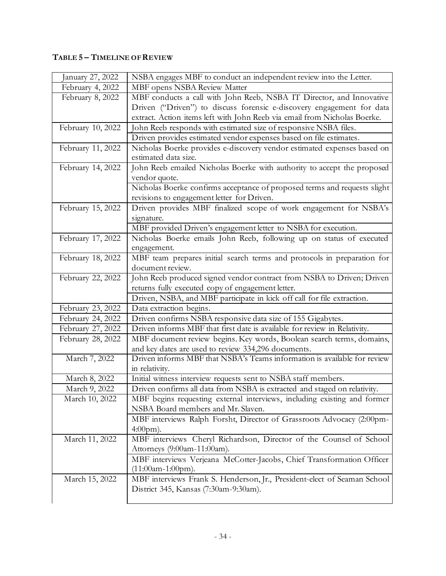## **TABLE 5 – TIMELINE OF REVIEW**

| January 27, 2022  | NSBA engages MBF to conduct an independent review into the Letter.                              |
|-------------------|-------------------------------------------------------------------------------------------------|
| February 4, 2022  | MBF opens NSBA Review Matter                                                                    |
| February 8, 2022  | MBF conducts a call with John Reeb, NSBA IT Director, and Innovative                            |
|                   | Driven ("Driven") to discuss forensic e-discovery engagement for data                           |
|                   | extract. Action items left with John Reeb via email from Nicholas Boerke.                       |
| February 10, 2022 | John Reeb responds with estimated size of responsive NSBA files.                                |
|                   | Driven provides estimated vendor expenses based on file estimates.                              |
| February 11, 2022 | Nicholas Boerke provides e-discovery vendor estimated expenses based on<br>estimated data size. |
| February 14, 2022 | John Reeb emailed Nicholas Boerke with authority to accept the proposed                         |
|                   | vendor quote.                                                                                   |
|                   | Nicholas Boerke confirms acceptance of proposed terms and requests slight                       |
|                   | revisions to engagement letter for Driven.                                                      |
| February 15, 2022 | Driven provides MBF finalized scope of work engagement for NSBA's                               |
|                   | signature.                                                                                      |
|                   | MBF provided Driven's engagement letter to NSBA for execution.                                  |
| February 17, 2022 | Nicholas Boerke emails John Reeb, following up on status of executed                            |
|                   | engagement.                                                                                     |
| February 18, 2022 | MBF team prepares initial search terms and protocols in preparation for                         |
|                   | document review.                                                                                |
| February 22, 2022 | John Reeb produced signed vendor contract from NSBA to Driven; Driven                           |
|                   | returns fully executed copy of engagement letter.                                               |
|                   | Driven, NSBA, and MBF participate in kick off call for file extraction.                         |
| February 23, 2022 | Data extraction begins.                                                                         |
| February 24, 2022 | Driven confirms NSBA responsive data size of 155 Gigabytes.                                     |
| February 27, 2022 | Driven informs MBF that first date is available for review in Relativity.                       |
| February 28, 2022 | MBF document review begins. Key words, Boolean search terms, domains,                           |
|                   | and key dates are used to review 334,296 documents.                                             |
| March 7, 2022     | Driven informs MBF that NSBA's Teams information is available for review                        |
|                   | in relativity.                                                                                  |
| March 8, 2022     | Initial witness interview requests sent to NSBA staff members.                                  |
| March 9, 2022     | Driven confirms all data from NSBA is extracted and staged on relativity.                       |
| March 10, 2022    | MBF begins requesting external interviews, including existing and former                        |
|                   | NSBA Board members and Mr. Slaven.                                                              |
|                   | MBF interviews Ralph Forsht, Director of Grassroots Advocacy (2:00pm-                           |
|                   | $4:00 \text{pm}.$                                                                               |
| March 11, 2022    | MBF interviews Cheryl Richardson, Director of the Counsel of School                             |
|                   | Attorneys (9:00am-11:00am).                                                                     |
|                   | MBF interviews Verjeana McCotter-Jacobs, Chief Transformation Officer                           |
|                   | $(11:00am-1:00pm).$                                                                             |
| March 15, 2022    | MBF interviews Frank S. Henderson, Jr., President-elect of Seaman School                        |
|                   | District 345, Kansas (7:30am-9:30am).                                                           |
|                   |                                                                                                 |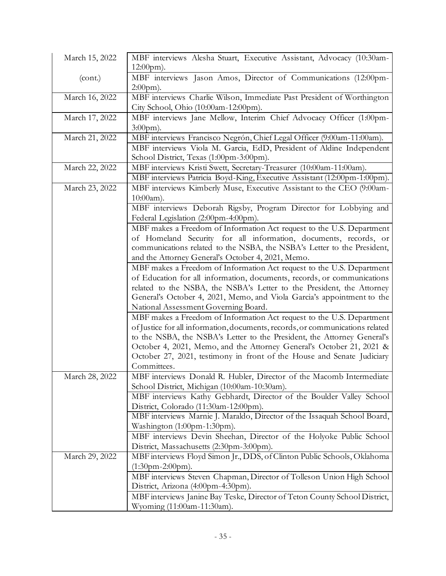| March 15, 2022 | MBF interviews Alesha Stuart, Executive Assistant, Advocacy (10:30am-<br>$12:00 \text{pm}.$                          |
|----------------|----------------------------------------------------------------------------------------------------------------------|
| (cont.)        | MBF interviews Jason Amos, Director of Communications (12:00pm-                                                      |
|                | $2:00$ pm).                                                                                                          |
| March 16, 2022 | MBF interviews Charlie Wilson, Immediate Past President of Worthington                                               |
|                | City School, Ohio (10:00am-12:00pm).                                                                                 |
| March 17, 2022 | MBF interviews Jane Mellow, Interim Chief Advocacy Officer (1:00pm-                                                  |
|                | $3:00 \text{pm}.$                                                                                                    |
| March 21, 2022 | MBF interviews Francisco Negrón, Chief Legal Officer (9:00am-11:00am).                                               |
|                | MBF interviews Viola M. Garcia, EdD, President of Aldine Independent                                                 |
|                | School District, Texas (1:00pm-3:00pm).                                                                              |
| March 22, 2022 | MBF interviews Kristi Swett, Secretary-Treasurer (10:00am-11:00am).                                                  |
|                | MBF interviews Patricia Boyd-King, Executive Assistant (12:00pm-1:00pm).                                             |
| March 23, 2022 | MBF interviews Kimberly Muse, Executive Assistant to the CEO (9:00am-                                                |
|                | $10:00am$ ).                                                                                                         |
|                | MBF interviews Deborah Rigsby, Program Director for Lobbying and                                                     |
|                | Federal Legislation (2:00pm-4:00pm).                                                                                 |
|                | MBF makes a Freedom of Information Act request to the U.S. Department                                                |
|                | of Homeland Security for all information, documents, records, or                                                     |
|                | communications related to the NSBA, the NSBA's Letter to the President,                                              |
|                | and the Attorney General's October 4, 2021, Memo.                                                                    |
|                | MBF makes a Freedom of Information Act request to the U.S. Department                                                |
|                | of Education for all information, documents, records, or communications                                              |
|                | related to the NSBA, the NSBA's Letter to the President, the Attorney                                                |
|                | General's October 4, 2021, Memo, and Viola Garcia's appointment to the                                               |
|                | National Assessment Governing Board.                                                                                 |
|                | MBF makes a Freedom of Information Act request to the U.S. Department                                                |
|                | of Justice for all information, documents, records, or communications related                                        |
|                | to the NSBA, the NSBA's Letter to the President, the Attorney General's                                              |
|                | October 4, 2021, Memo, and the Attorney General's October 21, 2021 &                                                 |
|                | October 27, 2021, testimony in front of the House and Senate Judiciary                                               |
|                | Committees.                                                                                                          |
| March 28, 2022 | MBF interviews Donald R. Hubler, Director of the Macomb Intermediate                                                 |
|                | School District, Michigan (10:00am-10:30am).                                                                         |
|                | MBF interviews Kathy Gebhardt, Director of the Boulder Valley School                                                 |
|                | District, Colorado (11:30am-12:00pm).<br>MBF interviews Marnie J. Maraldo, Director of the Issaquah School Board,    |
|                | Washington (1:00pm-1:30pm).                                                                                          |
|                |                                                                                                                      |
|                | MBF interviews Devin Sheehan, Director of the Holyoke Public School                                                  |
| March 29, 2022 | District, Massachusetts (2:30pm-3:00pm).<br>MBF interviews Floyd Simon Jr., DDS, of Clinton Public Schools, Oklahoma |
|                | $(1:30$ pm-2:00pm).                                                                                                  |
|                | MBF interviews Steven Chapman, Director of Tolleson Union High School                                                |
|                | District, Arizona (4:00pm-4:30pm).                                                                                   |
|                | MBF interviews Janine Bay Teske, Director of Teton County School District,                                           |
|                | Wyoming (11:00am-11:30am).                                                                                           |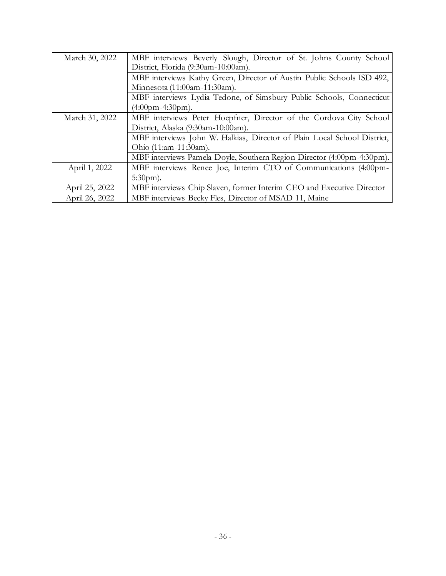| March 30, 2022 | MBF interviews Beverly Slough, Director of St. Johns County School<br>District, Florida (9:30am-10:00am). |
|----------------|-----------------------------------------------------------------------------------------------------------|
|                | MBF interviews Kathy Green, Director of Austin Public Schools ISD 492,                                    |
|                | Minnesota (11:00am-11:30am).                                                                              |
|                | MBF interviews Lydia Tedone, of Simsbury Public Schools, Connecticut                                      |
|                | $(4:00$ pm-4:30pm).                                                                                       |
| March 31, 2022 | MBF interviews Peter Hoepfner, Director of the Cordova City School                                        |
|                | District, Alaska (9:30am-10:00am).                                                                        |
|                | MBF interviews John W. Halkias, Director of Plain Local School District,                                  |
|                | Ohio (11:am-11:30am).                                                                                     |
|                | MBF interviews Pamela Doyle, Southern Region Director (4:00pm-4:30pm).                                    |
| April 1, 2022  | MBF interviews Renee Joe, Interim CTO of Communications (4:00pm-                                          |
|                | $5:30 \text{pm}$ ).                                                                                       |
| April 25, 2022 | MBF interviews Chip Slaven, former Interim CEO and Executive Director                                     |
| April 26, 2022 | MBF interviews Becky Fles, Director of MSAD 11, Maine                                                     |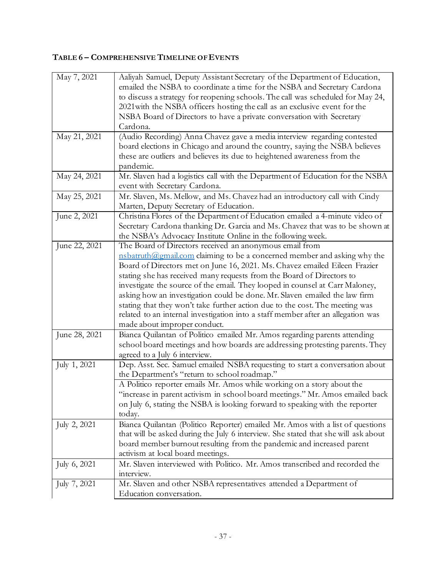# **TABLE 6 – COMPREHENSIVE TIMELINE OF EVENTS**

| May 7, 2021   | Aaliyah Samuel, Deputy Assistant Secretary of the Department of Education,         |
|---------------|------------------------------------------------------------------------------------|
|               | emailed the NSBA to coordinate a time for the NSBA and Secretary Cardona           |
|               | to discuss a strategy for reopening schools. The call was scheduled for May 24,    |
|               | 2021 with the NSBA officers hosting the call as an exclusive event for the         |
|               | NSBA Board of Directors to have a private conversation with Secretary              |
|               | Cardona.                                                                           |
| May 21, 2021  |                                                                                    |
|               | (Audio Recording) Anna Chavez gave a media interview regarding contested           |
|               | board elections in Chicago and around the country, saying the NSBA believes        |
|               | these are outliers and believes its due to heightened awareness from the           |
|               | pandemic.                                                                          |
| May 24, 2021  | Mr. Slaven had a logistics call with the Department of Education for the NSBA      |
|               | event with Secretary Cardona.                                                      |
| May 25, 2021  | Mr. Slaven, Ms. Mellow, and Ms. Chavez had an introductory call with Cindy         |
|               | Marten, Deputy Secretary of Education.                                             |
| June 2, 2021  | Christina Flores of the Department of Education emailed a 4-minute video of        |
|               | Secretary Cardona thanking Dr. Garcia and Ms. Chavez that was to be shown at       |
|               | the NSBA's Advocacy Institute Online in the following week.                        |
| June 22, 2021 | The Board of Directors received an anonymous email from                            |
|               | nsbatruth@gmail.com claiming to be a concerned member and asking why the           |
|               | Board of Directors met on June 16, 2021. Ms. Chavez emailed Eileen Frazier         |
|               | stating she has received many requests from the Board of Directors to              |
|               | investigate the source of the email. They looped in counsel at Carr Maloney,       |
|               | asking how an investigation could be done. Mr. Slaven emailed the law firm         |
|               | stating that they won't take further action due to the cost. The meeting was       |
|               | related to an internal investigation into a staff member after an allegation was   |
|               |                                                                                    |
|               | made about improper conduct.                                                       |
| June 28, 2021 | Bianca Quilantan of Politico emailed Mr. Amos regarding parents attending          |
|               | school board meetings and how boards are addressing protesting parents. They       |
|               | agreed to a July 6 interview.                                                      |
| July 1, 2021  | Dep. Asst. Sec. Samuel emailed NSBA requesting to start a conversation about       |
|               | the Department's "return to school roadmap."                                       |
|               | A Politico reporter emails Mr. Amos while working on a story about the             |
|               | "increase in parent activism in school board meetings." Mr. Amos emailed back      |
|               | on July 6, stating the NSBA is looking forward to speaking with the reporter       |
|               | today.                                                                             |
| July 2, 2021  | Bianca Quilantan (Politico Reporter) emailed Mr. Amos with a list of questions     |
|               | that will be asked during the July 6 interview. She stated that she will ask about |
|               | board member burnout resulting from the pandemic and increased parent              |
|               | activism at local board meetings.                                                  |
| July 6, 2021  | Mr. Slaven interviewed with Politico. Mr. Amos transcribed and recorded the        |
|               | interview.                                                                         |
| July 7, 2021  | Mr. Slaven and other NSBA representatives attended a Department of                 |
|               | Education conversation.                                                            |
|               |                                                                                    |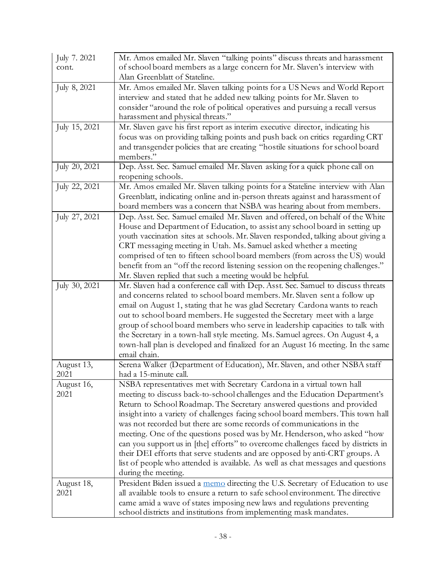| July 7. 2021  | Mr. Amos emailed Mr. Slaven "talking points" discuss threats and harassment       |
|---------------|-----------------------------------------------------------------------------------|
| cont.         | of school board members as a large concern for Mr. Slaven's interview with        |
|               | Alan Greenblatt of Stateline.                                                     |
| July 8, 2021  | Mr. Amos emailed Mr. Slaven talking points for a US News and World Report         |
|               | interview and stated that he added new talking points for Mr. Slaven to           |
|               | consider "around the role of political operatives and pursuing a recall versus    |
|               | harassment and physical threats."                                                 |
| July 15, 2021 | Mr. Slaven gave his first report as interim executive director, indicating his    |
|               | focus was on providing talking points and push back on critics regarding CRT      |
|               | and transgender policies that are creating "hostile situations for school board   |
|               | members."                                                                         |
| July 20, 2021 | Dep. Asst. Sec. Samuel emailed Mr. Slaven asking for a quick phone call on        |
|               | reopening schools.                                                                |
| July 22, 2021 | Mr. Amos emailed Mr. Slaven talking points for a Stateline interview with Alan    |
|               | Greenblatt, indicating online and in-person threats against and harassment of     |
|               | board members was a concern that NSBA was hearing about from members.             |
| July 27, 2021 | Dep. Asst. Sec. Samuel emailed Mr. Slaven and offered, on behalf of the White     |
|               | House and Department of Education, to assist any school board in setting up       |
|               | youth vaccination sites at schools. Mr. Slaven responded, talking about giving a  |
|               | CRT messaging meeting in Utah. Ms. Samuel asked whether a meeting                 |
|               | comprised of ten to fifteen school board members (from across the US) would       |
|               | benefit from an "off the record listening session on the reopening challenges."   |
|               | Mr. Slaven replied that such a meeting would be helpful.                          |
| July 30, 2021 | Mr. Slaven had a conference call with Dep. Asst. Sec. Samuel to discuss threats   |
|               | and concerns related to school board members. Mr. Slaven sent a follow up         |
|               | email on August 1, stating that he was glad Secretary Cardona wants to reach      |
|               | out to school board members. He suggested the Secretary meet with a large         |
|               | group of school board members who serve in leadership capacities to talk with     |
|               | the Secretary in a town-hall style meeting. Ms. Samuel agrees. On August 4, a     |
|               | town-hall plan is developed and finalized for an August 16 meeting. In the same   |
|               | email chain.                                                                      |
| August 13,    | Serena Walker (Department of Education), Mr. Slaven, and other NSBA staff         |
| 2021          | had a 15-minute call.                                                             |
| August 16,    | NSBA representatives met with Secretary Cardona in a virtual town hall            |
| 2021          | meeting to discuss back-to-school challenges and the Education Department's       |
|               | Return to School Roadmap. The Secretary answered questions and provided           |
|               | insight into a variety of challenges facing school board members. This town hall  |
|               | was not recorded but there are some records of communications in the              |
|               | meeting. One of the questions posed was by Mr. Henderson, who asked "how          |
|               | can you support us in [the] efforts" to overcome challenges faced by districts in |
|               | their DEI efforts that serve students and are opposed by anti-CRT groups. A       |
|               | list of people who attended is available. As well as chat messages and questions  |
|               | during the meeting.                                                               |
| August 18,    | President Biden issued a memo directing the U.S. Secretary of Education to use    |
| 2021          | all available tools to ensure a return to safe school environment. The directive  |
|               | came amid a wave of states imposing new laws and regulations preventing           |
|               | school districts and institutions from implementing mask mandates.                |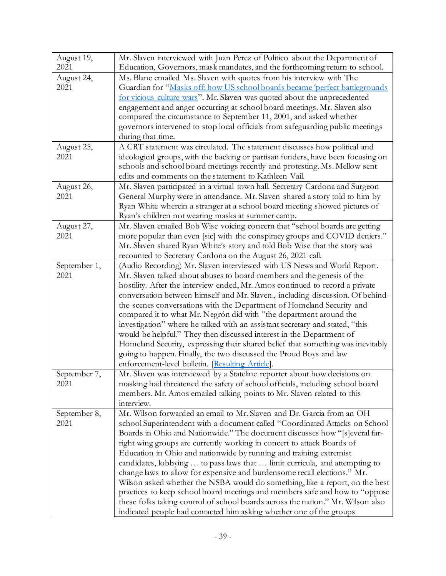| August 19,<br>2021 | Mr. Slaven interviewed with Juan Perez of Politico about the Department of<br>Education, Governors, mask mandates, and the forthcoming return to school. |  |  |  |
|--------------------|----------------------------------------------------------------------------------------------------------------------------------------------------------|--|--|--|
| August 24,         | Ms. Blane emailed Ms. Slaven with quotes from his interview with The                                                                                     |  |  |  |
| 2021               | Guardian for "Masks off: how US school boards became 'perfect battlegrounds                                                                              |  |  |  |
|                    | for vicious culture wars". Mr. Slaven was quoted about the unprecedented                                                                                 |  |  |  |
|                    | engagement and anger occurring at school board meetings. Mr. Slaven also                                                                                 |  |  |  |
|                    | compared the circumstance to September 11, 2001, and asked whether                                                                                       |  |  |  |
|                    | governors intervened to stop local officials from safeguarding public meetings                                                                           |  |  |  |
|                    | during that time.                                                                                                                                        |  |  |  |
|                    |                                                                                                                                                          |  |  |  |
| August 25,         | A CRT statement was circulated. The statement discusses how political and                                                                                |  |  |  |
| 2021               | ideological groups, with the backing or partisan funders, have been focusing on                                                                          |  |  |  |
|                    | schools and school board meetings recently and protesting. Ms. Mellow sent                                                                               |  |  |  |
|                    | edits and comments on the statement to Kathleen Vail.                                                                                                    |  |  |  |
| August 26,         | Mr. Slaven participated in a virtual town hall. Secretary Cardona and Surgeon                                                                            |  |  |  |
| 2021               | General Murphy were in attendance. Mr. Slaven shared a story told to him by                                                                              |  |  |  |
|                    | Ryan White wherein a stranger at a school board meeting showed pictures of                                                                               |  |  |  |
|                    | Ryan's children not wearing masks at summer camp.                                                                                                        |  |  |  |
| August 27,         | Mr. Slaven emailed Bob Wise voicing concern that "school boards are getting                                                                              |  |  |  |
| 2021               | more popular than even [sic] with the conspiracy groups and COVID deniers."                                                                              |  |  |  |
|                    | Mr. Slaven shared Ryan White's story and told Bob Wise that the story was                                                                                |  |  |  |
|                    | recounted to Secretary Cardona on the August 26, 2021 call.                                                                                              |  |  |  |
| September 1,       | (Audio Recording) Mr. Slaven interviewed with US News and World Report.                                                                                  |  |  |  |
| 2021               | Mr. Slaven talked about abuses to board members and the genesis of the                                                                                   |  |  |  |
|                    | hostility. After the interview ended, Mr. Amos continued to record a private                                                                             |  |  |  |
|                    | conversation between himself and Mr. Slaven., including discussion. Of behind-                                                                           |  |  |  |
|                    | the-scenes conversations with the Department of Homeland Security and                                                                                    |  |  |  |
|                    | compared it to what Mr. Negrón did with "the department around the                                                                                       |  |  |  |
|                    | investigation" where he talked with an assistant secretary and stated, "this                                                                             |  |  |  |
|                    | would be helpful." They then discussed interest in the Department of                                                                                     |  |  |  |
|                    | Homeland Security, expressing their shared belief that something was inevitably                                                                          |  |  |  |
|                    | going to happen. Finally, the two discussed the Proud Boys and law                                                                                       |  |  |  |
|                    | enforcement-level bulletin. Resulting Article].                                                                                                          |  |  |  |
| September 7,       | Mr. Slaven was interviewed by a Stateline reporter about how decisions on                                                                                |  |  |  |
| 2021               | masking had threatened the safety of school officials, including school board                                                                            |  |  |  |
|                    | members. Mr. Amos emailed talking points to Mr. Slaven related to this                                                                                   |  |  |  |
|                    | interview.                                                                                                                                               |  |  |  |
| September 8,       | Mr. Wilson forwarded an email to Mr. Slaven and Dr. Garcia from an OH                                                                                    |  |  |  |
| 2021               | school Superintendent with a document called "Coordinated Attacks on School                                                                              |  |  |  |
|                    | Boards in Ohio and Nationwide." The document discusses how "[s]everal far-                                                                               |  |  |  |
|                    |                                                                                                                                                          |  |  |  |
|                    | right wing groups are currently working in concert to attack Boards of                                                                                   |  |  |  |
|                    | Education in Ohio and nationwide by running and training extremist                                                                                       |  |  |  |
|                    | candidates, lobbying  to pass laws that  limit curricula, and attempting to                                                                              |  |  |  |
|                    | change laws to allow for expensive and burdensome recall elections." Mr.                                                                                 |  |  |  |
|                    | Wilson asked whether the NSBA would do something, like a report, on the best                                                                             |  |  |  |
|                    | practices to keep school board meetings and members safe and how to "oppose                                                                              |  |  |  |
|                    | these folks taking control of school boards across the nation." Mr. Wilson also                                                                          |  |  |  |
|                    | indicated people had contacted him asking whether one of the groups                                                                                      |  |  |  |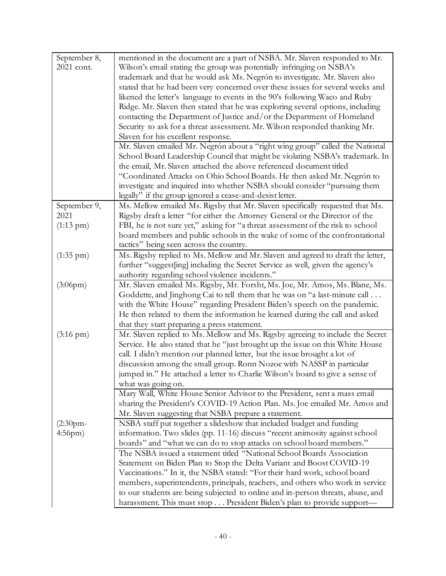| September 8,        | mentioned in the document are a part of NSBA. Mr. Slaven responded to Mr.       |  |  |  |
|---------------------|---------------------------------------------------------------------------------|--|--|--|
| 2021 cont.          | Wilson's email stating the group was potentially infringing on NSBA's           |  |  |  |
|                     | trademark and that he would ask Ms. Negrón to investigate. Mr. Slaven also      |  |  |  |
|                     | stated that he had been very concerned over these issues for several weeks and  |  |  |  |
|                     | likened the letter's language to events in the 90's following Waco and Ruby     |  |  |  |
|                     | Ridge. Mr. Slaven then stated that he was exploring several options, including  |  |  |  |
|                     | contacting the Department of Justice and/or the Department of Homeland          |  |  |  |
|                     | Security to ask for a threat assessment. Mr. Wilson responded thanking Mr.      |  |  |  |
|                     | Slaven for his excellent response.                                              |  |  |  |
|                     | Mr. Slaven emailed Mr. Negrón about a "right wing group" called the National    |  |  |  |
|                     | School Board Leadership Council that might be violating NSBA's trademark. In    |  |  |  |
|                     | the email, Mr. Slaven attached the above referenced document titled             |  |  |  |
|                     | "Coordinated Attacks on Ohio School Boards. He then asked Mr. Negrón to         |  |  |  |
|                     | investigate and inquired into whether NSBA should consider "pursuing them       |  |  |  |
|                     | legally" if the group ignored a cease-and-desist letter.                        |  |  |  |
| September 9,        | Ms. Mellow emailed Ms. Rigsby that Mr. Slaven specifically requested that Ms.   |  |  |  |
| 2021                | Rigsby draft a letter "for either the Attorney General or the Director of the   |  |  |  |
| $(1:13 \text{ pm})$ | FBI, he is not sure yet," asking for "a threat assessment of the risk to school |  |  |  |
|                     | board members and public schools in the wake of some of the confrontational     |  |  |  |
|                     | tactics" being seen across the country.                                         |  |  |  |
| $(1:35 \text{ pm})$ | Ms. Rigsby replied to Ms. Mellow and Mr. Slaven and agreed to draft the letter, |  |  |  |
|                     | further "suggest[ing] including the Secret Service as well, given the agency's  |  |  |  |
|                     | authority regarding school violence incidents."                                 |  |  |  |
| (3:06pm)            | Mr. Slaven emailed Ms. Rigsby, Mr. Forsht, Ms. Joe, Mr. Amos, Ms. Blane, Ms.    |  |  |  |
|                     | Goddette, and Jinghong Cai to tell them that he was on "a last-minute call      |  |  |  |
|                     | with the White House" regarding President Biden's speech on the pandemic.       |  |  |  |
|                     | He then related to them the information he learned during the call and asked    |  |  |  |
|                     | that they start preparing a press statement.                                    |  |  |  |
| $(3:16 \text{ pm})$ | Mr. Slaven replied to Ms. Mellow and Ms. Rigsby agreeing to include the Secret  |  |  |  |
|                     | Service. He also stated that he "just brought up the issue on this White House  |  |  |  |
|                     | call. I didn't mention our planned letter, but the issue brought a lot of       |  |  |  |
|                     | discussion among the small group. Ronn Nozoe with NASSP in particular           |  |  |  |
|                     | jumped in." He attached a letter to Charlie Wilson's board to give a sense of   |  |  |  |
|                     | what was going on.                                                              |  |  |  |
|                     | Mary Wall, White House Senior Advisor to the President, sent a mass email       |  |  |  |
|                     | sharing the President's COVID-19 Action Plan. Ms. Joe emailed Mr. Amos and      |  |  |  |
|                     | Mr. Slaven suggesting that NSBA prepare a statement.                            |  |  |  |
| $(2:30$ pm-         | NSBA staff put together a slideshow that included budget and funding            |  |  |  |
| $4:56$ pm $)$       | information. Two slides (pp. 11-16) discuss "recent animosity against school    |  |  |  |
|                     | boards" and "what we can do to stop attacks on school board members."           |  |  |  |
|                     | The NSBA issued a statement titled "National School Boards Association          |  |  |  |
|                     | Statement on Biden Plan to Stop the Delta Variant and Boost COVID-19            |  |  |  |
|                     | Vaccinations." In it, the NSBA stated: "For their hard work, school board       |  |  |  |
|                     | members, superintendents, principals, teachers, and others who work in service  |  |  |  |
|                     | to our students are being subjected to online and in-person threats, abuse, and |  |  |  |
|                     | harassment. This must stop President Biden's plan to provide support—           |  |  |  |
|                     |                                                                                 |  |  |  |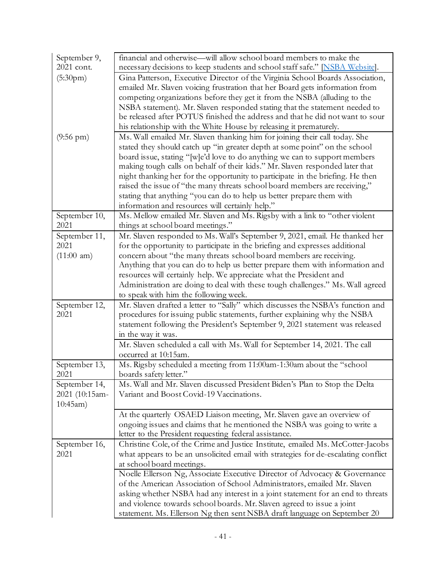| September 9,        | financial and otherwise—will allow school board members to make the                                                                                                                                                                                                            |  |  |  |  |
|---------------------|--------------------------------------------------------------------------------------------------------------------------------------------------------------------------------------------------------------------------------------------------------------------------------|--|--|--|--|
| 2021 cont.          | necessary decisions to keep students and school staff safe." [NSBA Website].                                                                                                                                                                                                   |  |  |  |  |
| (5:30pm)            | Gina Patterson, Executive Director of the Virginia School Boards Association,                                                                                                                                                                                                  |  |  |  |  |
|                     | emailed Mr. Slaven voicing frustration that her Board gets information from                                                                                                                                                                                                    |  |  |  |  |
|                     | competing organizations before they get it from the NSBA (alluding to the                                                                                                                                                                                                      |  |  |  |  |
|                     | NSBA statement). Mr. Slaven responded stating that the statement needed to                                                                                                                                                                                                     |  |  |  |  |
|                     | be released after POTUS finished the address and that he did not want to sour                                                                                                                                                                                                  |  |  |  |  |
|                     | his relationship with the White House by releasing it prematurely.                                                                                                                                                                                                             |  |  |  |  |
| $(9:56 \text{ pm})$ | Ms. Wall emailed Mr. Slaven thanking him for joining their call today. She                                                                                                                                                                                                     |  |  |  |  |
|                     | stated they should catch up "in greater depth at some point" on the school                                                                                                                                                                                                     |  |  |  |  |
|                     | board issue, stating "[w]e'd love to do anything we can to support members                                                                                                                                                                                                     |  |  |  |  |
|                     | making tough calls on behalf of their kids." Mr. Slaven responded later that                                                                                                                                                                                                   |  |  |  |  |
|                     | night thanking her for the opportunity to participate in the briefing. He then                                                                                                                                                                                                 |  |  |  |  |
|                     | raised the issue of "the many threats school board members are receiving,"                                                                                                                                                                                                     |  |  |  |  |
|                     | stating that anything "you can do to help us better prepare them with                                                                                                                                                                                                          |  |  |  |  |
|                     | information and resources will certainly help."                                                                                                                                                                                                                                |  |  |  |  |
| September 10,       | Ms. Mellow emailed Mr. Slaven and Ms. Rigsby with a link to "other violent                                                                                                                                                                                                     |  |  |  |  |
| 2021                | things at school board meetings."                                                                                                                                                                                                                                              |  |  |  |  |
| September 11,       | Mr. Slaven responded to Ms. Wall's September 9, 2021, email. He thanked her                                                                                                                                                                                                    |  |  |  |  |
| 2021                | for the opportunity to participate in the briefing and expresses additional                                                                                                                                                                                                    |  |  |  |  |
| (11:00 am)          | concern about "the many threats school board members are receiving.                                                                                                                                                                                                            |  |  |  |  |
|                     | Anything that you can do to help us better prepare them with information and<br>resources will certainly help. We appreciate what the President and<br>Administration are doing to deal with these tough challenges." Ms. Wall agreed<br>to speak with him the following week. |  |  |  |  |
|                     |                                                                                                                                                                                                                                                                                |  |  |  |  |
|                     |                                                                                                                                                                                                                                                                                |  |  |  |  |
|                     |                                                                                                                                                                                                                                                                                |  |  |  |  |
| September 12,       | Mr. Slaven drafted a letter to "Sally" which discusses the NSBA's function and                                                                                                                                                                                                 |  |  |  |  |
| 2021                | procedures for issuing public statements, further explaining why the NSBA                                                                                                                                                                                                      |  |  |  |  |
|                     | statement following the President's September 9, 2021 statement was released                                                                                                                                                                                                   |  |  |  |  |
|                     | in the way it was.                                                                                                                                                                                                                                                             |  |  |  |  |
|                     | Mr. Slaven scheduled a call with Ms. Wall for September 14, 2021. The call                                                                                                                                                                                                     |  |  |  |  |
|                     | occurred at 10:15am.                                                                                                                                                                                                                                                           |  |  |  |  |
| September 13,       | Ms. Rigsby scheduled a meeting from 11:00am-1:30am about the "school                                                                                                                                                                                                           |  |  |  |  |
| 2021                | boards safety letter."                                                                                                                                                                                                                                                         |  |  |  |  |
| September 14,       | Ms. Wall and Mr. Slaven discussed President Biden's Plan to Stop the Delta                                                                                                                                                                                                     |  |  |  |  |
| 2021 (10:15am-      | Variant and Boost Covid-19 Vaccinations.                                                                                                                                                                                                                                       |  |  |  |  |
| 10:45am)            |                                                                                                                                                                                                                                                                                |  |  |  |  |
|                     | At the quarterly OSAED Liaison meeting, Mr. Slaven gave an overview of                                                                                                                                                                                                         |  |  |  |  |
|                     | ongoing issues and claims that he mentioned the NSBA was going to write a                                                                                                                                                                                                      |  |  |  |  |
|                     | letter to the President requesting federal assistance.                                                                                                                                                                                                                         |  |  |  |  |
| September 16,       | Christine Cole, of the Crime and Justice Institute, emailed Ms. McCotter-Jacobs                                                                                                                                                                                                |  |  |  |  |
| 2021                | what appears to be an unsolicited email with strategies for de-escalating conflict                                                                                                                                                                                             |  |  |  |  |
|                     | at school board meetings.                                                                                                                                                                                                                                                      |  |  |  |  |
|                     | Noelle Ellerson Ng, Associate Executive Director of Advocacy & Governance                                                                                                                                                                                                      |  |  |  |  |
|                     | of the American Association of School Administrators, emailed Mr. Slaven                                                                                                                                                                                                       |  |  |  |  |
|                     | asking whether NSBA had any interest in a joint statement for an end to threats                                                                                                                                                                                                |  |  |  |  |
|                     | and violence towards school boards. Mr. Slaven agreed to issue a joint                                                                                                                                                                                                         |  |  |  |  |
|                     | statement. Ms. Ellerson Ng then sent NSBA draft language on September 20                                                                                                                                                                                                       |  |  |  |  |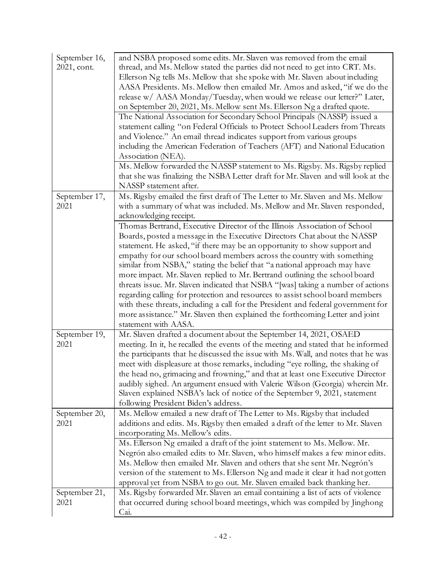| September 16,<br>2021, cont. | and NSBA proposed some edits. Mr. Slaven was removed from the email<br>thread, and Ms. Mellow stated the parties did not need to get into CRT. Ms.<br>Ellerson Ng tells Ms. Mellow that she spoke with Mr. Slaven about including<br>AASA Presidents. Ms. Mellow then emailed Mr. Amos and asked, "if we do the<br>release w/ AASA Monday/Tuesday, when would we release our letter?" Later,<br>on September 20, 2021, Ms. Mellow sent Ms. Ellerson Ng a drafted quote.<br>The National Association for Secondary School Principals (NASSP) issued a<br>statement calling "on Federal Officials to Protect School Leaders from Threats                                                                                                                                                                                                  |
|------------------------------|-----------------------------------------------------------------------------------------------------------------------------------------------------------------------------------------------------------------------------------------------------------------------------------------------------------------------------------------------------------------------------------------------------------------------------------------------------------------------------------------------------------------------------------------------------------------------------------------------------------------------------------------------------------------------------------------------------------------------------------------------------------------------------------------------------------------------------------------|
|                              | and Violence." An email thread indicates support from various groups<br>including the American Federation of Teachers (AFT) and National Education<br>Association (NEA).                                                                                                                                                                                                                                                                                                                                                                                                                                                                                                                                                                                                                                                                |
|                              | Ms. Mellow forwarded the NASSP statement to Ms. Rigsby. Ms. Rigsby replied<br>that she was finalizing the NSBA Letter draft for Mr. Slaven and will look at the<br>NASSP statement after.                                                                                                                                                                                                                                                                                                                                                                                                                                                                                                                                                                                                                                               |
| September 17,<br>2021        | Ms. Rigsby emailed the first draft of The Letter to Mr. Slaven and Ms. Mellow<br>with a summary of what was included. Ms. Mellow and Mr. Slaven responded,<br>acknowledging receipt.                                                                                                                                                                                                                                                                                                                                                                                                                                                                                                                                                                                                                                                    |
|                              | Thomas Bertrand, Executive Director of the Illinois Association of School<br>Boards, posted a message in the Executive Directors Chat about the NASSP<br>statement. He asked, "if there may be an opportunity to show support and<br>empathy for our school board members across the country with something<br>similar from NSBA," stating the belief that "a national approach may have<br>more impact. Mr. Slaven replied to Mr. Bertrand outlining the school board<br>threats issue. Mr. Slaven indicated that NSBA "[was] taking a number of actions<br>regarding calling for protection and resources to assist school board members<br>with these threats, including a call for the President and federal government for<br>more assistance." Mr. Slaven then explained the forthcoming Letter and joint<br>statement with AASA. |
| September 19,<br>2021        | Mr. Slaven drafted a document about the September 14, 2021, OSAED<br>meeting. In it, he recalled the events of the meeting and stated that he informed<br>the participants that he discussed the issue with Ms. Wall, and notes that he was<br>meet with displeasure at those remarks, including "eye rolling, the shaking of<br>the head no, grimacing and frowning," and that at least one Executive Director<br>audibly sighed. An argument ensued with Valerie Wilson (Georgia) wherein Mr.<br>Slaven explained NSBA's lack of notice of the September 9, 2021, statement<br>following President Biden's address.                                                                                                                                                                                                                   |
| September 20,<br>2021        | Ms. Mellow emailed a new draft of The Letter to Ms. Rigsby that included<br>additions and edits. Ms. Rigsby then emailed a draft of the letter to Mr. Slaven<br>incorporating Ms. Mellow's edits.                                                                                                                                                                                                                                                                                                                                                                                                                                                                                                                                                                                                                                       |
|                              | Ms. Ellerson Ng emailed a draft of the joint statement to Ms. Mellow. Mr.<br>Negrón also emailed edits to Mr. Slaven, who himself makes a few minor edits.<br>Ms. Mellow then emailed Mr. Slaven and others that she sent Mr. Negrón's<br>version of the statement to Ms. Ellerson Ng and made it clear it had not gotten<br>approval yet from NSBA to go out. Mr. Slaven emailed back thanking her.                                                                                                                                                                                                                                                                                                                                                                                                                                    |
| September 21,<br>2021        | Ms. Rigsby forwarded Mr. Slaven an email containing a list of acts of violence<br>that occurred during school board meetings, which was compiled by Jinghong<br>Cai.                                                                                                                                                                                                                                                                                                                                                                                                                                                                                                                                                                                                                                                                    |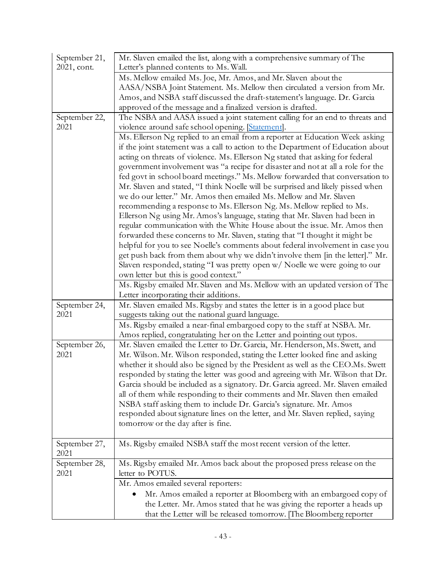| September 21,<br>2021, cont. | Mr. Slaven emailed the list, along with a comprehensive summary of The<br>Letter's planned contents to Ms. Wall. |  |  |  |
|------------------------------|------------------------------------------------------------------------------------------------------------------|--|--|--|
|                              | Ms. Mellow emailed Ms. Joe, Mr. Amos, and Mr. Slaven about the                                                   |  |  |  |
|                              | AASA/NSBA Joint Statement. Ms. Mellow then circulated a version from Mr.                                         |  |  |  |
|                              | Amos, and NSBA staff discussed the draft-statement's language. Dr. Garcia                                        |  |  |  |
|                              | approved of the message and a finalized version is drafted.                                                      |  |  |  |
| September 22,                | The NSBA and AASA issued a joint statement calling for an end to threats and                                     |  |  |  |
| 2021                         | violence around safe school opening. [Statement].                                                                |  |  |  |
|                              | Ms. Ellerson Ng replied to an email from a reporter at Education Week asking                                     |  |  |  |
|                              | if the joint statement was a call to action to the Department of Education about                                 |  |  |  |
|                              | acting on threats of violence. Ms. Ellerson Ng stated that asking for federal                                    |  |  |  |
|                              | government involvement was "a recipe for disaster and not at all a role for the                                  |  |  |  |
|                              | fed govt in school board meetings." Ms. Mellow forwarded that conversation to                                    |  |  |  |
|                              | Mr. Slaven and stated, "I think Noelle will be surprised and likely pissed when                                  |  |  |  |
|                              | we do our letter." Mr. Amos then emailed Ms. Mellow and Mr. Slaven                                               |  |  |  |
|                              | recommending a response to Ms. Ellerson Ng. Ms. Mellow replied to Ms.                                            |  |  |  |
|                              | Ellerson Ng using Mr. Amos's language, stating that Mr. Slaven had been in                                       |  |  |  |
|                              | regular communication with the White House about the issue. Mr. Amos then                                        |  |  |  |
|                              | forwarded these concerns to Mr. Slaven, stating that "I thought it might be                                      |  |  |  |
|                              | helpful for you to see Noelle's comments about federal involvement in case you                                   |  |  |  |
|                              | get push back from them about why we didn't involve them [in the letter]." Mr.                                   |  |  |  |
|                              | Slaven responded, stating "I was pretty open w/ Noelle we were going to our                                      |  |  |  |
|                              | own letter but this is good context."                                                                            |  |  |  |
|                              | Ms. Rigsby emailed Mr. Slaven and Ms. Mellow with an updated version of The                                      |  |  |  |
|                              | Letter incorporating their additions.                                                                            |  |  |  |
| September 24,                | Mr. Slaven emailed Ms. Rigsby and states the letter is in a good place but                                       |  |  |  |
| 2021                         | suggests taking out the national guard language.                                                                 |  |  |  |
|                              | Ms. Rigsby emailed a near-final embargoed copy to the staff at NSBA. Mr.                                         |  |  |  |
|                              | Amos replied, congratulating her on the Letter and pointing out typos.                                           |  |  |  |
| September 26,                | Mr. Slaven emailed the Letter to Dr. Garcia, Mr. Henderson, Ms. Swett, and                                       |  |  |  |
| 2021                         | Mr. Wilson. Mr. Wilson responded, stating the Letter looked fine and asking                                      |  |  |  |
|                              | whether it should also be signed by the President as well as the CEO.Ms. Swett                                   |  |  |  |
|                              | responded by stating the letter was good and agreeing with Mr. Wilson that Dr.                                   |  |  |  |
|                              | Garcia should be included as a signatory. Dr. Garcia agreed. Mr. Slaven emailed                                  |  |  |  |
|                              | all of them while responding to their comments and Mr. Slaven then emailed                                       |  |  |  |
|                              | NSBA staff asking them to include Dr. Garcia's signature. Mr. Amos                                               |  |  |  |
|                              | responded about signature lines on the letter, and Mr. Slaven replied, saying                                    |  |  |  |
|                              | tomorrow or the day after is fine.                                                                               |  |  |  |
|                              | Ms. Rigsby emailed NSBA staff the most recent version of the letter.                                             |  |  |  |
| September 27,<br>2021        |                                                                                                                  |  |  |  |
| September 28,                | Ms. Rigsby emailed Mr. Amos back about the proposed press release on the                                         |  |  |  |
| 2021                         | letter to POTUS.                                                                                                 |  |  |  |
|                              | Mr. Amos emailed several reporters:                                                                              |  |  |  |
|                              | Mr. Amos emailed a reporter at Bloomberg with an embargoed copy of                                               |  |  |  |
|                              | the Letter. Mr. Amos stated that he was giving the reporter a heads up                                           |  |  |  |
|                              | that the Letter will be released tomorrow. [The Bloomberg reporter                                               |  |  |  |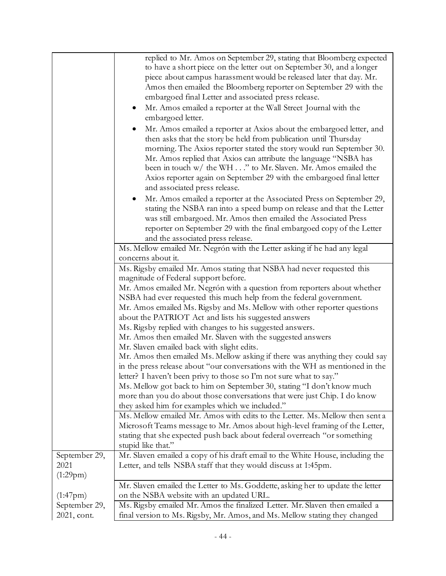|                | replied to Mr. Amos on September 29, stating that Bloomberg expected                                                                                                                                                                                                                                                                                          |  |  |  |
|----------------|---------------------------------------------------------------------------------------------------------------------------------------------------------------------------------------------------------------------------------------------------------------------------------------------------------------------------------------------------------------|--|--|--|
|                | to have a short piece on the letter out on September 30, and a longer                                                                                                                                                                                                                                                                                         |  |  |  |
|                | piece about campus harassment would be released later that day. Mr.                                                                                                                                                                                                                                                                                           |  |  |  |
|                | Amos then emailed the Bloomberg reporter on September 29 with the                                                                                                                                                                                                                                                                                             |  |  |  |
|                | embargoed final Letter and associated press release.                                                                                                                                                                                                                                                                                                          |  |  |  |
|                | Mr. Amos emailed a reporter at the Wall Street Journal with the                                                                                                                                                                                                                                                                                               |  |  |  |
|                | embargoed letter.                                                                                                                                                                                                                                                                                                                                             |  |  |  |
|                | Mr. Amos emailed a reporter at Axios about the embargoed letter, and                                                                                                                                                                                                                                                                                          |  |  |  |
|                | then asks that the story be held from publication until Thursday                                                                                                                                                                                                                                                                                              |  |  |  |
|                | morning. The Axios reporter stated the story would run September 30.                                                                                                                                                                                                                                                                                          |  |  |  |
|                | Mr. Amos replied that Axios can attribute the language "NSBA has                                                                                                                                                                                                                                                                                              |  |  |  |
|                | been in touch w/ the WH" to Mr. Slaven. Mr. Amos emailed the                                                                                                                                                                                                                                                                                                  |  |  |  |
|                | Axios reporter again on September 29 with the embargoed final letter                                                                                                                                                                                                                                                                                          |  |  |  |
|                | and associated press release.                                                                                                                                                                                                                                                                                                                                 |  |  |  |
|                | Mr. Amos emailed a reporter at the Associated Press on September 29,<br>$\bullet$                                                                                                                                                                                                                                                                             |  |  |  |
|                | stating the NSBA ran into a speed bump on release and that the Letter                                                                                                                                                                                                                                                                                         |  |  |  |
|                | was still embargoed. Mr. Amos then emailed the Associated Press                                                                                                                                                                                                                                                                                               |  |  |  |
|                | reporter on September 29 with the final embargoed copy of the Letter                                                                                                                                                                                                                                                                                          |  |  |  |
|                | and the associated press release.                                                                                                                                                                                                                                                                                                                             |  |  |  |
|                | Ms. Mellow emailed Mr. Negrón with the Letter asking if he had any legal                                                                                                                                                                                                                                                                                      |  |  |  |
|                | concerns about it.                                                                                                                                                                                                                                                                                                                                            |  |  |  |
|                | Ms. Rigsby emailed Mr. Amos stating that NSBA had never requested this                                                                                                                                                                                                                                                                                        |  |  |  |
|                | magnitude of Federal support before.                                                                                                                                                                                                                                                                                                                          |  |  |  |
|                | Mr. Amos emailed Mr. Negrón with a question from reporters about whether                                                                                                                                                                                                                                                                                      |  |  |  |
|                | NSBA had ever requested this much help from the federal government.                                                                                                                                                                                                                                                                                           |  |  |  |
|                | Mr. Amos emailed Ms. Rigsby and Ms. Mellow with other reporter questions<br>about the PATRIOT Act and lists his suggested answers                                                                                                                                                                                                                             |  |  |  |
|                | Ms. Rigsby replied with changes to his suggested answers.                                                                                                                                                                                                                                                                                                     |  |  |  |
|                |                                                                                                                                                                                                                                                                                                                                                               |  |  |  |
|                | Mr. Amos then emailed Mr. Slaven with the suggested answers<br>Mr. Slaven emailed back with slight edits.                                                                                                                                                                                                                                                     |  |  |  |
|                |                                                                                                                                                                                                                                                                                                                                                               |  |  |  |
|                | Mr. Amos then emailed Ms. Mellow asking if there was anything they could say<br>in the press release about "our conversations with the WH as mentioned in the                                                                                                                                                                                                 |  |  |  |
|                |                                                                                                                                                                                                                                                                                                                                                               |  |  |  |
|                | letter? I haven't been privy to those so I'm not sure what to say."<br>Ms. Mellow got back to him on September 30, stating "I don't know much<br>more than you do about those conversations that were just Chip. I do know<br>they asked him for examples which we included."<br>Ms. Mellow emailed Mr. Amos with edits to the Letter. Ms. Mellow then sent a |  |  |  |
|                |                                                                                                                                                                                                                                                                                                                                                               |  |  |  |
|                |                                                                                                                                                                                                                                                                                                                                                               |  |  |  |
|                |                                                                                                                                                                                                                                                                                                                                                               |  |  |  |
|                | Microsoft Teams message to Mr. Amos about high-level framing of the Letter,                                                                                                                                                                                                                                                                                   |  |  |  |
|                | stating that she expected push back about federal overreach "or something                                                                                                                                                                                                                                                                                     |  |  |  |
|                | stupid like that."                                                                                                                                                                                                                                                                                                                                            |  |  |  |
| September 29,  | Mr. Slaven emailed a copy of his draft email to the White House, including the                                                                                                                                                                                                                                                                                |  |  |  |
| 2021           | Letter, and tells NSBA staff that they would discuss at 1:45pm.                                                                                                                                                                                                                                                                                               |  |  |  |
| (1:29pm)       |                                                                                                                                                                                                                                                                                                                                                               |  |  |  |
|                | Mr. Slaven emailed the Letter to Ms. Goddette, asking her to update the letter                                                                                                                                                                                                                                                                                |  |  |  |
| $(1:47$ pm $)$ | on the NSBA website with an updated URL.                                                                                                                                                                                                                                                                                                                      |  |  |  |
| September 29,  | Ms. Rigsby emailed Mr. Amos the finalized Letter. Mr. Slaven then emailed a                                                                                                                                                                                                                                                                                   |  |  |  |
| 2021, cont.    | final version to Ms. Rigsby, Mr. Amos, and Ms. Mellow stating they changed                                                                                                                                                                                                                                                                                    |  |  |  |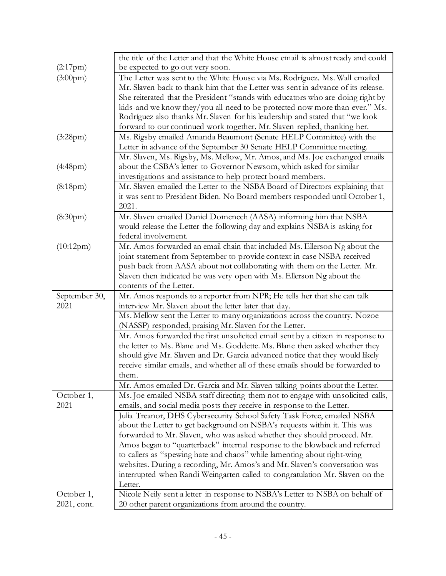|                       | the title of the Letter and that the White House email is almost ready and could                                                                                                              |  |  |  |
|-----------------------|-----------------------------------------------------------------------------------------------------------------------------------------------------------------------------------------------|--|--|--|
| (2:17pm)              | be expected to go out very soon.                                                                                                                                                              |  |  |  |
| $(3:00 \text{pm})$    | The Letter was sent to the White House via Ms. Rodríguez. Ms. Wall emailed                                                                                                                    |  |  |  |
|                       | Mr. Slaven back to thank him that the Letter was sent in advance of its release.<br>She reiterated that the President "stands with educators who are doing right by                           |  |  |  |
|                       |                                                                                                                                                                                               |  |  |  |
|                       | kids-and we know they/you all need to be protected now more than ever." Ms.                                                                                                                   |  |  |  |
|                       | Rodríguez also thanks Mr. Slaven for his leadership and stated that "we look                                                                                                                  |  |  |  |
|                       | forward to our continued work together. Mr. Slaven replied, thanking her.                                                                                                                     |  |  |  |
| (3:28pm)              | Ms. Rigsby emailed Amanda Beaumont (Senate HELP Committee) with the                                                                                                                           |  |  |  |
|                       | Letter in advance of the September 30 Senate HELP Committee meeting.                                                                                                                          |  |  |  |
|                       | Mr. Slaven, Ms. Rigsby, Ms. Mellow, Mr. Amos, and Ms. Joe exchanged emails                                                                                                                    |  |  |  |
| (4:48pm)              | about the CSBA's letter to Governor Newsom, which asked for similar                                                                                                                           |  |  |  |
|                       | investigations and assistance to help protect board members.                                                                                                                                  |  |  |  |
| (8:18pm)              | Mr. Slaven emailed the Letter to the NSBA Board of Directors explaining that                                                                                                                  |  |  |  |
|                       | it was sent to President Biden. No Board members responded until October 1,                                                                                                                   |  |  |  |
|                       | 2021.                                                                                                                                                                                         |  |  |  |
| (8:30 <sub>pm</sub> ) | Mr. Slaven emailed Daniel Domenech (AASA) informing him that NSBA                                                                                                                             |  |  |  |
|                       | would release the Letter the following day and explains NSBA is asking for                                                                                                                    |  |  |  |
|                       | federal involvement.                                                                                                                                                                          |  |  |  |
| (10:12pm)             | Mr. Amos forwarded an email chain that included Ms. Ellerson Ng about the                                                                                                                     |  |  |  |
|                       | joint statement from September to provide context in case NSBA received                                                                                                                       |  |  |  |
|                       | push back from AASA about not collaborating with them on the Letter. Mr.                                                                                                                      |  |  |  |
|                       | Slaven then indicated he was very open with Ms. Ellerson Ng about the                                                                                                                         |  |  |  |
|                       | contents of the Letter.                                                                                                                                                                       |  |  |  |
| September 30,         | Mr. Amos responds to a reporter from NPR; He tells her that she can talk                                                                                                                      |  |  |  |
| 2021                  | interview Mr. Slaven about the letter later that day.<br>Ms. Mellow sent the Letter to many organizations across the country. Nozoe<br>(NASSP) responded, praising Mr. Slaven for the Letter. |  |  |  |
|                       |                                                                                                                                                                                               |  |  |  |
|                       |                                                                                                                                                                                               |  |  |  |
|                       | Mr. Amos forwarded the first unsolicited email sent by a citizen in response to                                                                                                               |  |  |  |
|                       | the letter to Ms. Blane and Ms. Goddette. Ms. Blane then asked whether they                                                                                                                   |  |  |  |
|                       | should give Mr. Slaven and Dr. Garcia advanced notice that they would likely                                                                                                                  |  |  |  |
|                       | receive similar emails, and whether all of these emails should be forwarded to                                                                                                                |  |  |  |
|                       | them.                                                                                                                                                                                         |  |  |  |
|                       | Mr. Amos emailed Dr. Garcia and Mr. Slaven talking points about the Letter.                                                                                                                   |  |  |  |
| October 1,            | Ms. Joe emailed NSBA staff directing them not to engage with unsolicited calls,                                                                                                               |  |  |  |
| 2021                  | emails, and social media posts they receive in response to the Letter.                                                                                                                        |  |  |  |
|                       | Julia Treanor, DHS Cybersecurity School Safety Task Force, emailed NSBA                                                                                                                       |  |  |  |
|                       | about the Letter to get background on NSBA's requests within it. This was                                                                                                                     |  |  |  |
|                       | forwarded to Mr. Slaven, who was asked whether they should proceed. Mr.                                                                                                                       |  |  |  |
|                       | Amos began to "quarterback" internal response to the blowback and referred                                                                                                                    |  |  |  |
|                       | to callers as "spewing hate and chaos" while lamenting about right-wing                                                                                                                       |  |  |  |
|                       | websites. During a recording, Mr. Amos's and Mr. Slaven's conversation was                                                                                                                    |  |  |  |
|                       | interrupted when Randi Weingarten called to congratulation Mr. Slaven on the                                                                                                                  |  |  |  |
|                       | Letter.                                                                                                                                                                                       |  |  |  |
| October 1,            | Nicole Neily sent a letter in response to NSBA's Letter to NSBA on behalf of                                                                                                                  |  |  |  |
| 2021, cont.           | 20 other parent organizations from around the country.                                                                                                                                        |  |  |  |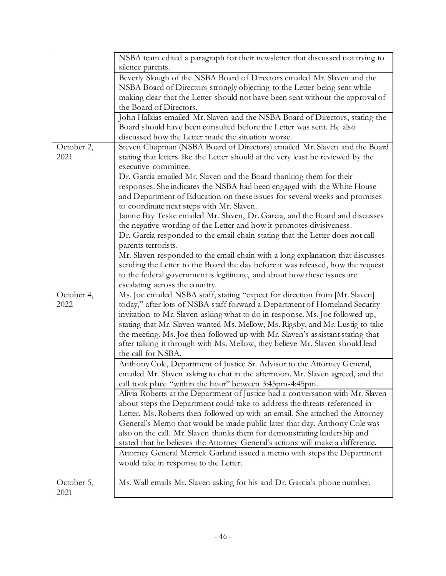|            | NSBA team edited a paragraph for their newsletter that discussed not trying to                                                                              |  |  |  |
|------------|-------------------------------------------------------------------------------------------------------------------------------------------------------------|--|--|--|
|            | silence parents.                                                                                                                                            |  |  |  |
|            | Beverly Slough of the NSBA Board of Directors emailed Mr. Slaven and the                                                                                    |  |  |  |
|            | NSBA Board of Directors strongly objecting to the Letter being sent while                                                                                   |  |  |  |
|            | making clear that the Letter should not have been sent without the approval of                                                                              |  |  |  |
|            | the Board of Directors.                                                                                                                                     |  |  |  |
|            | John Halkias emailed Mr. Slaven and the NSBA Board of Directors, stating the                                                                                |  |  |  |
|            | Board should have been consulted before the Letter was sent. He also                                                                                        |  |  |  |
|            | discussed how the Letter made the situation worse.                                                                                                          |  |  |  |
| October 2, | Steven Chapman (NSBA Board of Directors) emailed Mr. Slaven and the Board                                                                                   |  |  |  |
| 2021       | stating that letters like the Letter should at the very least be reviewed by the                                                                            |  |  |  |
|            | executive committee.                                                                                                                                        |  |  |  |
|            | Dr. Garcia emailed Mr. Slaven and the Board thanking them for their                                                                                         |  |  |  |
|            | responses. She indicates the NSBA had been engaged with the White House                                                                                     |  |  |  |
|            | and Department of Education on these issues for several weeks and promises                                                                                  |  |  |  |
|            | to coordinate next steps with Mr. Slaven.                                                                                                                   |  |  |  |
|            | Janine Bay Teske emailed Mr. Slaven, Dr. Garcia, and the Board and discusses                                                                                |  |  |  |
|            | the negative wording of the Letter and how it promotes divisiveness.                                                                                        |  |  |  |
|            | Dr. Garcia responded to the email chain stating that the Letter does not call                                                                               |  |  |  |
|            | parents terrorists.                                                                                                                                         |  |  |  |
|            | Mr. Slaven responded to the email chain with a long explanation that discusses                                                                              |  |  |  |
|            | sending the Letter to the Board the day before it was released, how the request                                                                             |  |  |  |
|            | to the federal government is legitimate, and about how these issues are                                                                                     |  |  |  |
|            | escalating across the country.                                                                                                                              |  |  |  |
| October 4, | Ms. Joe emailed NSBA staff, stating "expect for direction from [Mr. Slaven]                                                                                 |  |  |  |
| 2022       | today," after lots of NSBA staff forward a Department of Homeland Security                                                                                  |  |  |  |
|            | invitation to Mr. Slaven asking what to do in response. Ms. Joe followed up,                                                                                |  |  |  |
|            | stating that Mr. Slaven wanted Ms. Mellow, Ms. Rigsby, and Mr. Lustig to take                                                                               |  |  |  |
|            | the meeting. Ms. Joe then followed up with Mr. Slaven's assistant stating that                                                                              |  |  |  |
|            | after talking it through with Ms. Mellow, they believe Mr. Slaven should lead                                                                               |  |  |  |
|            | the call for NSBA.                                                                                                                                          |  |  |  |
|            | Anthony Cole, Department of Justice Sr. Advisor to the Attorney General,                                                                                    |  |  |  |
|            | emailed Mr. Slaven asking to chat in the afternoon. Mr. Slaven agreed, and the                                                                              |  |  |  |
|            | call took place "within the hour" between 3:45pm-4:45pm.                                                                                                    |  |  |  |
|            | Alivia Roberts at the Department of Justice had a conversation with Mr. Slaven                                                                              |  |  |  |
|            | about steps the Department could take to address the threats referenced in                                                                                  |  |  |  |
|            | Letter. Ms. Roberts then followed up with an email. She attached the Attorney                                                                               |  |  |  |
|            | General's Memo that would be made public later that day. Anthony Cole was                                                                                   |  |  |  |
|            | also on the call. Mr. Slaven thanks them for demonstrating leadership and<br>stated that he believes the Attorney General's actions will make a difference. |  |  |  |
|            |                                                                                                                                                             |  |  |  |
|            | Attorney General Merrick Garland issued a memo with steps the Department                                                                                    |  |  |  |
|            | would take in response to the Letter.                                                                                                                       |  |  |  |
| October 5, | Ms. Wall emails Mr. Slaven asking for his and Dr. Garcia's phone number.                                                                                    |  |  |  |
| 2021       |                                                                                                                                                             |  |  |  |
|            |                                                                                                                                                             |  |  |  |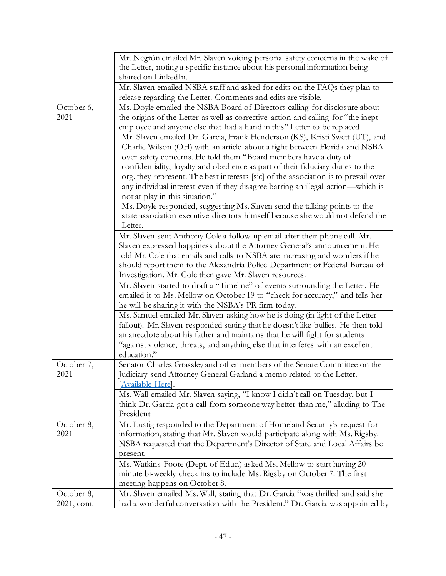|            | Mr. Negrón emailed Mr. Slaven voicing personal safety concerns in the wake of                                                          |  |  |  |  |
|------------|----------------------------------------------------------------------------------------------------------------------------------------|--|--|--|--|
|            | the Letter, noting a specific instance about his personal information being                                                            |  |  |  |  |
|            | shared on LinkedIn.                                                                                                                    |  |  |  |  |
|            | Mr. Slaven emailed NSBA staff and asked for edits on the FAQs they plan to                                                             |  |  |  |  |
|            | release regarding the Letter. Comments and edits are visible.                                                                          |  |  |  |  |
| October 6, | Ms. Doyle emailed the NSBA Board of Directors calling for disclosure about                                                             |  |  |  |  |
| 2021       | the origins of the Letter as well as corrective action and calling for "the inept                                                      |  |  |  |  |
|            | employee and anyone else that had a hand in this" Letter to be replaced.                                                               |  |  |  |  |
|            | Mr. Slaven emailed Dr. Garcia, Frank Henderson (KS), Kristi Swett (UT), and                                                            |  |  |  |  |
|            | Charlie Wilson (OH) with an article about a fight between Florida and NSBA                                                             |  |  |  |  |
|            | over safety concerns. He told them "Board members have a duty of                                                                       |  |  |  |  |
|            | confidentiality, loyalty and obedience as part of their fiduciary duties to the                                                        |  |  |  |  |
|            | org. they represent. The best interests [sic] of the association is to prevail over                                                    |  |  |  |  |
|            | any individual interest even if they disagree barring an illegal action—which is                                                       |  |  |  |  |
|            | not at play in this situation."                                                                                                        |  |  |  |  |
|            | Ms. Doyle responded, suggesting Ms. Slaven send the talking points to the                                                              |  |  |  |  |
|            | state association executive directors himself because she would not defend the                                                         |  |  |  |  |
|            | Letter.                                                                                                                                |  |  |  |  |
|            | Mr. Slaven sent Anthony Cole a follow-up email after their phone call. Mr.                                                             |  |  |  |  |
|            | Slaven expressed happiness about the Attorney General's announcement. He                                                               |  |  |  |  |
|            | told Mr. Cole that emails and calls to NSBA are increasing and wonders if he                                                           |  |  |  |  |
|            | should report them to the Alexandria Police Department or Federal Bureau of<br>Investigation. Mr. Cole then gave Mr. Slaven resources. |  |  |  |  |
|            |                                                                                                                                        |  |  |  |  |
|            | Mr. Slaven started to draft a "Timeline" of events surrounding the Letter. He                                                          |  |  |  |  |
|            | emailed it to Ms. Mellow on October 19 to "check for accuracy," and tells her                                                          |  |  |  |  |
|            | he will be sharing it with the NSBA's PR firm today.<br>Ms. Samuel emailed Mr. Slaven asking how he is doing (in light of the Letter   |  |  |  |  |
|            |                                                                                                                                        |  |  |  |  |
|            | fallout). Mr. Slaven responded stating that he doesn't like bullies. He then told                                                      |  |  |  |  |
|            | an anecdote about his father and maintains that he will fight for students                                                             |  |  |  |  |
|            | "against violence, threats, and anything else that interferes with an excellent<br>education."                                         |  |  |  |  |
| October 7, | Senator Charles Grassley and other members of the Senate Committee on the                                                              |  |  |  |  |
| 2021       | Judiciary send Attorney General Garland a memo related to the Letter.                                                                  |  |  |  |  |
|            | Available Here.                                                                                                                        |  |  |  |  |
|            | Ms. Wall emailed Mr. Slaven saying, "I know I didn't call on Tuesday, but I                                                            |  |  |  |  |
|            | think Dr. Garcia got a call from someone way better than me," alluding to The                                                          |  |  |  |  |
|            | President                                                                                                                              |  |  |  |  |
| October 8, | Mr. Lustig responded to the Department of Homeland Security's request for                                                              |  |  |  |  |
| 2021       | information, stating that Mr. Slaven would participate along with Ms. Rigsby.                                                          |  |  |  |  |
|            | NSBA requested that the Department's Director of State and Local Affairs be                                                            |  |  |  |  |
|            | present.                                                                                                                               |  |  |  |  |
|            | Ms. Watkins-Foote (Dept. of Educ.) asked Ms. Mellow to start having 20                                                                 |  |  |  |  |
|            | minute bi-weekly check ins to include Ms. Rigsby on October 7. The first                                                               |  |  |  |  |
|            | meeting happens on October 8.                                                                                                          |  |  |  |  |
|            |                                                                                                                                        |  |  |  |  |
| October 8, | Mr. Slaven emailed Ms. Wall, stating that Dr. Garcia "was thrilled and said she                                                        |  |  |  |  |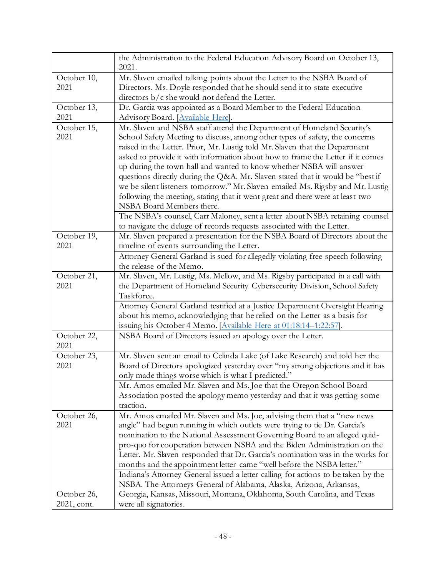|                     | the Administration to the Federal Education Advisory Board on October 13,<br>2021.                         |  |  |  |
|---------------------|------------------------------------------------------------------------------------------------------------|--|--|--|
| October 10,         | Mr. Slaven emailed talking points about the Letter to the NSBA Board of                                    |  |  |  |
| 2021                | Directors. Ms. Doyle responded that he should send it to state executive                                   |  |  |  |
|                     | directors $b/c$ she would not defend the Letter.                                                           |  |  |  |
| October 13,         | Dr. Garcia was appointed as a Board Member to the Federal Education                                        |  |  |  |
| 2021                | Advisory Board. [Available Here].                                                                          |  |  |  |
| October 15,         | Mr. Slaven and NSBA staff attend the Department of Homeland Security's                                     |  |  |  |
| 2021                | School Safety Meeting to discuss, among other types of safety, the concerns                                |  |  |  |
|                     | raised in the Letter. Prior, Mr. Lustig told Mr. Slaven that the Department                                |  |  |  |
|                     | asked to provide it with information about how to frame the Letter if it comes                             |  |  |  |
|                     | up during the town hall and wanted to know whether NSBA will answer                                        |  |  |  |
|                     | questions directly during the Q&A. Mr. Slaven stated that it would be "best if                             |  |  |  |
|                     | we be silent listeners tomorrow." Mr. Slaven emailed Ms. Rigsby and Mr. Lustig                             |  |  |  |
|                     | following the meeting, stating that it went great and there were at least two<br>NSBA Board Members there. |  |  |  |
|                     | The NSBA's counsel, Carr Maloney, sent a letter about NSBA retaining counsel                               |  |  |  |
|                     | to navigate the deluge of records requests associated with the Letter.                                     |  |  |  |
| October 19,         | Mr. Slaven prepared a presentation for the NSBA Board of Directors about the                               |  |  |  |
| 2021                | timeline of events surrounding the Letter.                                                                 |  |  |  |
|                     | Attorney General Garland is sued for allegedly violating free speech following                             |  |  |  |
|                     | the release of the Memo.                                                                                   |  |  |  |
| October 21,         | Mr. Slaven, Mr. Lustig, Ms. Mellow, and Ms. Rigsby participated in a call with                             |  |  |  |
| 2021                | the Department of Homeland Security Cybersecurity Division, School Safety                                  |  |  |  |
|                     | Taskforce.                                                                                                 |  |  |  |
|                     | Attorney General Garland testified at a Justice Department Oversight Hearing                               |  |  |  |
|                     | about his memo, acknowledging that he relied on the Letter as a basis for                                  |  |  |  |
|                     | issuing his October 4 Memo. [Available Here at 01:18:14-1:22:57].                                          |  |  |  |
| October 22,<br>2021 | NSBA Board of Directors issued an apology over the Letter.                                                 |  |  |  |
| October 23,         | Mr. Slaven sent an email to Celinda Lake (of Lake Research) and told her the                               |  |  |  |
| 2021                | Board of Directors apologized yesterday over "my strong objections and it has                              |  |  |  |
|                     | only made things worse which is what I predicted."                                                         |  |  |  |
|                     | Mr. Amos emailed Mr. Slaven and Ms. Joe that the Oregon School Board                                       |  |  |  |
|                     | Association posted the apology memo yesterday and that it was getting some                                 |  |  |  |
|                     | traction.                                                                                                  |  |  |  |
| October 26,         | Mr. Amos emailed Mr. Slaven and Ms. Joe, advising them that a "new news                                    |  |  |  |
| 2021                | angle" had begun running in which outlets were trying to tie Dr. Garcia's                                  |  |  |  |
|                     | nomination to the National Assessment Governing Board to an alleged quid-                                  |  |  |  |
|                     | pro-quo for cooperation between NSBA and the Biden Administration on the                                   |  |  |  |
|                     | Letter. Mr. Slaven responded that Dr. Garcia's nomination was in the works for                             |  |  |  |
|                     | months and the appointment letter came "well before the NSBA letter."                                      |  |  |  |
|                     | Indiana's Attorney General issued a letter calling for actions to be taken by the                          |  |  |  |
|                     | NSBA. The Attorneys General of Alabama, Alaska, Arizona, Arkansas,                                         |  |  |  |
| October 26,         | Georgia, Kansas, Missouri, Montana, Oklahoma, South Carolina, and Texas                                    |  |  |  |
| 2021, cont.         | were all signatories.                                                                                      |  |  |  |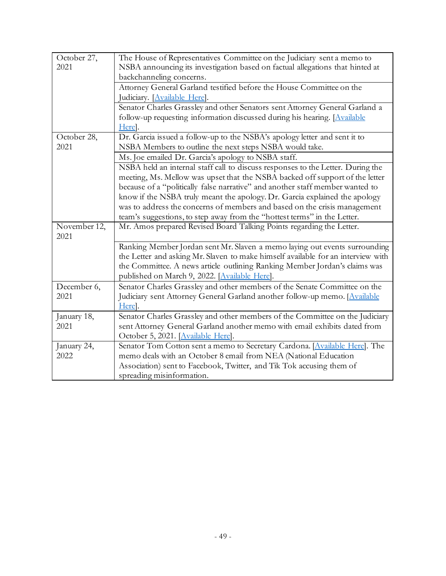| October 27,<br>2021 | The House of Representatives Committee on the Judiciary sent a memo to<br>NSBA announcing its investigation based on factual allegations that hinted at |  |  |  |
|---------------------|---------------------------------------------------------------------------------------------------------------------------------------------------------|--|--|--|
|                     | backchanneling concerns.                                                                                                                                |  |  |  |
|                     | Attorney General Garland testified before the House Committee on the                                                                                    |  |  |  |
|                     | Judiciary. [Available Here].                                                                                                                            |  |  |  |
|                     |                                                                                                                                                         |  |  |  |
|                     | Senator Charles Grassley and other Senators sent Attorney General Garland a                                                                             |  |  |  |
|                     | follow-up requesting information discussed during his hearing. [Available                                                                               |  |  |  |
|                     | Here.                                                                                                                                                   |  |  |  |
| October 28,         | Dr. Garcia issued a follow-up to the NSBA's apology letter and sent it to                                                                               |  |  |  |
| 2021                | NSBA Members to outline the next steps NSBA would take.                                                                                                 |  |  |  |
|                     | Ms. Joe emailed Dr. Garcia's apology to NSBA staff.                                                                                                     |  |  |  |
|                     | NSBA held an internal staff call to discuss responses to the Letter. During the                                                                         |  |  |  |
|                     | meeting, Ms. Mellow was upset that the NSBA backed off support of the letter                                                                            |  |  |  |
|                     | because of a "politically false narrative" and another staff member wanted to                                                                           |  |  |  |
|                     | know if the NSBA truly meant the apology. Dr. Garcia explained the apology                                                                              |  |  |  |
|                     | was to address the concerns of members and based on the crisis management                                                                               |  |  |  |
|                     | team's suggestions, to step away from the "hottest terms" in the Letter.                                                                                |  |  |  |
| November 12,        | Mr. Amos prepared Revised Board Talking Points regarding the Letter.                                                                                    |  |  |  |
| 2021                |                                                                                                                                                         |  |  |  |
|                     | Ranking Member Jordan sent Mr. Slaven a memo laying out events surrounding                                                                              |  |  |  |
|                     | the Letter and asking Mr. Slaven to make himself available for an interview with                                                                        |  |  |  |
|                     | the Committee. A news article outlining Ranking Member Jordan's claims was                                                                              |  |  |  |
|                     | published on March 9, 2022. [Available Here].                                                                                                           |  |  |  |
| December 6,         | Senator Charles Grassley and other members of the Senate Committee on the                                                                               |  |  |  |
| 2021                | Judiciary sent Attorney General Garland another follow-up memo. [Available                                                                              |  |  |  |
|                     | Here.                                                                                                                                                   |  |  |  |
| January 18,         | Senator Charles Grassley and other members of the Committee on the Judiciary                                                                            |  |  |  |
| 2021                | sent Attorney General Garland another memo with email exhibits dated from                                                                               |  |  |  |
|                     | October 5, 2021. [Available Here].                                                                                                                      |  |  |  |
| January 24,         | Senator Tom Cotton sent a memo to Secretary Cardona. [Available Here]. The                                                                              |  |  |  |
| 2022                | memo deals with an October 8 email from NEA (National Education                                                                                         |  |  |  |
|                     | Association) sent to Facebook, Twitter, and Tik Tok accusing them of                                                                                    |  |  |  |
|                     | spreading misinformation.                                                                                                                               |  |  |  |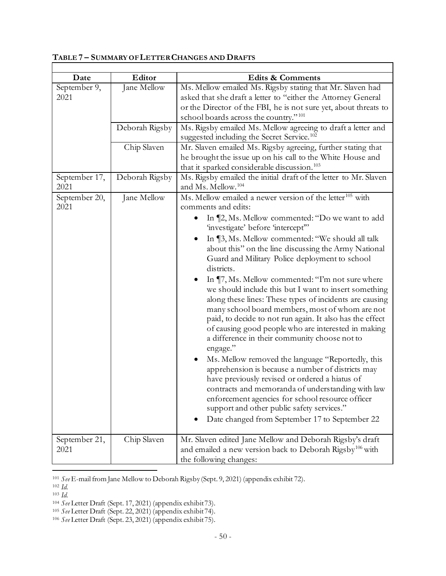| Date                  | Editor         | Edits & Comments                                                                                                                                                                                                                                                                                                                                                                                                                                                                                                                                                                                                                                                                                                                                                                                                                                                                                                                                                                                                                                                                |
|-----------------------|----------------|---------------------------------------------------------------------------------------------------------------------------------------------------------------------------------------------------------------------------------------------------------------------------------------------------------------------------------------------------------------------------------------------------------------------------------------------------------------------------------------------------------------------------------------------------------------------------------------------------------------------------------------------------------------------------------------------------------------------------------------------------------------------------------------------------------------------------------------------------------------------------------------------------------------------------------------------------------------------------------------------------------------------------------------------------------------------------------|
| September 9,<br>2021  | Jane Mellow    | Ms. Mellow emailed Ms. Rigsby stating that Mr. Slaven had<br>asked that she draft a letter to "either the Attorney General<br>or the Director of the FBI, he is not sure yet, about threats to<br>school boards across the country." <sup>101</sup>                                                                                                                                                                                                                                                                                                                                                                                                                                                                                                                                                                                                                                                                                                                                                                                                                             |
|                       |                |                                                                                                                                                                                                                                                                                                                                                                                                                                                                                                                                                                                                                                                                                                                                                                                                                                                                                                                                                                                                                                                                                 |
|                       | Deborah Rigsby | Ms. Rigsby emailed Ms. Mellow agreeing to draft a letter and<br>suggested including the Secret Service. <sup>102</sup>                                                                                                                                                                                                                                                                                                                                                                                                                                                                                                                                                                                                                                                                                                                                                                                                                                                                                                                                                          |
|                       | Chip Slaven    | Mr. Slaven emailed Ms. Rigsby agreeing, further stating that                                                                                                                                                                                                                                                                                                                                                                                                                                                                                                                                                                                                                                                                                                                                                                                                                                                                                                                                                                                                                    |
|                       |                | he brought the issue up on his call to the White House and<br>that it sparked considerable discussion. <sup>103</sup>                                                                                                                                                                                                                                                                                                                                                                                                                                                                                                                                                                                                                                                                                                                                                                                                                                                                                                                                                           |
| September 17,<br>2021 | Deborah Rigsby | Ms. Rigsby emailed the initial draft of the letter to Mr. Slaven<br>and Ms. Mellow. <sup>104</sup>                                                                                                                                                                                                                                                                                                                                                                                                                                                                                                                                                                                                                                                                                                                                                                                                                                                                                                                                                                              |
| September 20,<br>2021 | Jane Mellow    | Ms. Mellow emailed a newer version of the letter <sup>105</sup> with<br>comments and edits:                                                                                                                                                                                                                                                                                                                                                                                                                                                                                                                                                                                                                                                                                                                                                                                                                                                                                                                                                                                     |
|                       |                | In [2, Ms. Mellow commented: "Do we want to add<br>'investigate' before 'intercept'"<br>In ¶3, Ms. Mellow commented: "We should all talk<br>$\bullet$<br>about this" on the line discussing the Army National<br>Guard and Military Police deployment to school<br>districts.<br>In ¶7, Ms. Mellow commented: "I'm not sure where<br>٠<br>we should include this but I want to insert something<br>along these lines: These types of incidents are causing<br>many school board members, most of whom are not<br>paid, to decide to not run again. It also has the effect<br>of causing good people who are interested in making<br>a difference in their community choose not to<br>engage."<br>Ms. Mellow removed the language "Reportedly, this<br>$\bullet$<br>apprehension is because a number of districts may<br>have previously revised or ordered a hiatus of<br>contracts and memoranda of understanding with law<br>enforcement agencies for school resource officer<br>support and other public safety services."<br>Date changed from September 17 to September 22 |
| September 21,<br>2021 | Chip Slaven    | Mr. Slaven edited Jane Mellow and Deborah Rigsby's draft<br>and emailed a new version back to Deborah Rigsby <sup>106</sup> with<br>the following changes:                                                                                                                                                                                                                                                                                                                                                                                                                                                                                                                                                                                                                                                                                                                                                                                                                                                                                                                      |

**TABLE 7 – SUMMARY OF LETTER CHANGES AND DRAFTS**

<sup>101</sup> *See* E-mail from Jane Mellow to Deborah Rigsby (Sept. 9, 2021) (appendix exhibit 72).

<sup>&</sup>lt;sup>103</sup> *Id.*<br><sup>104</sup> See Letter Draft (Sept. 17, 2021) (appendix exhibit 73).<br><sup>105</sup> See Letter Draft (Sept. 22, 2021) (appendix exhibit 74).<br><sup>106</sup> See Letter Draft (Sept. 23, 2021) (appendix exhibit 75).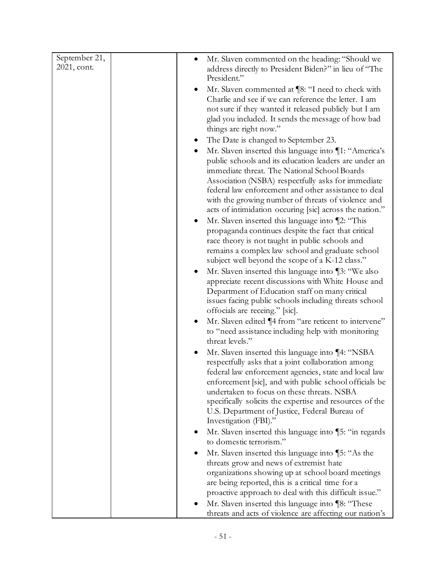| September 21, | Mr. Slaven commented on the heading: "Should we<br>$\bullet$                                                             |
|---------------|--------------------------------------------------------------------------------------------------------------------------|
| 2021, cont.   | address directly to President Biden?" in lieu of "The                                                                    |
|               | President."                                                                                                              |
|               | Mr. Slaven commented at [8: "I need to check with<br>$\bullet$                                                           |
|               | Charlie and see if we can reference the letter. I am                                                                     |
|               | not sure if they wanted it released publicly but I am                                                                    |
|               | glad you included. It sends the message of how bad                                                                       |
|               | things are right now."                                                                                                   |
|               | The Date is changed to September 23.                                                                                     |
|               | Mr. Slaven inserted this language into ¶1: "America's                                                                    |
|               | public schools and its education leaders are under an                                                                    |
|               | immediate threat. The National School Boards                                                                             |
|               | Association (NSBA) respectfully asks for immediate<br>federal law enforcement and other assistance to deal               |
|               | with the growing number of threats of violence and                                                                       |
|               | acts of intimidation occuring [sic] across the nation."                                                                  |
|               | Mr. Slaven inserted this language into ¶2: "This<br>$\bullet$                                                            |
|               | propaganda continues despite the fact that critical                                                                      |
|               | race theory is not taught in public schools and                                                                          |
|               | remains a complex law school and graduate school                                                                         |
|               | subject well beyond the scope of a K-12 class."                                                                          |
|               | Mr. Slaven inserted this language into [3: "We also<br>٠                                                                 |
|               | appreciate recent discussions with White House and                                                                       |
|               | Department of Education staff on many critical                                                                           |
|               | issues facing public schools including threats school                                                                    |
|               | offocials are receing." [sic].                                                                                           |
|               | Mr. Slaven edited ¶4 from "are reticent to intervene"<br>$\bullet$<br>to "need assistance including help with monitoring |
|               | threat levels."                                                                                                          |
|               | Mr. Slaven inserted this language into ¶4: "NSBA<br>$\bullet$                                                            |
|               | respectfully asks that a joint collaboration among                                                                       |
|               | federal law enforcement agencies, state and local law                                                                    |
|               | enforcement [sic], and with public school officials be                                                                   |
|               | undertaken to focus on these threats. NSBA                                                                               |
|               | specifically solicits the expertise and resources of the                                                                 |
|               | U.S. Department of Justice, Federal Bureau of                                                                            |
|               | Investigation (FBI)."                                                                                                    |
|               | Mr. Slaven inserted this language into [5: "in regards                                                                   |
|               | to domestic terrorism."                                                                                                  |
|               | Mr. Slaven inserted this language into ¶5: "As the                                                                       |
|               | threats grow and news of extremist hate                                                                                  |
|               | organizations showing up at school board meetings<br>are being reported, this is a critical time for a                   |
|               | proactive approach to deal with this difficult issue."                                                                   |
|               | Mr. Slaven inserted this language into ¶8: "These                                                                        |
|               | threats and acts of violence are affecting our nation's                                                                  |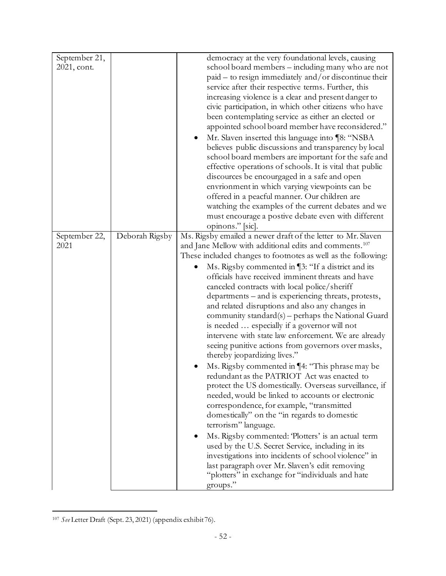| September 21, |                | democracy at the very foundational levels, causing                 |
|---------------|----------------|--------------------------------------------------------------------|
| 2021, cont.   |                | school board members – including many who are not                  |
|               |                | paid - to resign immediately and/or discontinue their              |
|               |                | service after their respective terms. Further, this                |
|               |                | increasing violence is a clear and present danger to               |
|               |                | civic participation, in which other citizens who have              |
|               |                | been contemplating service as either an elected or                 |
|               |                | appointed school board member have reconsidered."                  |
|               |                | Mr. Slaven inserted this language into ¶8: "NSBA                   |
|               |                | believes public discussions and transparency by local              |
|               |                | school board members are important for the safe and                |
|               |                | effective operations of schools. It is vital that public           |
|               |                | discources be encourgaged in a safe and open                       |
|               |                | envrionment in which varying viewpoints can be                     |
|               |                | offered in a peacful manner. Our children are                      |
|               |                | watching the examples of the current debates and we                |
|               |                | must encourage a postive debate even with different                |
|               |                | opinons." [sic].                                                   |
| September 22, | Deborah Rigsby | Ms. Rigsby emailed a newer draft of the letter to Mr. Slaven       |
| 2021          |                | and Jane Mellow with additional edits and comments. <sup>107</sup> |
|               |                | These included changes to footnotes as well as the following:      |
|               |                | Ms. Rigsby commented in [3: "If a district and its                 |
|               |                | officials have received imminent threats and have                  |
|               |                | canceled contracts with local police/sheriff                       |
|               |                | departments – and is experiencing threats, protests,               |
|               |                | and related disruptions and also any changes in                    |
|               |                | community standard(s) – perhaps the National Guard                 |
|               |                | is needed  especially if a governor will not                       |
|               |                | intervene with state law enforcement. We are already               |
|               |                |                                                                    |
|               |                | seeing punitive actions from governors over masks,                 |
|               |                | thereby jeopardizing lives."                                       |
|               |                | Ms. Rigsby commented in ¶4: "This phrase may be                    |
|               |                | redundant as the PATRIOT Act was enacted to                        |
|               |                | protect the US domestically. Overseas surveillance, if             |
|               |                | needed, would be linked to accounts or electronic                  |
|               |                | correspondence, for example, "transmitted                          |
|               |                | domestically" on the "in regards to domestic                       |
|               |                | terrorism" language.                                               |
|               |                | Ms. Rigsby commented: 'Plotters' is an actual term<br>٠            |
|               |                | used by the U.S. Secret Service, including in its                  |
|               |                | investigations into incidents of school violence" in               |
|               |                | last paragraph over Mr. Slaven's edit removing                     |
|               |                | "plotters" in exchange for "individuals and hate                   |
|               |                | groups."                                                           |

<sup>107</sup> *See* Letter Draft (Sept. 23, 2021) (appendix exhibit 76).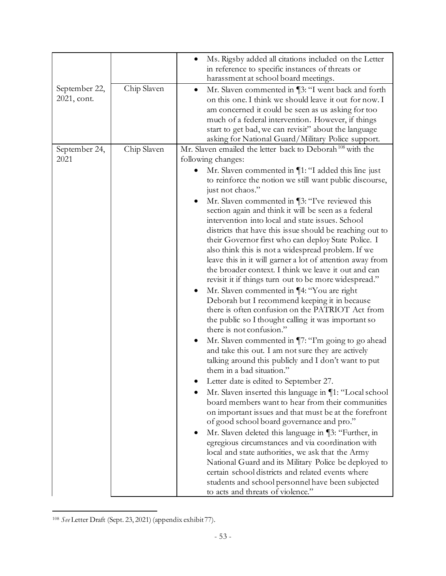| September 22,         | Chip Slaven | Ms. Rigsby added all citations included on the Letter<br>in reference to specific instances of threats or<br>harassment at school board meetings.<br>Mr. Slaven commented in [3: "I went back and forth<br>$\bullet$                                                                                                                                                                                                                                                                                                                                                                                                                                                                                                                                                                                                                                                                                                                                                                                                                                                                                                                                                                                                                                                                                                                                                                                                                                                                                                                                                                                                                                                                                                                                                                                                                         |
|-----------------------|-------------|----------------------------------------------------------------------------------------------------------------------------------------------------------------------------------------------------------------------------------------------------------------------------------------------------------------------------------------------------------------------------------------------------------------------------------------------------------------------------------------------------------------------------------------------------------------------------------------------------------------------------------------------------------------------------------------------------------------------------------------------------------------------------------------------------------------------------------------------------------------------------------------------------------------------------------------------------------------------------------------------------------------------------------------------------------------------------------------------------------------------------------------------------------------------------------------------------------------------------------------------------------------------------------------------------------------------------------------------------------------------------------------------------------------------------------------------------------------------------------------------------------------------------------------------------------------------------------------------------------------------------------------------------------------------------------------------------------------------------------------------------------------------------------------------------------------------------------------------|
| 2021, cont.           |             | on this one. I think we should leave it out for now. I<br>am concerned it could be seen as us asking for too<br>much of a federal intervention. However, if things<br>start to get bad, we can revisit" about the language<br>asking for National Guard/Military Police support.                                                                                                                                                                                                                                                                                                                                                                                                                                                                                                                                                                                                                                                                                                                                                                                                                                                                                                                                                                                                                                                                                                                                                                                                                                                                                                                                                                                                                                                                                                                                                             |
| September 24,<br>2021 | Chip Slaven | Mr. Slaven emailed the letter back to Deborah <sup>108</sup> with the<br>following changes:<br>Mr. Slaven commented in $\P$ 1: "I added this line just<br>to reinforce the notion we still want public discourse,<br>just not chaos."<br>Mr. Slaven commented in [3: "I've reviewed this<br>section again and think it will be seen as a federal<br>intervention into local and state issues. School<br>districts that have this issue should be reaching out to<br>their Governor first who can deploy State Police. I<br>also think this is not a widespread problem. If we<br>leave this in it will garner a lot of attention away from<br>the broader context. I think we leave it out and can<br>revisit it if things turn out to be more widespread."<br>Mr. Slaven commented in ¶4: "You are right<br>Deborah but I recommend keeping it in because<br>there is often confusion on the PATRIOT Act from<br>the public so I thought calling it was important so<br>there is not confusion."<br>Mr. Slaven commented in \[7: "I'm going to go ahead<br>and take this out. I am not sure they are actively<br>talking around this publicly and I don't want to put<br>them in a bad situation."<br>Letter date is edited to September 27.<br>Mr. Slaven inserted this language in ¶1: "Local school<br>board members want to hear from their communities<br>on important issues and that must be at the forefront<br>of good school board governance and pro."<br>Mr. Slaven deleted this language in ¶3: "Further, in<br>egregious circumstances and via coordination with<br>local and state authorities, we ask that the Army<br>National Guard and its Military Police be deployed to<br>certain school districts and related events where<br>students and school personnel have been subjected<br>to acts and threats of violence." |

<sup>108</sup> *See* Letter Draft (Sept. 23, 2021) (appendix exhibit 77).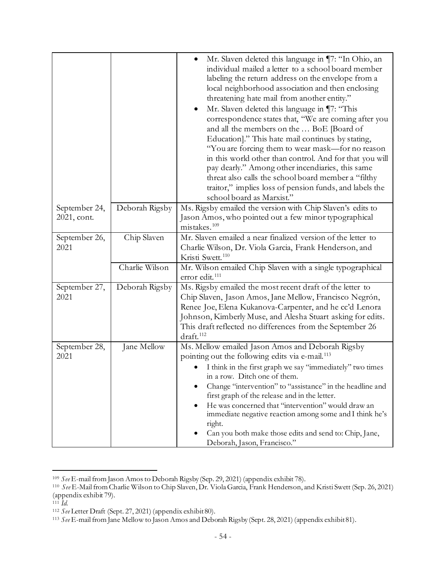|                              |                | Mr. Slaven deleted this language in ¶7: "In Ohio, an<br>individual mailed a letter to a school board member<br>labeling the return address on the envelope from a<br>local neighborhood association and then enclosing<br>threatening hate mail from another entity."<br>Mr. Slaven deleted this language in ¶7: "This<br>correspondence states that, "We are coming after you<br>and all the members on the  BoE [Board of<br>Education]." This hate mail continues by stating,<br>"You are forcing them to wear mask—for no reason<br>in this world other than control. And for that you will<br>pay dearly." Among other incendiaries, this same<br>threat also calls the school board member a "filthy<br>traitor," implies loss of pension funds, and labels the<br>school board as Marxist." |
|------------------------------|----------------|----------------------------------------------------------------------------------------------------------------------------------------------------------------------------------------------------------------------------------------------------------------------------------------------------------------------------------------------------------------------------------------------------------------------------------------------------------------------------------------------------------------------------------------------------------------------------------------------------------------------------------------------------------------------------------------------------------------------------------------------------------------------------------------------------|
| September 24,<br>2021, cont. | Deborah Rigsby | Ms. Rigsby emailed the version with Chip Slaven's edits to<br>Jason Amos, who pointed out a few minor typographical<br>mistakes. <sup>109</sup>                                                                                                                                                                                                                                                                                                                                                                                                                                                                                                                                                                                                                                                    |
| September 26,<br>2021        | Chip Slaven    | Mr. Slaven emailed a near finalized version of the letter to<br>Charlie Wilson, Dr. Viola Garcia, Frank Henderson, and<br>Kristi Swett. <sup>110</sup>                                                                                                                                                                                                                                                                                                                                                                                                                                                                                                                                                                                                                                             |
|                              | Charlie Wilson | Mr. Wilson emailed Chip Slaven with a single typographical<br>error edit. <sup>111</sup>                                                                                                                                                                                                                                                                                                                                                                                                                                                                                                                                                                                                                                                                                                           |
| September 27,<br>2021        | Deborah Rigsby | Ms. Rigsby emailed the most recent draft of the letter to<br>Chip Slaven, Jason Amos, Jane Mellow, Francisco Negrón,<br>Renee Joe, Elena Kukanova-Carpenter, and he cc'd Lenora<br>Johnson, Kimberly Muse, and Alesha Stuart asking for edits.<br>This draft reflected no differences from the September 26<br>draft. <sup>112</sup>                                                                                                                                                                                                                                                                                                                                                                                                                                                               |
| September 28,<br>2021        | Jane Mellow    | Ms. Mellow emailed Jason Amos and Deborah Rigsby<br>pointing out the following edits via e-mail. <sup>113</sup><br>I think in the first graph we say "immediately" two times<br>in a row. Ditch one of them.<br>Change "intervention" to "assistance" in the headline and<br>first graph of the release and in the letter.<br>He was concerned that "intervention" would draw an<br>immediate negative reaction among some and I think he's<br>right.<br>Can you both make those edits and send to: Chip, Jane,<br>Deborah, Jason, Francisco."                                                                                                                                                                                                                                                     |

<sup>109</sup> *See* E-mail from Jason Amos to Deborah Rigsby (Sep. 29, 2021) (appendix exhibit 78). 110 *See* E-Mail from Charlie Wilson to Chip Slaven, Dr. Viola Garcia, Frank Henderson, and Kristi Swett (Sep. 26, 2021) (appendix exhibit 79).<br> $^{111}$  *Id.* 

<sup>&</sup>lt;sup>111</sup> *Id.*<br><sup>112</sup> See Letter Draft (Sept. 27, 2021) (appendix exhibit 80).

<sup>113</sup> *See* E-mail from Jane Mellow to Jason Amos and Deborah Rigsby (Sept. 28, 2021) (appendix exhibit 81).